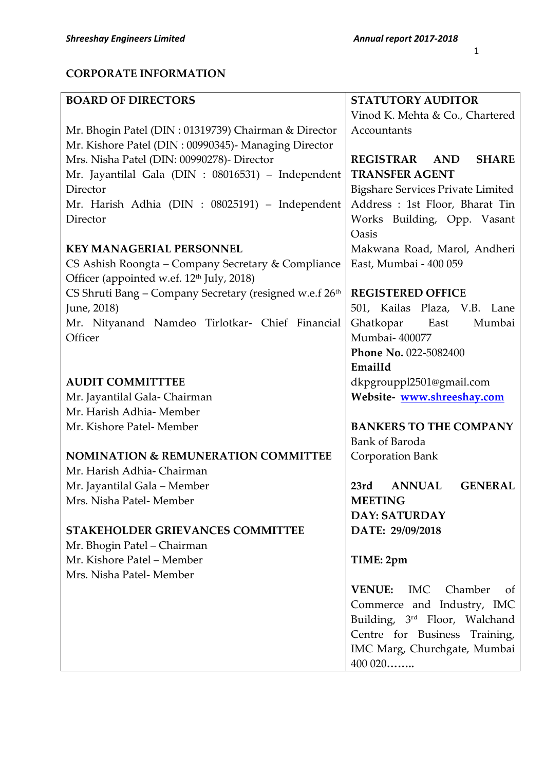## **CORPORATE INFORMATION**

| <b>BOARD OF DIRECTORS</b>                                           | <b>STATUTORY AUDITOR</b>                |  |  |  |
|---------------------------------------------------------------------|-----------------------------------------|--|--|--|
|                                                                     | Vinod K. Mehta & Co., Chartered         |  |  |  |
| Mr. Bhogin Patel (DIN: 01319739) Chairman & Director                | Accountants                             |  |  |  |
| Mr. Kishore Patel (DIN: 00990345)- Managing Director                |                                         |  |  |  |
| Mrs. Nisha Patel (DIN: 00990278)- Director                          | REGISTRAR AND<br><b>SHARE</b>           |  |  |  |
| Mr. Jayantilal Gala (DIN : 08016531) - Independent                  | <b>TRANSFER AGENT</b>                   |  |  |  |
| Director                                                            | Bigshare Services Private Limited       |  |  |  |
| Mr. Harish Adhia (DIN : 08025191) - Independent                     | Address : 1st Floor, Bharat Tin         |  |  |  |
| Director                                                            | Works Building, Opp. Vasant             |  |  |  |
|                                                                     | Oasis                                   |  |  |  |
| <b>KEY MANAGERIAL PERSONNEL</b>                                     | Makwana Road, Marol, Andheri            |  |  |  |
| CS Ashish Roongta – Company Secretary & Compliance                  | East, Mumbai - 400 059                  |  |  |  |
| Officer (appointed w.ef. 12 <sup>th</sup> July, 2018)               |                                         |  |  |  |
| CS Shruti Bang - Company Secretary (resigned w.e.f 26 <sup>th</sup> | <b>REGISTERED OFFICE</b>                |  |  |  |
| June, 2018)                                                         | 501, Kailas Plaza, V.B. Lane            |  |  |  |
| Mr. Nityanand Namdeo Tirlotkar- Chief Financial                     | Ghatkopar East<br>Mumbai                |  |  |  |
| Officer                                                             | Mumbai-400077                           |  |  |  |
|                                                                     | <b>Phone No. 022-5082400</b>            |  |  |  |
|                                                                     | EmailId                                 |  |  |  |
| <b>AUDIT COMMITTTEE</b>                                             | dkpgrouppl2501@gmail.com                |  |  |  |
| Mr. Jayantilal Gala-Chairman                                        | Website- www.shreeshay.com              |  |  |  |
| Mr. Harish Adhia- Member                                            |                                         |  |  |  |
| Mr. Kishore Patel-Member                                            | <b>BANKERS TO THE COMPANY</b>           |  |  |  |
|                                                                     | <b>Bank of Baroda</b>                   |  |  |  |
| <b>NOMINATION &amp; REMUNERATION COMMITTEE</b>                      | Corporation Bank                        |  |  |  |
| Mr. Harish Adhia- Chairman                                          |                                         |  |  |  |
| Mr. Jayantilal Gala - Member                                        | <b>ANNUAL</b><br><b>GENERAL</b><br>23rd |  |  |  |
| Mrs. Nisha Patel-Member                                             | <b>MEETING</b>                          |  |  |  |
|                                                                     | <b>DAY: SATURDAY</b>                    |  |  |  |
| STAKEHOLDER GRIEVANCES COMMITTEE                                    | DATE: 29/09/2018                        |  |  |  |
| Mr. Bhogin Patel - Chairman                                         |                                         |  |  |  |
| Mr. Kishore Patel - Member                                          | TIME: 2pm                               |  |  |  |
| Mrs. Nisha Patel- Member                                            |                                         |  |  |  |
|                                                                     | VENUE: IMC Chamber<br>of                |  |  |  |
|                                                                     | Commerce and Industry, IMC              |  |  |  |
|                                                                     | Building, 3rd Floor, Walchand           |  |  |  |
|                                                                     | Centre for Business Training,           |  |  |  |
|                                                                     | IMC Marg, Churchgate, Mumbai            |  |  |  |
|                                                                     | 400 020                                 |  |  |  |
|                                                                     |                                         |  |  |  |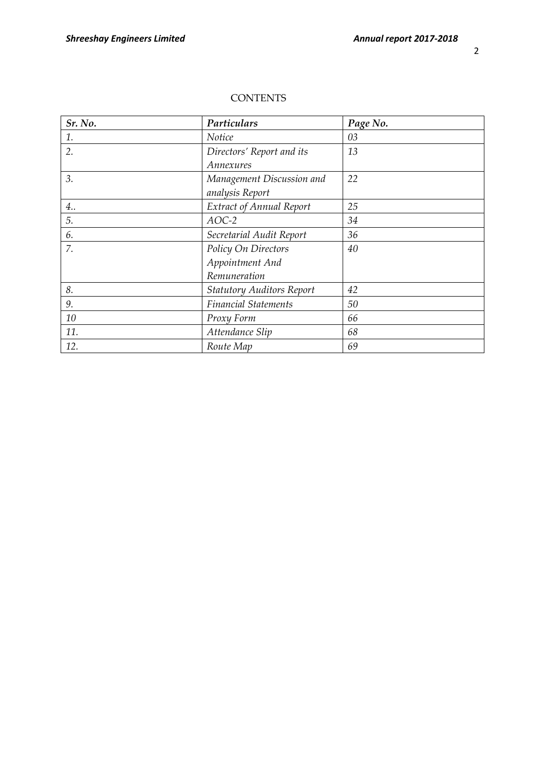| Sr. No. | Particulars                      | Page No. |
|---------|----------------------------------|----------|
| 1.      | Notice                           | 03       |
| 2.      | Directors' Report and its        | 13       |
|         | Annexures                        |          |
| 3.      | Management Discussion and        | 22       |
|         | analysis Report                  |          |
| 4       | <b>Extract of Annual Report</b>  | 25       |
| 5.      | $AOC-2$                          | 34       |
| 6.      | Secretarial Audit Report         | 36       |
| 7.      | Policy On Directors              | 40       |
|         | Appointment And                  |          |
|         | Remuneration                     |          |
| 8.      | <b>Statutory Auditors Report</b> | 42       |
| 9.      | <b>Financial Statements</b>      | 50       |
| 10      | Proxy Form                       | 66       |
| 11.     | Attendance Slip                  | 68       |
| 12.     | Route Map                        | 69       |

## **CONTENTS**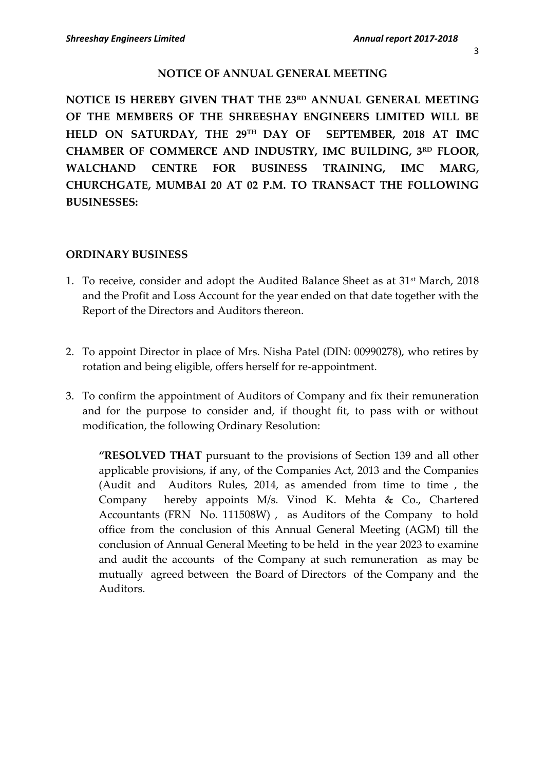#### **NOTICE OF ANNUAL GENERAL MEETING**

**NOTICE IS HEREBY GIVEN THAT THE 23RD ANNUAL GENERAL MEETING OF THE MEMBERS OF THE SHREESHAY ENGINEERS LIMITED WILL BE HELD ON SATURDAY, THE 29TH DAY OF SEPTEMBER, 2018 AT IMC CHAMBER OF COMMERCE AND INDUSTRY, IMC BUILDING, 3RD FLOOR, WALCHAND CENTRE FOR BUSINESS TRAINING, IMC MARG, CHURCHGATE, MUMBAI 20 AT 02 P.M. TO TRANSACT THE FOLLOWING BUSINESSES:**

#### **ORDINARY BUSINESS**

- 1. To receive, consider and adopt the Audited Balance Sheet as at 31st March, 2018 and the Profit and Loss Account for the year ended on that date together with the Report of the Directors and Auditors thereon.
- 2. To appoint Director in place of Mrs. Nisha Patel (DIN: 00990278), who retires by rotation and being eligible, offers herself for re-appointment.
- 3. To confirm the appointment of Auditors of Company and fix their remuneration and for the purpose to consider and, if thought fit, to pass with or without modification, the following Ordinary Resolution:

**"RESOLVED THAT** pursuant to the provisions of Section 139 and all other applicable provisions, if any, of the Companies Act, 2013 and the Companies (Audit and Auditors Rules, 2014, as amended from time to time , the Company hereby appoints M/s. Vinod K. Mehta & Co., Chartered Accountants (FRN No. 111508W) , as Auditors of the Company to hold office from the conclusion of this Annual General Meeting (AGM) till the conclusion of Annual General Meeting to be held in the year 2023 to examine and audit the accounts of the Company at such remuneration as may be mutually agreed between the Board of Directors of the Company and the Auditors.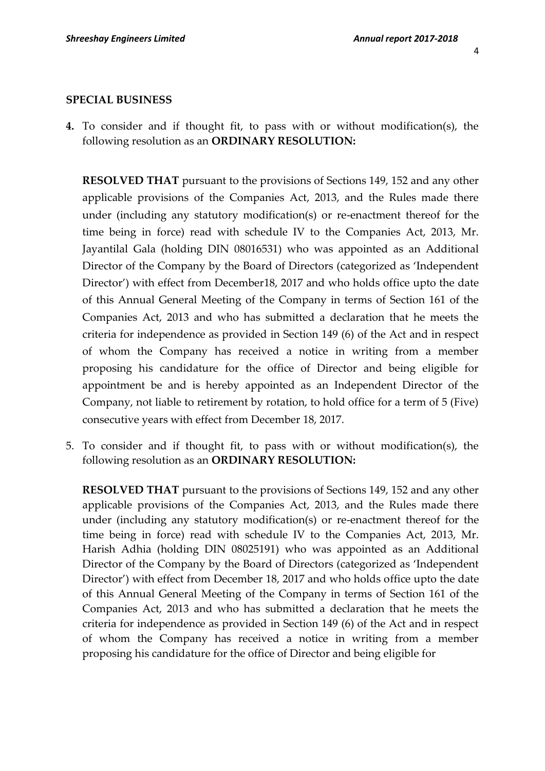#### **SPECIAL BUSINESS**

**4.** To consider and if thought fit, to pass with or without modification(s), the following resolution as an **ORDINARY RESOLUTION:**

**RESOLVED THAT** pursuant to the provisions of Sections 149, 152 and any other applicable provisions of the Companies Act, 2013, and the Rules made there under (including any statutory modification(s) or re-enactment thereof for the time being in force) read with schedule IV to the Companies Act, 2013, Mr. Jayantilal Gala (holding DIN 08016531) who was appointed as an Additional Director of the Company by the Board of Directors (categorized as 'Independent Director') with effect from December18, 2017 and who holds office upto the date of this Annual General Meeting of the Company in terms of Section 161 of the Companies Act, 2013 and who has submitted a declaration that he meets the criteria for independence as provided in Section 149 (6) of the Act and in respect of whom the Company has received a notice in writing from a member proposing his candidature for the office of Director and being eligible for appointment be and is hereby appointed as an Independent Director of the Company, not liable to retirement by rotation, to hold office for a term of 5 (Five) consecutive years with effect from December 18, 2017.

5. To consider and if thought fit, to pass with or without modification(s), the following resolution as an **ORDINARY RESOLUTION:**

**RESOLVED THAT** pursuant to the provisions of Sections 149, 152 and any other applicable provisions of the Companies Act, 2013, and the Rules made there under (including any statutory modification(s) or re-enactment thereof for the time being in force) read with schedule IV to the Companies Act, 2013, Mr. Harish Adhia (holding DIN 08025191) who was appointed as an Additional Director of the Company by the Board of Directors (categorized as 'Independent Director') with effect from December 18, 2017 and who holds office upto the date of this Annual General Meeting of the Company in terms of Section 161 of the Companies Act, 2013 and who has submitted a declaration that he meets the criteria for independence as provided in Section 149 (6) of the Act and in respect of whom the Company has received a notice in writing from a member proposing his candidature for the office of Director and being eligible for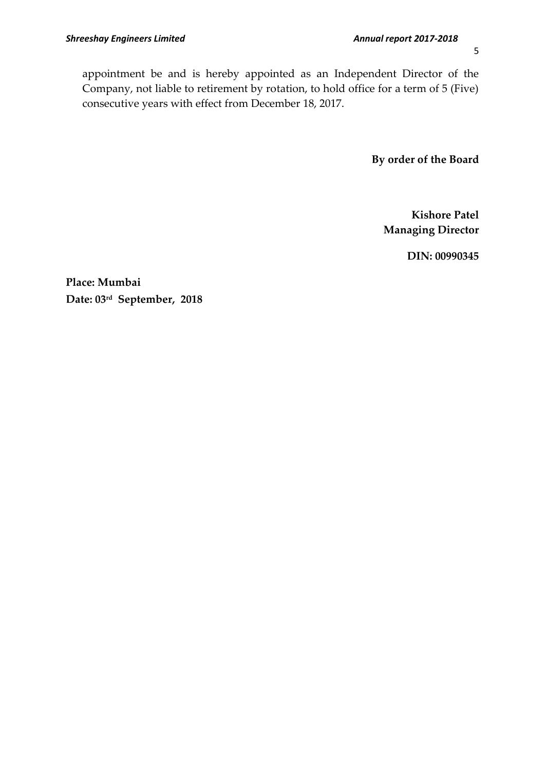appointment be and is hereby appointed as an Independent Director of the Company, not liable to retirement by rotation, to hold office for a term of 5 (Five) consecutive years with effect from December 18, 2017.

**By order of the Board**

 **Kishore Patel Managing Director**

**DIN: 00990345**

**Place: Mumbai Date: 03rd September, 2018**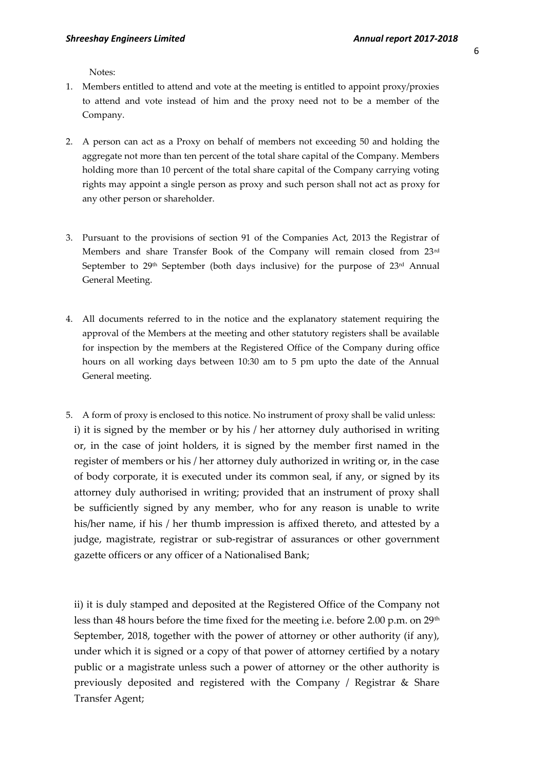Notes:

- 1. Members entitled to attend and vote at the meeting is entitled to appoint proxy/proxies to attend and vote instead of him and the proxy need not to be a member of the Company.
- 2. A person can act as a Proxy on behalf of members not exceeding 50 and holding the aggregate not more than ten percent of the total share capital of the Company. Members holding more than 10 percent of the total share capital of the Company carrying voting rights may appoint a single person as proxy and such person shall not act as proxy for any other person or shareholder.
- 3. Pursuant to the provisions of section 91 of the Companies Act, 2013 the Registrar of Members and share Transfer Book of the Company will remain closed from 23rd September to 29th September (both days inclusive) for the purpose of 23rd Annual General Meeting.
- 4. All documents referred to in the notice and the explanatory statement requiring the approval of the Members at the meeting and other statutory registers shall be available for inspection by the members at the Registered Office of the Company during office hours on all working days between 10:30 am to 5 pm upto the date of the Annual General meeting.
- 5. A form of proxy is enclosed to this notice. No instrument of proxy shall be valid unless: i) it is signed by the member or by his / her attorney duly authorised in writing or, in the case of joint holders, it is signed by the member first named in the register of members or his / her attorney duly authorized in writing or, in the case of body corporate, it is executed under its common seal, if any, or signed by its attorney duly authorised in writing; provided that an instrument of proxy shall be sufficiently signed by any member, who for any reason is unable to write his/her name, if his / her thumb impression is affixed thereto, and attested by a judge, magistrate, registrar or sub-registrar of assurances or other government gazette officers or any officer of a Nationalised Bank;

ii) it is duly stamped and deposited at the Registered Office of the Company not less than 48 hours before the time fixed for the meeting i.e. before 2.00 p.m. on 29th September, 2018, together with the power of attorney or other authority (if any), under which it is signed or a copy of that power of attorney certified by a notary public or a magistrate unless such a power of attorney or the other authority is previously deposited and registered with the Company / Registrar & Share Transfer Agent;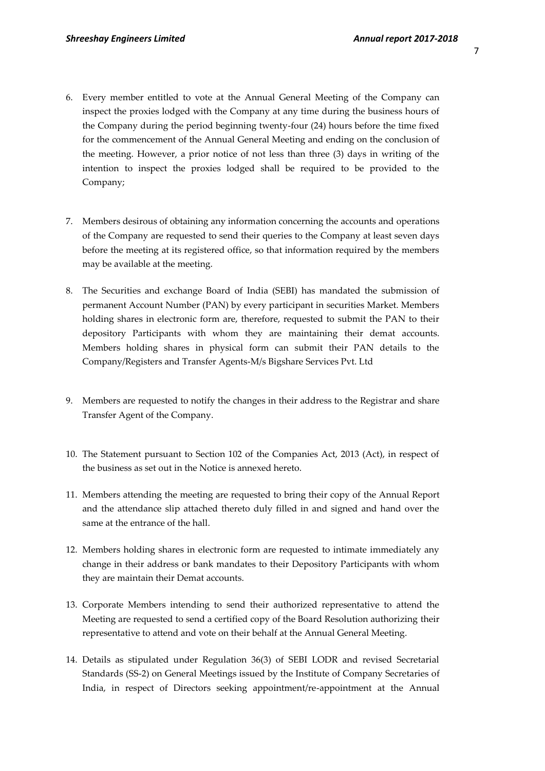- 6. Every member entitled to vote at the Annual General Meeting of the Company can inspect the proxies lodged with the Company at any time during the business hours of the Company during the period beginning twenty-four (24) hours before the time fixed for the commencement of the Annual General Meeting and ending on the conclusion of the meeting. However, a prior notice of not less than three (3) days in writing of the intention to inspect the proxies lodged shall be required to be provided to the Company;
- 7. Members desirous of obtaining any information concerning the accounts and operations of the Company are requested to send their queries to the Company at least seven days before the meeting at its registered office, so that information required by the members may be available at the meeting.
- 8. The Securities and exchange Board of India (SEBI) has mandated the submission of permanent Account Number (PAN) by every participant in securities Market. Members holding shares in electronic form are, therefore, requested to submit the PAN to their depository Participants with whom they are maintaining their demat accounts. Members holding shares in physical form can submit their PAN details to the Company/Registers and Transfer Agents-M/s Bigshare Services Pvt. Ltd
- 9. Members are requested to notify the changes in their address to the Registrar and share Transfer Agent of the Company.
- 10. The Statement pursuant to Section 102 of the Companies Act, 2013 (Act), in respect of the business as set out in the Notice is annexed hereto.
- 11. Members attending the meeting are requested to bring their copy of the Annual Report and the attendance slip attached thereto duly filled in and signed and hand over the same at the entrance of the hall.
- 12. Members holding shares in electronic form are requested to intimate immediately any change in their address or bank mandates to their Depository Participants with whom they are maintain their Demat accounts.
- 13. Corporate Members intending to send their authorized representative to attend the Meeting are requested to send a certified copy of the Board Resolution authorizing their representative to attend and vote on their behalf at the Annual General Meeting.
- 14. Details as stipulated under Regulation 36(3) of SEBI LODR and revised Secretarial Standards (SS-2) on General Meetings issued by the Institute of Company Secretaries of India, in respect of Directors seeking appointment/re-appointment at the Annual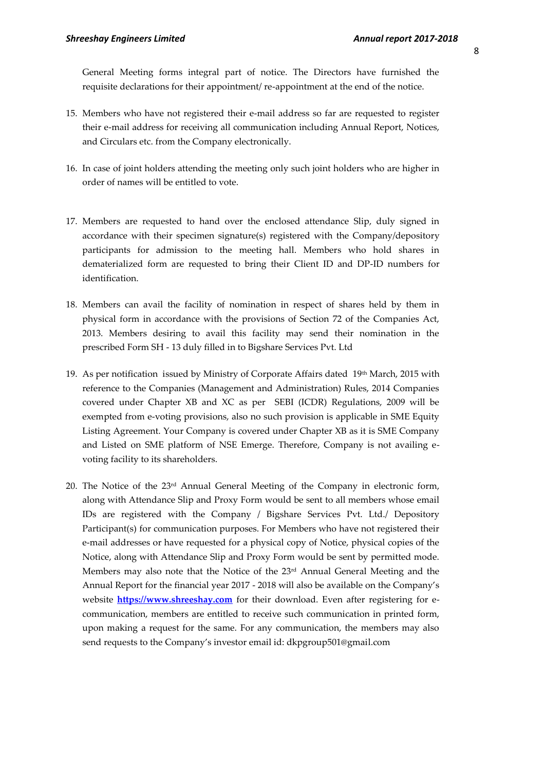General Meeting forms integral part of notice. The Directors have furnished the requisite declarations for their appointment/ re-appointment at the end of the notice.

- 15. Members who have not registered their e-mail address so far are requested to register their e-mail address for receiving all communication including Annual Report, Notices, and Circulars etc. from the Company electronically.
- 16. In case of joint holders attending the meeting only such joint holders who are higher in order of names will be entitled to vote.
- 17. Members are requested to hand over the enclosed attendance Slip, duly signed in accordance with their specimen signature(s) registered with the Company/depository participants for admission to the meeting hall. Members who hold shares in dematerialized form are requested to bring their Client ID and DP-ID numbers for identification.
- 18. Members can avail the facility of nomination in respect of shares held by them in physical form in accordance with the provisions of Section 72 of the Companies Act, 2013. Members desiring to avail this facility may send their nomination in the prescribed Form SH - 13 duly filled in to Bigshare Services Pvt. Ltd
- 19. As per notification issued by Ministry of Corporate Affairs dated 19th March, 2015 with reference to the Companies (Management and Administration) Rules, 2014 Companies covered under Chapter XB and XC as per SEBI (ICDR) Regulations, 2009 will be exempted from e-voting provisions, also no such provision is applicable in SME Equity Listing Agreement. Your Company is covered under Chapter XB as it is SME Company and Listed on SME platform of NSE Emerge. Therefore, Company is not availing evoting facility to its shareholders.
- 20. The Notice of the  $23<sup>rd</sup>$  Annual General Meeting of the Company in electronic form, along with Attendance Slip and Proxy Form would be sent to all members whose email IDs are registered with the Company / Bigshare Services Pvt. Ltd./ Depository Participant(s) for communication purposes. For Members who have not registered their e-mail addresses or have requested for a physical copy of Notice, physical copies of the Notice, along with Attendance Slip and Proxy Form would be sent by permitted mode. Members may also note that the Notice of the 23rd Annual General Meeting and the Annual Report for the financial year 2017 - 2018 will also be available on the Company's website **[https://www.shreeshay.com](https://www.shreeshay.com/)** for their download. Even after registering for ecommunication, members are entitled to receive such communication in printed form, upon making a request for the same. For any communication, the members may also send requests to the Company's investor email id: dkpgroup501@gmail.com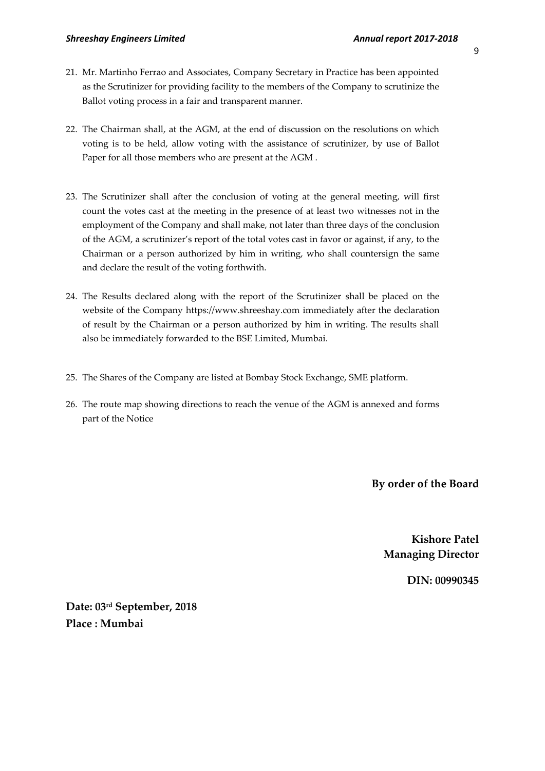- 21. Mr. Martinho Ferrao and Associates, Company Secretary in Practice has been appointed as the Scrutinizer for providing facility to the members of the Company to scrutinize the Ballot voting process in a fair and transparent manner.
- 22. The Chairman shall, at the AGM, at the end of discussion on the resolutions on which voting is to be held, allow voting with the assistance of scrutinizer, by use of Ballot Paper for all those members who are present at the AGM .
- 23. The Scrutinizer shall after the conclusion of voting at the general meeting, will first count the votes cast at the meeting in the presence of at least two witnesses not in the employment of the Company and shall make, not later than three days of the conclusion of the AGM, a scrutinizer's report of the total votes cast in favor or against, if any, to the Chairman or a person authorized by him in writing, who shall countersign the same and declare the result of the voting forthwith.
- 24. The Results declared along with the report of the Scrutinizer shall be placed on the website of the Company [https://www.shreeshay.com](https://www.shreeshay.com/) immediately after the declaration of result by the Chairman or a person authorized by him in writing. The results shall also be immediately forwarded to the BSE Limited, Mumbai.
- 25. The Shares of the Company are listed at Bombay Stock Exchange, SME platform.
- 26. The route map showing directions to reach the venue of the AGM is annexed and forms part of the Notice

**By order of the Board**

 **Kishore Patel Managing Director**

**DIN: 00990345**

**Date: 03rd September, 2018 Place : Mumbai**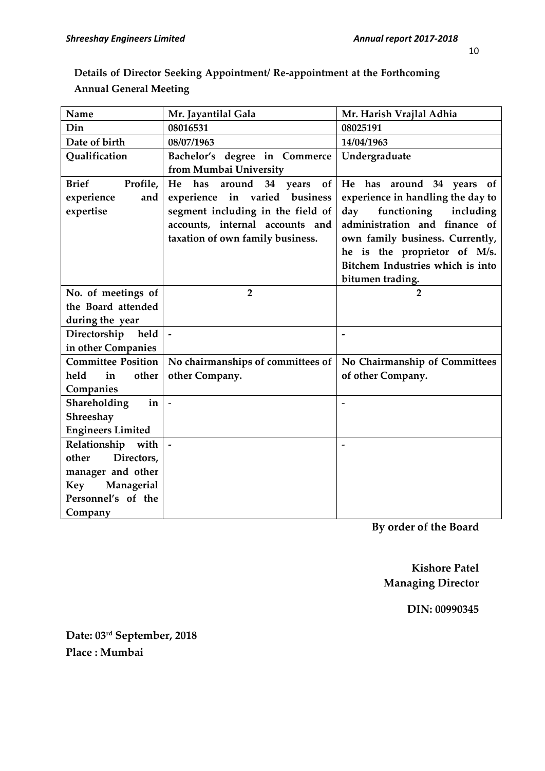**Details of Director Seeking Appointment/ Re-appointment at the Forthcoming Annual General Meeting**

| Name                      | Mr. Jayantilal Gala                      | Mr. Harish Vrajlal Adhia          |
|---------------------------|------------------------------------------|-----------------------------------|
| Din                       | 08016531                                 | 08025191                          |
| Date of birth             | 08/07/1963                               | 14/04/1963                        |
| Qualification             | Bachelor's degree in Commerce            | Undergraduate                     |
|                           | from Mumbai University                   |                                   |
| <b>Brief</b><br>Profile,  | has<br>around<br>He<br>34<br>of<br>years | around 34 years<br>He has<br>of   |
| experience<br>and         | experience in varied business            | experience in handling the day to |
| expertise                 | segment including in the field of        | functioning<br>day<br>including   |
|                           | accounts, internal accounts and          | administration and finance of     |
|                           | taxation of own family business.         | own family business. Currently,   |
|                           |                                          | he is the proprietor of M/s.      |
|                           |                                          | Bitchem Industries which is into  |
|                           |                                          | bitumen trading.                  |
| No. of meetings of        | $\overline{2}$                           | $\overline{2}$                    |
| the Board attended        |                                          |                                   |
| during the year           |                                          |                                   |
| Directorship<br>held      | $\overline{\phantom{a}}$                 |                                   |
| in other Companies        |                                          |                                   |
| <b>Committee Position</b> | No chairmanships of committees of        | No Chairmanship of Committees     |
| held<br>in<br>other       | other Company.                           | of other Company.                 |
| Companies                 |                                          |                                   |
| in<br>Shareholding        | $\equiv$                                 |                                   |
| Shreeshay                 |                                          |                                   |
| <b>Engineers Limited</b>  |                                          |                                   |
| Relationship with         | $\overline{\phantom{a}}$                 |                                   |
| other<br>Directors,       |                                          |                                   |
| manager and other         |                                          |                                   |
| Managerial<br>Key         |                                          |                                   |
| Personnel's of the        |                                          |                                   |
| Company                   |                                          |                                   |

**By order of the Board**

 **Kishore Patel Managing Director**

**DIN: 00990345**

**Date: 03rd September, 2018 Place : Mumbai**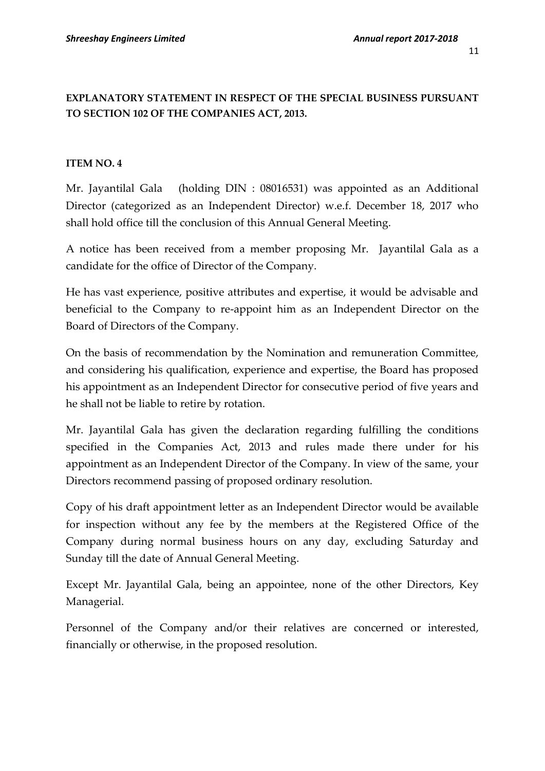## **EXPLANATORY STATEMENT IN RESPECT OF THE SPECIAL BUSINESS PURSUANT TO SECTION 102 OF THE COMPANIES ACT, 2013.**

## **ITEM NO. 4**

Mr. Jayantilal Gala (holding DIN : 08016531) was appointed as an Additional Director (categorized as an Independent Director) w.e.f. December 18, 2017 who shall hold office till the conclusion of this Annual General Meeting.

A notice has been received from a member proposing Mr. Jayantilal Gala as a candidate for the office of Director of the Company.

He has vast experience, positive attributes and expertise, it would be advisable and beneficial to the Company to re-appoint him as an Independent Director on the Board of Directors of the Company.

On the basis of recommendation by the Nomination and remuneration Committee, and considering his qualification, experience and expertise, the Board has proposed his appointment as an Independent Director for consecutive period of five years and he shall not be liable to retire by rotation.

Mr. Jayantilal Gala has given the declaration regarding fulfilling the conditions specified in the Companies Act, 2013 and rules made there under for his appointment as an Independent Director of the Company. In view of the same, your Directors recommend passing of proposed ordinary resolution.

Copy of his draft appointment letter as an Independent Director would be available for inspection without any fee by the members at the Registered Office of the Company during normal business hours on any day, excluding Saturday and Sunday till the date of Annual General Meeting.

Except Mr. Jayantilal Gala, being an appointee, none of the other Directors, Key Managerial.

Personnel of the Company and/or their relatives are concerned or interested, financially or otherwise, in the proposed resolution.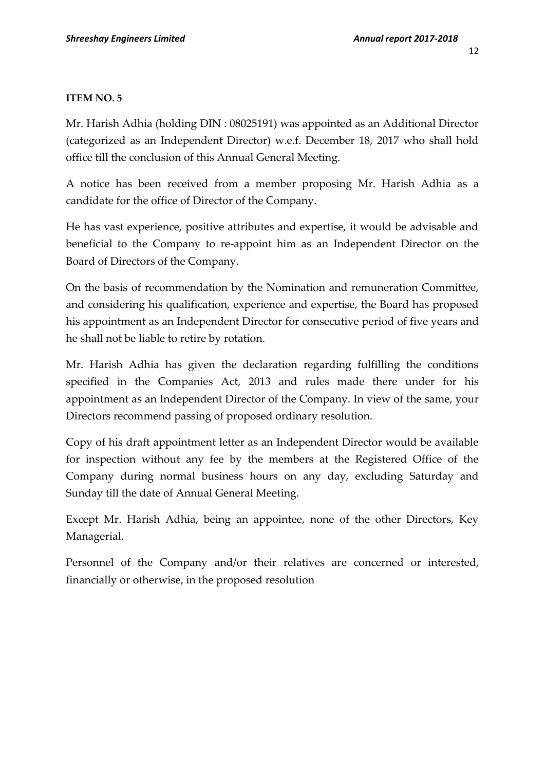## **ITEM NO. 5**

Mr. Harish Adhia (holding DIN : 08025191) was appointed as an Additional Director (categorized as an Independent Director) w.e.f. December 18, 2017 who shall hold office till the conclusion of this Annual General Meeting.

A notice has been received from a member proposing Mr. Harish Adhia as a candidate for the office of Director of the Company.

He has vast experience, positive attributes and expertise, it would be advisable and beneficial to the Company to re-appoint him as an Independent Director on the Board of Directors of the Company.

On the basis of recommendation by the Nomination and remuneration Committee, and considering his qualification, experience and expertise, the Board has proposed his appointment as an Independent Director for consecutive period of five years and he shall not be liable to retire by rotation.

Mr. Harish Adhia has given the declaration regarding fulfilling the conditions specified in the Companies Act, 2013 and rules made there under for his appointment as an Independent Director of the Company. In view of the same, your Directors recommend passing of proposed ordinary resolution.

Copy of his draft appointment letter as an Independent Director would be available for inspection without any fee by the members at the Registered Office of the Company during normal business hours on any day, excluding Saturday and Sunday till the date of Annual General Meeting.

Except Mr. Harish Adhia, being an appointee, none of the other Directors, Key Managerial.

Personnel of the Company and/or their relatives are concerned or interested, financially or otherwise, in the proposed resolution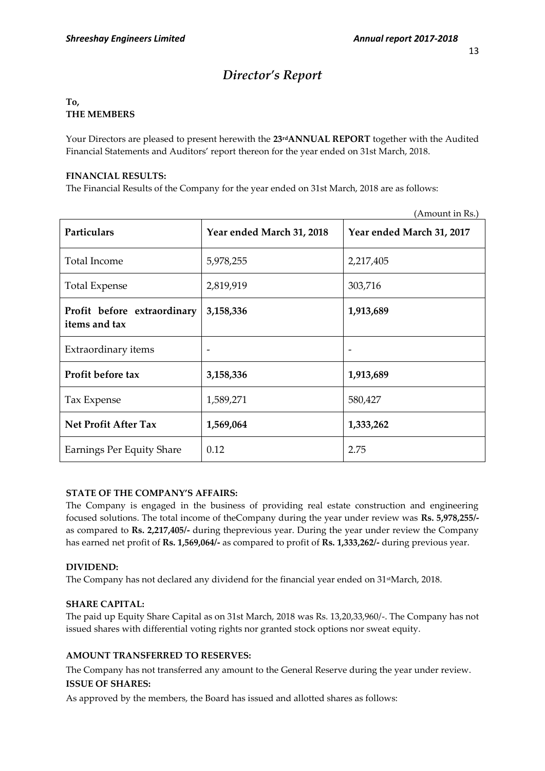13

## *Director's Report*

#### **To, THE MEMBERS**

Your Directors are pleased to present herewith the **23rdANNUAL REPORT** together with the Audited Financial Statements and Auditors' report thereon for the year ended on 31st March, 2018.

#### **FINANCIAL RESULTS:**

The Financial Results of the Company for the year ended on 31st March, 2018 are as follows:

|                                              |                           | (Amount in Rs.)           |
|----------------------------------------------|---------------------------|---------------------------|
| Particulars                                  | Year ended March 31, 2018 | Year ended March 31, 2017 |
| <b>Total Income</b>                          | 5,978,255                 | 2,217,405                 |
| <b>Total Expense</b>                         | 2,819,919                 | 303,716                   |
| Profit before extraordinary<br>items and tax | 3,158,336                 | 1,913,689                 |
| Extraordinary items                          | $\overline{\phantom{a}}$  | $\overline{\phantom{a}}$  |
| Profit before tax                            | 3,158,336                 | 1,913,689                 |
| Tax Expense                                  | 1,589,271                 | 580,427                   |
| Net Profit After Tax                         | 1,569,064                 | 1,333,262                 |
| <b>Earnings Per Equity Share</b>             | 0.12                      | 2.75                      |

#### **STATE OF THE COMPANY'S AFFAIRS:**

The Company is engaged in the business of providing real estate construction and engineering focused solutions. The total income of theCompany during the year under review was **Rs. 5,978,255/** as compared to **Rs. 2,217,405/-** during theprevious year. During the year under review the Company has earned net profit of **Rs. 1,569,064/-** as compared to profit of **Rs. 1,333,262/-** during previous year.

#### **DIVIDEND:**

The Company has not declared any dividend for the financial year ended on 31<sup>st</sup>March, 2018.

#### **SHARE CAPITAL:**

The paid up Equity Share Capital as on 31st March, 2018 was Rs. 13,20,33,960/-. The Company has not issued shares with differential voting rights nor granted stock options nor sweat equity.

#### **AMOUNT TRANSFERRED TO RESERVES:**

The Company has not transferred any amount to the General Reserve during the year under review. **ISSUE OF SHARES:**

As approved by the members, the Board has issued and allotted shares as follows: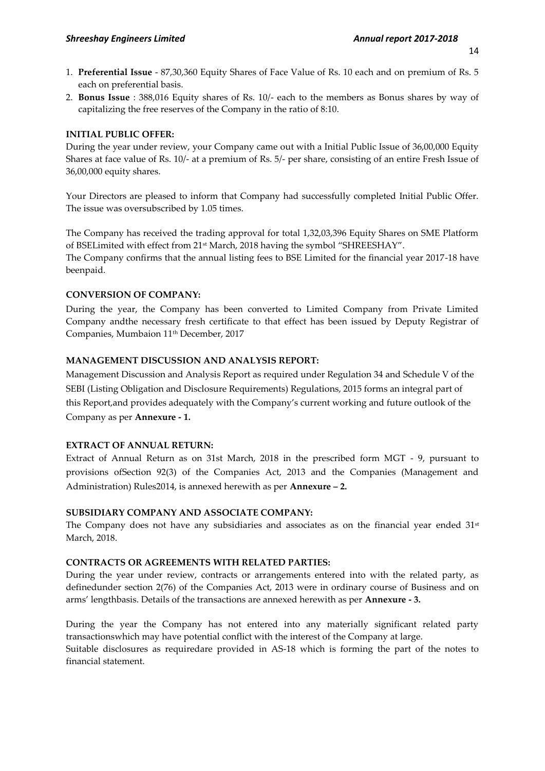- 1. **Preferential Issue** 87,30,360 Equity Shares of Face Value of Rs. 10 each and on premium of Rs. 5 each on preferential basis.
- 2. **Bonus Issue** : 388,016 Equity shares of Rs. 10/- each to the members as Bonus shares by way of capitalizing the free reserves of the Company in the ratio of 8:10.

#### **INITIAL PUBLIC OFFER:**

During the year under review, your Company came out with a Initial Public Issue of 36,00,000 Equity Shares at face value of Rs. 10/- at a premium of Rs. 5/- per share, consisting of an entire Fresh Issue of 36,00,000 equity shares.

Your Directors are pleased to inform that Company had successfully completed Initial Public Offer. The issue was oversubscribed by 1.05 times.

The Company has received the trading approval for total 1,32,03,396 Equity Shares on SME Platform of BSELimited with effect from 21st March, 2018 having the symbol "SHREESHAY". The Company confirms that the annual listing fees to BSE Limited for the financial year 2017-18 have beenpaid.

#### **CONVERSION OF COMPANY:**

During the year, the Company has been converted to Limited Company from Private Limited Company andthe necessary fresh certificate to that effect has been issued by Deputy Registrar of Companies, Mumbaion 11th December, 2017

#### **MANAGEMENT DISCUSSION AND ANALYSIS REPORT:**

Management Discussion and Analysis Report as required under Regulation 34 and Schedule V of the SEBI (Listing Obligation and Disclosure Requirements) Regulations, 2015 forms an integral part of this Report,and provides adequately with the Company's current working and future outlook of the Company as per **Annexure - 1.**

#### **EXTRACT OF ANNUAL RETURN:**

Extract of Annual Return as on 31st March, 2018 in the prescribed form MGT - 9, pursuant to provisions ofSection 92(3) of the Companies Act, 2013 and the Companies (Management and Administration) Rules2014, is annexed herewith as per **Annexure – 2.**

#### **SUBSIDIARY COMPANY AND ASSOCIATE COMPANY:**

The Company does not have any subsidiaries and associates as on the financial year ended 31<sup>st</sup> March, 2018.

#### **CONTRACTS OR AGREEMENTS WITH RELATED PARTIES:**

During the year under review, contracts or arrangements entered into with the related party, as definedunder section 2(76) of the Companies Act, 2013 were in ordinary course of Business and on arms' lengthbasis. Details of the transactions are annexed herewith as per **Annexure - 3.**

During the year the Company has not entered into any materially significant related party transactionswhich may have potential conflict with the interest of the Company at large. Suitable disclosures as requiredare provided in AS-18 which is forming the part of the notes to financial statement.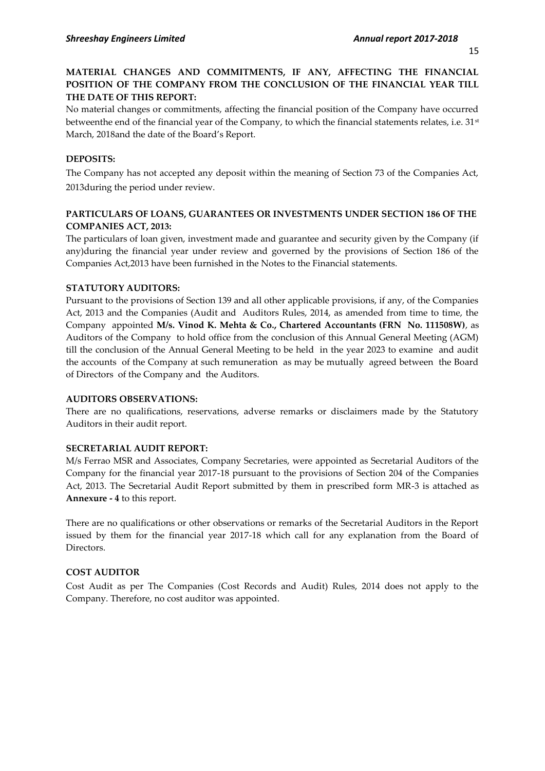#### **MATERIAL CHANGES AND COMMITMENTS, IF ANY, AFFECTING THE FINANCIAL POSITION OF THE COMPANY FROM THE CONCLUSION OF THE FINANCIAL YEAR TILL THE DATE OF THIS REPORT:**

No material changes or commitments, affecting the financial position of the Company have occurred betweenthe end of the financial year of the Company, to which the financial statements relates, i.e.  $31^{st}$ March, 2018and the date of the Board's Report.

#### **DEPOSITS:**

The Company has not accepted any deposit within the meaning of Section 73 of the Companies Act, 2013during the period under review.

#### **PARTICULARS OF LOANS, GUARANTEES OR INVESTMENTS UNDER SECTION 186 OF THE COMPANIES ACT, 2013:**

The particulars of loan given, investment made and guarantee and security given by the Company (if any)during the financial year under review and governed by the provisions of Section 186 of the Companies Act,2013 have been furnished in the Notes to the Financial statements.

#### **STATUTORY AUDITORS:**

Pursuant to the provisions of Section 139 and all other applicable provisions, if any, of the Companies Act, 2013 and the Companies (Audit and Auditors Rules, 2014, as amended from time to time, the Company appointed **M/s. Vinod K. Mehta & Co., Chartered Accountants (FRN No. 111508W)**, as Auditors of the Company to hold office from the conclusion of this Annual General Meeting (AGM) till the conclusion of the Annual General Meeting to be held in the year 2023 to examine and audit the accounts of the Company at such remuneration as may be mutually agreed between the Board of Directors of the Company and the Auditors.

#### **AUDITORS OBSERVATIONS:**

There are no qualifications, reservations, adverse remarks or disclaimers made by the Statutory Auditors in their audit report.

#### **SECRETARIAL AUDIT REPORT:**

M/s Ferrao MSR and Associates, Company Secretaries, were appointed as Secretarial Auditors of the Company for the financial year 2017-18 pursuant to the provisions of Section 204 of the Companies Act, 2013. The Secretarial Audit Report submitted by them in prescribed form MR-3 is attached as **Annexure - 4** to this report.

There are no qualifications or other observations or remarks of the Secretarial Auditors in the Report issued by them for the financial year 2017-18 which call for any explanation from the Board of Directors.

#### **COST AUDITOR**

Cost Audit as per The Companies (Cost Records and Audit) Rules, 2014 does not apply to the Company. Therefore, no cost auditor was appointed.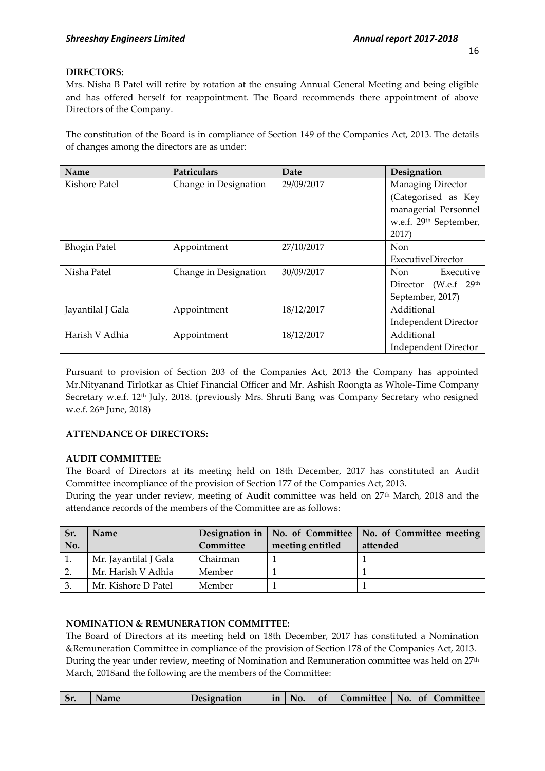#### **DIRECTORS:**

Mrs. Nisha B Patel will retire by rotation at the ensuing Annual General Meeting and being eligible and has offered herself for reappointment. The Board recommends there appointment of above Directors of the Company.

The constitution of the Board is in compliance of Section 149 of the Companies Act, 2013. The details of changes among the directors are as under:

| Name                | Patriculars           | Date       | Designation                                                     |
|---------------------|-----------------------|------------|-----------------------------------------------------------------|
| Kishore Patel       | Change in Designation | 29/09/2017 | <b>Managing Director</b>                                        |
|                     |                       |            | (Categorised as Key                                             |
|                     |                       |            | managerial Personnel                                            |
|                     |                       |            | w.e.f. 29th September,                                          |
|                     |                       |            | 2017)                                                           |
| <b>Bhogin Patel</b> | Appointment           | 27/10/2017 | Non                                                             |
|                     |                       |            | ExecutiveDirector                                               |
| Nisha Patel         | Change in Designation | 30/09/2017 | Non to the North State of the North State of Table<br>Executive |
|                     |                       |            | Director (W.e.f 29th                                            |
|                     |                       |            | September, 2017)                                                |
| Jayantilal J Gala   | Appointment           | 18/12/2017 | Additional                                                      |
|                     |                       |            | <b>Independent Director</b>                                     |
| Harish V Adhia      | Appointment           | 18/12/2017 | Additional                                                      |
|                     |                       |            | Independent Director                                            |

Pursuant to provision of Section 203 of the Companies Act, 2013 the Company has appointed Mr.Nityanand Tirlotkar as Chief Financial Officer and Mr. Ashish Roongta as Whole-Time Company Secretary w.e.f. 12<sup>th</sup> July, 2018. (previously Mrs. Shruti Bang was Company Secretary who resigned w.e.f. 26th June, 2018)

#### **ATTENDANCE OF DIRECTORS:**

#### **AUDIT COMMITTEE:**

The Board of Directors at its meeting held on 18th December, 2017 has constituted an Audit Committee incompliance of the provision of Section 177 of the Companies Act, 2013.

During the year under review, meeting of Audit committee was held on 27<sup>th</sup> March, 2018 and the attendance records of the members of the Committee are as follows:

| Sr. | <b>Name</b>           |           |                  | Designation in   No. of Committee   No. of Committee meeting |
|-----|-----------------------|-----------|------------------|--------------------------------------------------------------|
| No. |                       | Committee | meeting entitled | attended                                                     |
| -1. | Mr. Jayantilal J Gala | Chairman  |                  |                                                              |
|     | Mr. Harish V Adhia    | Member    |                  |                                                              |
|     | Mr. Kishore D Patel   | Member    |                  |                                                              |

#### **NOMINATION & REMUNERATION COMMITTEE:**

The Board of Directors at its meeting held on 18th December, 2017 has constituted a Nomination &Remuneration Committee in compliance of the provision of Section 178 of the Companies Act, 2013. During the year under review, meeting of Nomination and Remuneration committee was held on  $27<sup>th</sup>$ March, 2018and the following are the members of the Committee:

| Sr. | Name | Designation |  |  |  | in   No. of Committee   No. of Committee |  |  |  |
|-----|------|-------------|--|--|--|------------------------------------------|--|--|--|
|-----|------|-------------|--|--|--|------------------------------------------|--|--|--|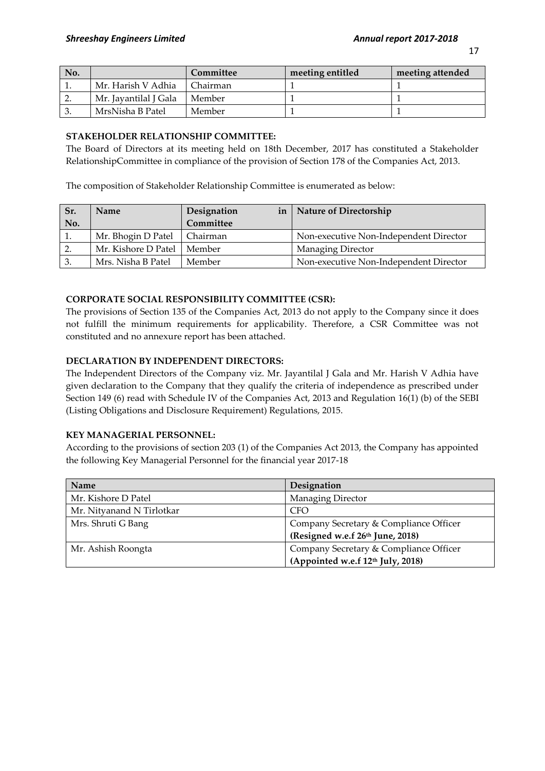| No. |                       | Committee | meeting entitled | meeting attended |
|-----|-----------------------|-----------|------------------|------------------|
|     | Mr. Harish V Adhia    | Chairman  |                  |                  |
| 2.  | Mr. Jayantilal J Gala | Member    |                  |                  |
|     | MrsNisha B Patel      | Member    |                  |                  |

#### **STAKEHOLDER RELATIONSHIP COMMITTEE:**

The Board of Directors at its meeting held on 18th December, 2017 has constituted a Stakeholder RelationshipCommittee in compliance of the provision of Section 178 of the Companies Act, 2013.

The composition of Stakeholder Relationship Committee is enumerated as below:

| Sr. | Name                         | Designation<br>in | Nature of Directorship                 |
|-----|------------------------------|-------------------|----------------------------------------|
| No. |                              | Committee         |                                        |
|     | Mr. Bhogin D Patel           | Chairman          | Non-executive Non-Independent Director |
|     | Mr. Kishore D Patel   Member |                   | <b>Managing Director</b>               |
|     | Mrs. Nisha B Patel           | Member            | Non-executive Non-Independent Director |

#### **CORPORATE SOCIAL RESPONSIBILITY COMMITTEE (CSR):**

The provisions of Section 135 of the Companies Act, 2013 do not apply to the Company since it does not fulfill the minimum requirements for applicability. Therefore, a CSR Committee was not constituted and no annexure report has been attached.

#### **DECLARATION BY INDEPENDENT DIRECTORS:**

The Independent Directors of the Company viz. Mr. Jayantilal J Gala and Mr. Harish V Adhia have given declaration to the Company that they qualify the criteria of independence as prescribed under Section 149 (6) read with Schedule IV of the Companies Act, 2013 and Regulation 16(1) (b) of the SEBI (Listing Obligations and Disclosure Requirement) Regulations, 2015.

#### **KEY MANAGERIAL PERSONNEL:**

According to the provisions of section 203 (1) of the Companies Act 2013, the Company has appointed the following Key Managerial Personnel for the financial year 2017-18

| Name                      | Designation                            |
|---------------------------|----------------------------------------|
| Mr. Kishore D Patel       | Managing Director                      |
| Mr. Nityanand N Tirlotkar | CFO                                    |
| Mrs. Shruti G Bang        | Company Secretary & Compliance Officer |
|                           | (Resigned w.e.f 26th June, 2018)       |
| Mr. Ashish Roongta        | Company Secretary & Compliance Officer |
|                           | (Appointed w.e.f 12th July, 2018)      |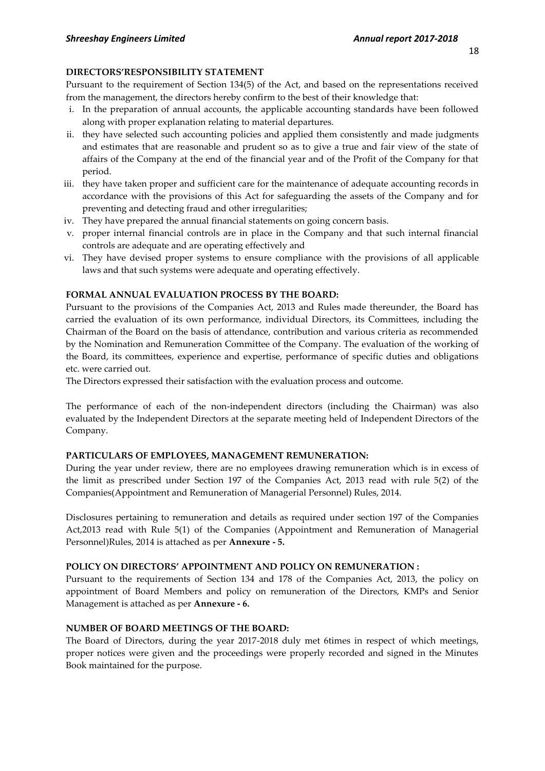#### **DIRECTORS'RESPONSIBILITY STATEMENT**

Pursuant to the requirement of Section 134(5) of the Act, and based on the representations received from the management, the directors hereby confirm to the best of their knowledge that:

- i. In the preparation of annual accounts, the applicable accounting standards have been followed along with proper explanation relating to material departures.
- ii. they have selected such accounting policies and applied them consistently and made judgments and estimates that are reasonable and prudent so as to give a true and fair view of the state of affairs of the Company at the end of the financial year and of the Profit of the Company for that period.
- iii. they have taken proper and sufficient care for the maintenance of adequate accounting records in accordance with the provisions of this Act for safeguarding the assets of the Company and for preventing and detecting fraud and other irregularities;
- iv. They have prepared the annual financial statements on going concern basis.
- v. proper internal financial controls are in place in the Company and that such internal financial controls are adequate and are operating effectively and
- vi. They have devised proper systems to ensure compliance with the provisions of all applicable laws and that such systems were adequate and operating effectively.

#### **FORMAL ANNUAL EVALUATION PROCESS BY THE BOARD:**

Pursuant to the provisions of the Companies Act, 2013 and Rules made thereunder, the Board has carried the evaluation of its own performance, individual Directors, its Committees, including the Chairman of the Board on the basis of attendance, contribution and various criteria as recommended by the Nomination and Remuneration Committee of the Company. The evaluation of the working of the Board, its committees, experience and expertise, performance of specific duties and obligations etc. were carried out.

The Directors expressed their satisfaction with the evaluation process and outcome.

The performance of each of the non-independent directors (including the Chairman) was also evaluated by the Independent Directors at the separate meeting held of Independent Directors of the Company.

#### **PARTICULARS OF EMPLOYEES, MANAGEMENT REMUNERATION:**

During the year under review, there are no employees drawing remuneration which is in excess of the limit as prescribed under Section 197 of the Companies Act, 2013 read with rule 5(2) of the Companies(Appointment and Remuneration of Managerial Personnel) Rules, 2014.

Disclosures pertaining to remuneration and details as required under section 197 of the Companies Act,2013 read with Rule 5(1) of the Companies (Appointment and Remuneration of Managerial Personnel)Rules, 2014 is attached as per **Annexure - 5.**

#### **POLICY ON DIRECTORS' APPOINTMENT AND POLICY ON REMUNERATION :**

Pursuant to the requirements of Section 134 and 178 of the Companies Act, 2013, the policy on appointment of Board Members and policy on remuneration of the Directors, KMPs and Senior Management is attached as per **Annexure - 6.**

#### **NUMBER OF BOARD MEETINGS OF THE BOARD:**

The Board of Directors, during the year 2017-2018 duly met 6times in respect of which meetings, proper notices were given and the proceedings were properly recorded and signed in the Minutes Book maintained for the purpose.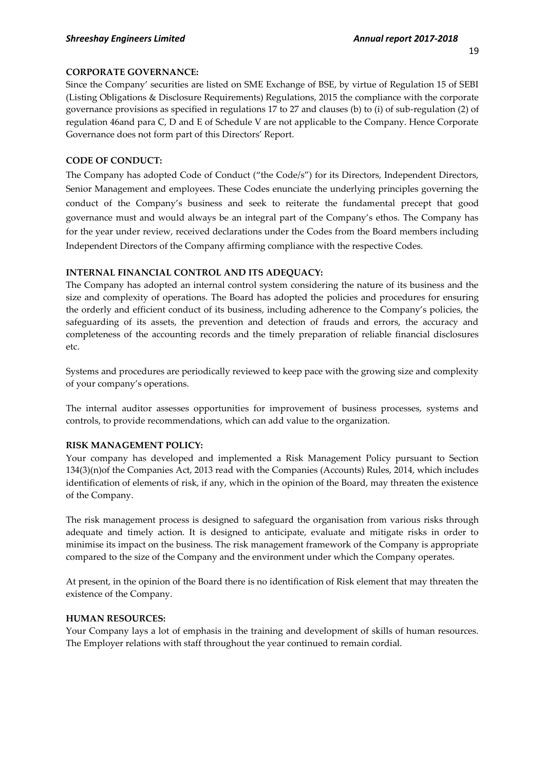#### **CORPORATE GOVERNANCE:**

Since the Company' securities are listed on SME Exchange of BSE, by virtue of Regulation 15 of SEBI (Listing Obligations & Disclosure Requirements) Regulations, 2015 the compliance with the corporate governance provisions as specified in regulations 17 to 27 and clauses (b) to (i) of sub-regulation (2) of regulation 46and para C, D and E of Schedule V are not applicable to the Company. Hence Corporate Governance does not form part of this Directors' Report.

#### **CODE OF CONDUCT:**

The Company has adopted Code of Conduct ("the Code/s") for its Directors, Independent Directors, Senior Management and employees. These Codes enunciate the underlying principles governing the conduct of the Company's business and seek to reiterate the fundamental precept that good governance must and would always be an integral part of the Company's ethos. The Company has for the year under review, received declarations under the Codes from the Board members including Independent Directors of the Company affirming compliance with the respective Codes.

#### **INTERNAL FINANCIAL CONTROL AND ITS ADEQUACY:**

The Company has adopted an internal control system considering the nature of its business and the size and complexity of operations. The Board has adopted the policies and procedures for ensuring the orderly and efficient conduct of its business, including adherence to the Company's policies, the safeguarding of its assets, the prevention and detection of frauds and errors, the accuracy and completeness of the accounting records and the timely preparation of reliable financial disclosures etc.

Systems and procedures are periodically reviewed to keep pace with the growing size and complexity of your company's operations.

The internal auditor assesses opportunities for improvement of business processes, systems and controls, to provide recommendations, which can add value to the organization.

#### **RISK MANAGEMENT POLICY:**

Your company has developed and implemented a Risk Management Policy pursuant to Section 134(3)(n)of the Companies Act, 2013 read with the Companies (Accounts) Rules, 2014, which includes identification of elements of risk, if any, which in the opinion of the Board, may threaten the existence of the Company.

The risk management process is designed to safeguard the organisation from various risks through adequate and timely action. It is designed to anticipate, evaluate and mitigate risks in order to minimise its impact on the business. The risk management framework of the Company is appropriate compared to the size of the Company and the environment under which the Company operates.

At present, in the opinion of the Board there is no identification of Risk element that may threaten the existence of the Company.

#### **HUMAN RESOURCES:**

Your Company lays a lot of emphasis in the training and development of skills of human resources. The Employer relations with staff throughout the year continued to remain cordial.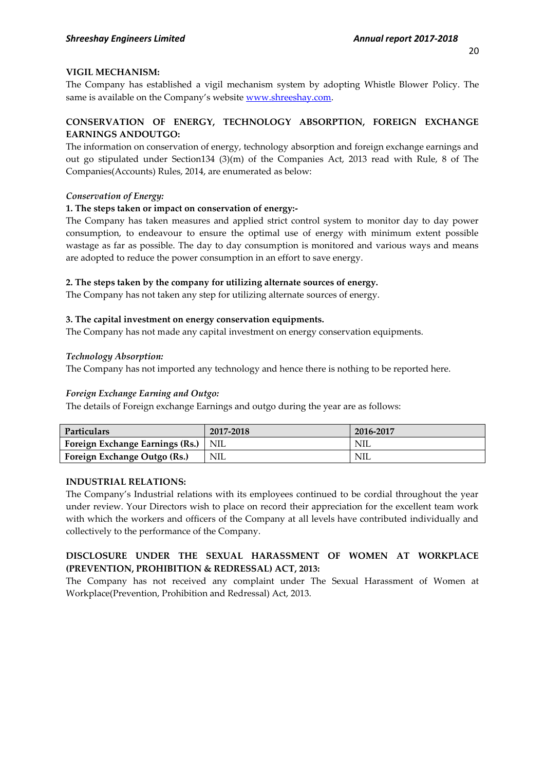#### **VIGIL MECHANISM:**

The Company has established a vigil mechanism system by adopting Whistle Blower Policy. The same is available on the Company's website [www.shreeshay.com.](http://www.shreeshay.com/)

#### **CONSERVATION OF ENERGY, TECHNOLOGY ABSORPTION, FOREIGN EXCHANGE EARNINGS ANDOUTGO:**

The information on conservation of energy, technology absorption and foreign exchange earnings and out go stipulated under Section134 (3)(m) of the Companies Act, 2013 read with Rule, 8 of The Companies(Accounts) Rules, 2014, are enumerated as below:

#### *Conservation of Energy:*

#### **1. The steps taken or impact on conservation of energy:-**

The Company has taken measures and applied strict control system to monitor day to day power consumption, to endeavour to ensure the optimal use of energy with minimum extent possible wastage as far as possible. The day to day consumption is monitored and various ways and means are adopted to reduce the power consumption in an effort to save energy.

#### **2. The steps taken by the company for utilizing alternate sources of energy.**

The Company has not taken any step for utilizing alternate sources of energy.

#### **3. The capital investment on energy conservation equipments.**

The Company has not made any capital investment on energy conservation equipments.

#### *Technology Absorption:*

The Company has not imported any technology and hence there is nothing to be reported here.

#### *Foreign Exchange Earning and Outgo:*

The details of Foreign exchange Earnings and outgo during the year are as follows:

| <b>Particulars</b>              | 2017-2018 | 2016-2017 |
|---------------------------------|-----------|-----------|
| Foreign Exchange Earnings (Rs.) | NIL       | NIL       |
| Foreign Exchange Outgo (Rs.)    | NIL       | NIL       |

#### **INDUSTRIAL RELATIONS:**

The Company's Industrial relations with its employees continued to be cordial throughout the year under review. Your Directors wish to place on record their appreciation for the excellent team work with which the workers and officers of the Company at all levels have contributed individually and collectively to the performance of the Company.

#### **DISCLOSURE UNDER THE SEXUAL HARASSMENT OF WOMEN AT WORKPLACE (PREVENTION, PROHIBITION & REDRESSAL) ACT, 2013:**

The Company has not received any complaint under The Sexual Harassment of Women at Workplace(Prevention, Prohibition and Redressal) Act, 2013.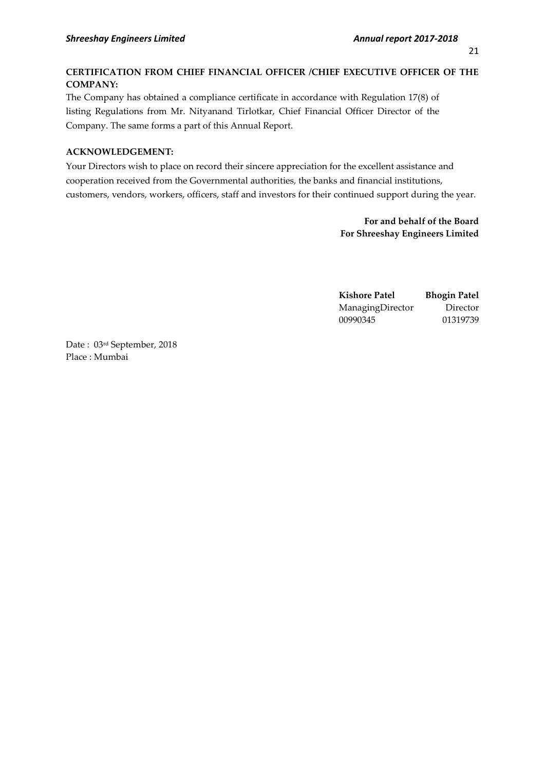#### 21

#### **CERTIFICATION FROM CHIEF FINANCIAL OFFICER /CHIEF EXECUTIVE OFFICER OF THE COMPANY:**

The Company has obtained a compliance certificate in accordance with Regulation 17(8) of listing Regulations from Mr. Nityanand Tirlotkar, Chief Financial Officer Director of the Company. The same forms a part of this Annual Report.

#### **ACKNOWLEDGEMENT:**

Your Directors wish to place on record their sincere appreciation for the excellent assistance and cooperation received from the Governmental authorities, the banks and financial institutions, customers, vendors, workers, officers, staff and investors for their continued support during the year.

> **For and behalf of the Board For Shreeshay Engineers Limited**

**Kishore Patel Bhogin Patel** ManagingDirector Director 00990345 01319739

Date : 03rd September, 2018 Place : Mumbai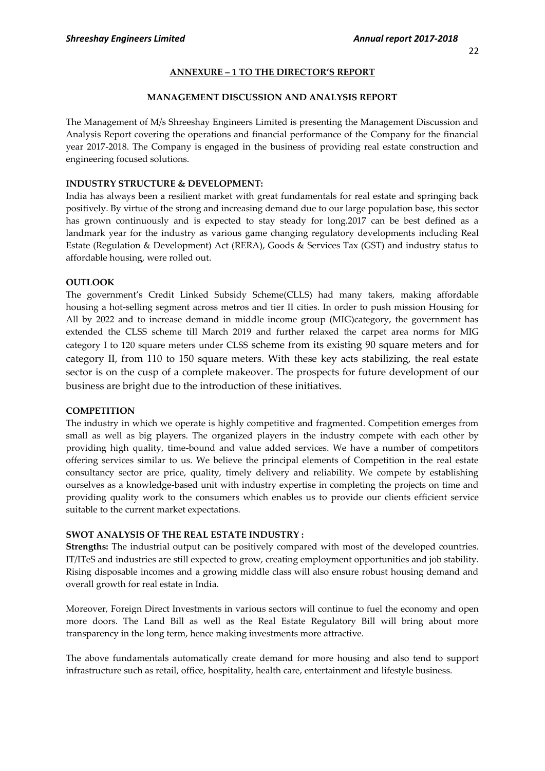#### **ANNEXURE – 1 TO THE DIRECTOR'S REPORT**

#### **MANAGEMENT DISCUSSION AND ANALYSIS REPORT**

The Management of M/s Shreeshay Engineers Limited is presenting the Management Discussion and Analysis Report covering the operations and financial performance of the Company for the financial year 2017-2018. The Company is engaged in the business of providing real estate construction and engineering focused solutions.

#### **INDUSTRY STRUCTURE & DEVELOPMENT:**

India has always been a resilient market with great fundamentals for real estate and springing back positively. By virtue of the strong and increasing demand due to our large population base, this sector has grown continuously and is expected to stay steady for long.2017 can be best defined as a landmark year for the industry as various game changing regulatory developments including Real Estate (Regulation & Development) Act (RERA), Goods & Services Tax (GST) and industry status to affordable housing, were rolled out.

#### **OUTLOOK**

The government's Credit Linked Subsidy Scheme(CLLS) had many takers, making affordable housing a hot-selling segment across metros and tier II cities. In order to push mission Housing for All by 2022 and to increase demand in middle income group (MIG)category, the government has extended the CLSS scheme till March 2019 and further relaxed the carpet area norms for MIG category I to 120 square meters under CLSS scheme from its existing 90 square meters and for category II, from 110 to 150 square meters. With these key acts stabilizing, the real estate sector is on the cusp of a complete makeover. The prospects for future development of our business are bright due to the introduction of these initiatives.

#### **COMPETITION**

The industry in which we operate is highly competitive and fragmented. Competition emerges from small as well as big players. The organized players in the industry compete with each other by providing high quality, time-bound and value added services. We have a number of competitors offering services similar to us. We believe the principal elements of Competition in the real estate consultancy sector are price, quality, timely delivery and reliability. We compete by establishing ourselves as a knowledge-based unit with industry expertise in completing the projects on time and providing quality work to the consumers which enables us to provide our clients efficient service suitable to the current market expectations.

#### **SWOT ANALYSIS OF THE REAL ESTATE INDUSTRY :**

**Strengths:** The industrial output can be positively compared with most of the developed countries. IT/ITeS and industries are still expected to grow, creating employment opportunities and job stability. Rising disposable incomes and a growing middle class will also ensure robust housing demand and overall growth for real estate in India.

Moreover, Foreign Direct Investments in various sectors will continue to fuel the economy and open more doors. The Land Bill as well as the Real Estate Regulatory Bill will bring about more transparency in the long term, hence making investments more attractive.

The above fundamentals automatically create demand for more housing and also tend to support infrastructure such as retail, office, hospitality, health care, entertainment and lifestyle business.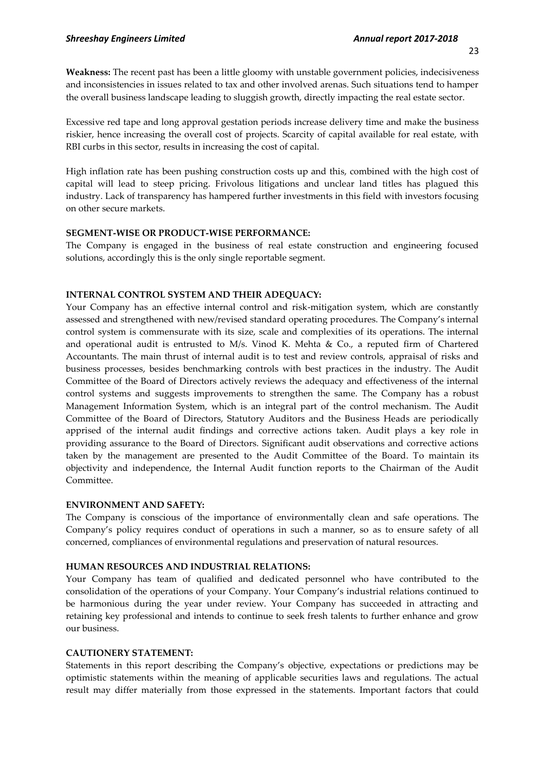**Weakness:** The recent past has been a little gloomy with unstable government policies, indecisiveness and inconsistencies in issues related to tax and other involved arenas. Such situations tend to hamper the overall business landscape leading to sluggish growth, directly impacting the real estate sector.

Excessive red tape and long approval gestation periods increase delivery time and make the business riskier, hence increasing the overall cost of projects. Scarcity of capital available for real estate, with RBI curbs in this sector, results in increasing the cost of capital.

High inflation rate has been pushing construction costs up and this, combined with the high cost of capital will lead to steep pricing. Frivolous litigations and unclear land titles has plagued this industry. Lack of transparency has hampered further investments in this field with investors focusing on other secure markets.

#### **SEGMENT-WISE OR PRODUCT-WISE PERFORMANCE:**

The Company is engaged in the business of real estate construction and engineering focused solutions, accordingly this is the only single reportable segment.

#### **INTERNAL CONTROL SYSTEM AND THEIR ADEQUACY:**

Your Company has an effective internal control and risk-mitigation system, which are constantly assessed and strengthened with new/revised standard operating procedures. The Company's internal control system is commensurate with its size, scale and complexities of its operations. The internal and operational audit is entrusted to M/s. Vinod K. Mehta & Co., a reputed firm of Chartered Accountants. The main thrust of internal audit is to test and review controls, appraisal of risks and business processes, besides benchmarking controls with best practices in the industry. The Audit Committee of the Board of Directors actively reviews the adequacy and effectiveness of the internal control systems and suggests improvements to strengthen the same. The Company has a robust Management Information System, which is an integral part of the control mechanism. The Audit Committee of the Board of Directors, Statutory Auditors and the Business Heads are periodically apprised of the internal audit findings and corrective actions taken. Audit plays a key role in providing assurance to the Board of Directors. Significant audit observations and corrective actions taken by the management are presented to the Audit Committee of the Board. To maintain its objectivity and independence, the Internal Audit function reports to the Chairman of the Audit Committee.

#### **ENVIRONMENT AND SAFETY:**

The Company is conscious of the importance of environmentally clean and safe operations. The Company's policy requires conduct of operations in such a manner, so as to ensure safety of all concerned, compliances of environmental regulations and preservation of natural resources.

#### **HUMAN RESOURCES AND INDUSTRIAL RELATIONS:**

Your Company has team of qualified and dedicated personnel who have contributed to the consolidation of the operations of your Company. Your Company's industrial relations continued to be harmonious during the year under review. Your Company has succeeded in attracting and retaining key professional and intends to continue to seek fresh talents to further enhance and grow our business.

#### **CAUTIONERY STATEMENT:**

Statements in this report describing the Company's objective, expectations or predictions may be optimistic statements within the meaning of applicable securities laws and regulations. The actual result may differ materially from those expressed in the statements. Important factors that could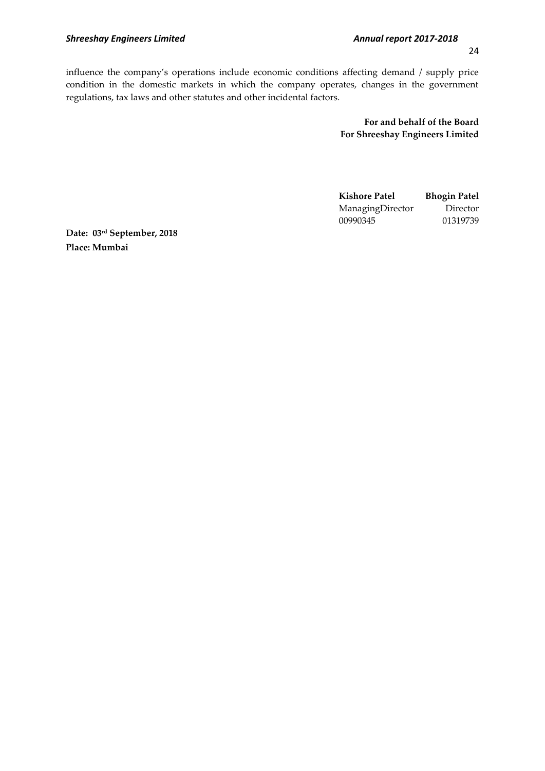influence the company's operations include economic conditions affecting demand / supply price condition in the domestic markets in which the company operates, changes in the government regulations, tax laws and other statutes and other incidental factors.

> **For and behalf of the Board For Shreeshay Engineers Limited**

| Kishore Patel    | <b>Bhogin Patel</b> |
|------------------|---------------------|
| ManagingDirector | Director            |
| 00990345         | 01319739            |

**Date: 03rd September, 2018 Place: Mumbai**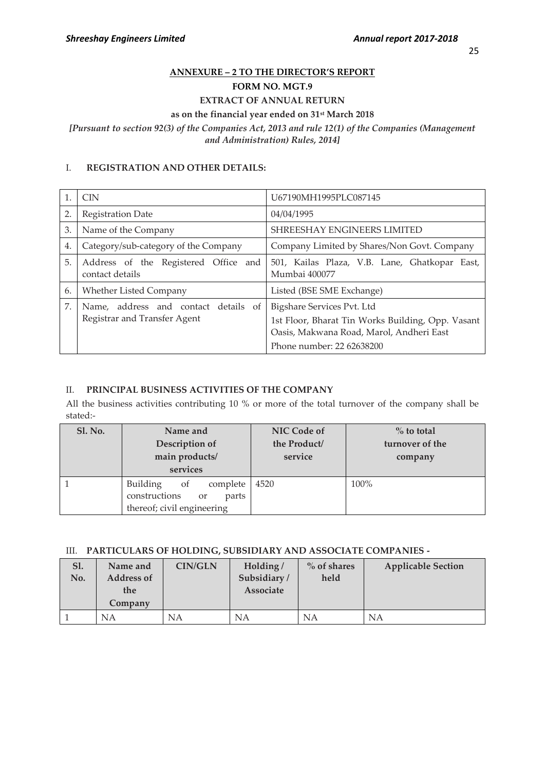#### **ANNEXURE – 2 TO THE DIRECTOR'S REPORT**

#### **FORM NO. MGT.9**

#### **EXTRACT OF ANNUAL RETURN**

#### **as on the financial year ended on 31st March 2018**

*[Pursuant to section 92(3) of the Companies Act, 2013 and rule 12(1) of the Companies (Management and Administration) Rules, 2014]*

#### I. **REGISTRATION AND OTHER DETAILS:**

|    | <b>CIN</b>                                                           | U67190MH1995PLC087145                                                                                                                                    |  |  |  |
|----|----------------------------------------------------------------------|----------------------------------------------------------------------------------------------------------------------------------------------------------|--|--|--|
| 2. | <b>Registration Date</b>                                             | 04/04/1995                                                                                                                                               |  |  |  |
| 3. | Name of the Company                                                  | <b>SHREESHAY ENGINEERS LIMITED</b>                                                                                                                       |  |  |  |
| 4. | Category/sub-category of the Company                                 | Company Limited by Shares/Non Govt. Company                                                                                                              |  |  |  |
| 5. | Address of the Registered Office and<br>contact details              | 501, Kailas Plaza, V.B. Lane, Ghatkopar East,<br>Mumbai 400077                                                                                           |  |  |  |
| 6. | Whether Listed Company                                               | Listed (BSE SME Exchange)                                                                                                                                |  |  |  |
| 7. | Name, address and contact details of<br>Registrar and Transfer Agent | Bigshare Services Pvt. Ltd<br>1st Floor, Bharat Tin Works Building, Opp. Vasant<br>Oasis, Makwana Road, Marol, Andheri East<br>Phone number: 22 62638200 |  |  |  |

#### II. **PRINCIPAL BUSINESS ACTIVITIES OF THE COMPANY**

All the business activities contributing 10 % or more of the total turnover of the company shall be stated:-

| <b>Sl. No.</b> | Name and<br>Description of<br>main products/<br>services                                                              | NIC Code of<br>the Product/<br>service |      |
|----------------|-----------------------------------------------------------------------------------------------------------------------|----------------------------------------|------|
|                | complete<br><b>Building</b><br><sub>of</sub><br>constructions<br>parts<br><sub>or</sub><br>thereof; civil engineering | 4520                                   | 100% |

#### III. **PARTICULARS OF HOLDING, SUBSIDIARY AND ASSOCIATE COMPANIES -**

| <b>Sl.</b><br>No. | Name and<br><b>Address of</b><br>the<br>Company | <b>CIN/GLN</b> | Holding/<br>Subsidiary/<br>Associate | $%$ of shares<br>held | <b>Applicable Section</b> |
|-------------------|-------------------------------------------------|----------------|--------------------------------------|-----------------------|---------------------------|
|                   | NA                                              | ΝA             | NA                                   | NA                    | NA                        |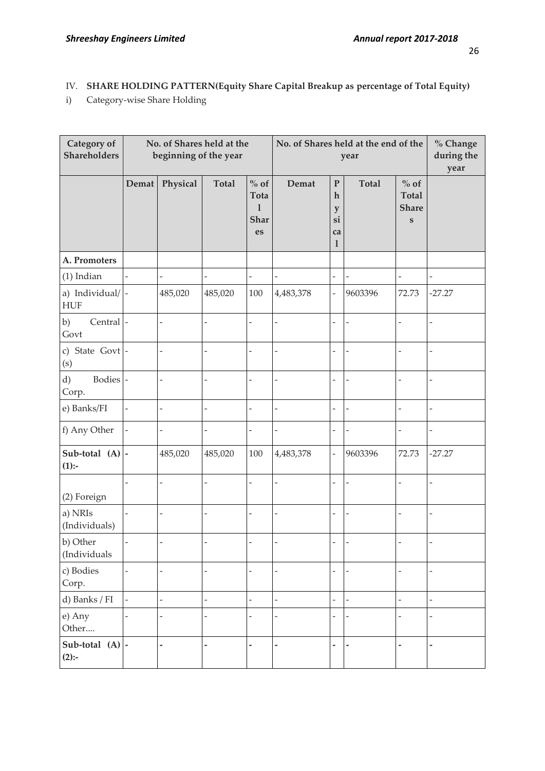## IV. **SHARE HOLDING PATTERN(Equity Share Capital Breakup as percentage of Total Equity)**

i) Category-wise Share Holding

| Category of<br><b>Shareholders</b> | No. of Shares held at the<br>No. of Shares held at the end of the<br>beginning of the year<br>year |                |                   |                                          |                          |                                                             |                              |                                                        |                |  |
|------------------------------------|----------------------------------------------------------------------------------------------------|----------------|-------------------|------------------------------------------|--------------------------|-------------------------------------------------------------|------------------------------|--------------------------------------------------------|----------------|--|
|                                    | Demat                                                                                              | Physical       | <b>Total</b>      | $%$ of<br>Tota<br>1<br><b>Shar</b><br>es | Demat                    | $\mathbf P$<br>$\mathbf h$<br>y<br>si<br>ca<br>$\mathbf{l}$ | <b>Total</b>                 | $%$ of<br><b>Total</b><br><b>Share</b><br>$\mathbf{s}$ |                |  |
| A. Promoters                       |                                                                                                    |                |                   |                                          |                          |                                                             |                              |                                                        |                |  |
| $(1)$ Indian                       |                                                                                                    |                |                   | $\frac{1}{2}$                            |                          | -                                                           | $\qquad \qquad \blacksquare$ |                                                        |                |  |
| a) Individual/<br><b>HUF</b>       | $\overline{\phantom{a}}$                                                                           | 485,020        | 485,020           | 100                                      | 4,483,378                | $\frac{1}{2}$                                               | 9603396                      | 72.73                                                  | $-27.27$       |  |
| Central -<br>b)<br>Govt            |                                                                                                    | $\overline{a}$ | $\overline{a}$    | $\overline{a}$                           | $\overline{a}$           | $\overline{a}$                                              | $\overline{a}$               | $\overline{a}$                                         | $\overline{a}$ |  |
| c) State Govt -<br>(s)             |                                                                                                    |                | $\overline{a}$    | $\overline{a}$                           | $\overline{a}$           | -                                                           |                              | $\overline{\phantom{0}}$                               |                |  |
| d)<br><b>Bodies</b><br>Corp.       | $\overline{a}$                                                                                     |                |                   | $\overline{a}$                           | $\overline{a}$           |                                                             | $\overline{a}$               | $\overline{a}$                                         |                |  |
| e) Banks/FI                        | $\overline{a}$                                                                                     | $\overline{a}$ | ÷                 | $\overline{a}$                           | $\overline{\phantom{0}}$ | L,                                                          | $\overline{a}$               | $\overline{\phantom{0}}$                               |                |  |
| f) Any Other                       |                                                                                                    |                | $\qquad \qquad -$ | $\overline{a}$                           | $\overline{a}$           |                                                             | $\overline{\phantom{0}}$     | -                                                      | -              |  |
| Sub-total $(A)$ -<br>(1):          |                                                                                                    | 485,020        | 485,020           | 100                                      | 4,483,378                | $\overline{a}$                                              | 9603396                      | 72.73                                                  | $-27.27$       |  |
| (2) Foreign                        |                                                                                                    |                |                   | $\overline{a}$                           | $\overline{a}$           | $\overline{\phantom{0}}$                                    |                              | $\overline{\phantom{0}}$                               |                |  |
| a) NRIs<br>(Individuals)           |                                                                                                    |                |                   |                                          | $\overline{a}$           | -                                                           |                              | -                                                      |                |  |
| b) Other<br>(Individuals           | $\overline{a}$                                                                                     |                |                   | $\overline{a}$                           | $\overline{a}$           | L                                                           | $\overline{a}$               |                                                        |                |  |
| c) Bodies<br>Corp.                 |                                                                                                    |                |                   | $\overline{a}$                           | $\overline{\phantom{a}}$ | $\overline{\phantom{0}}$                                    |                              | $\overline{\phantom{0}}$                               |                |  |
| d) Banks / FI                      |                                                                                                    |                | $\overline{a}$    |                                          |                          |                                                             |                              | -                                                      |                |  |
| e) Any<br>Other                    |                                                                                                    |                |                   |                                          |                          |                                                             |                              | -                                                      |                |  |
| Sub-total (A) -<br>(2):            |                                                                                                    |                |                   |                                          |                          | -                                                           |                              |                                                        |                |  |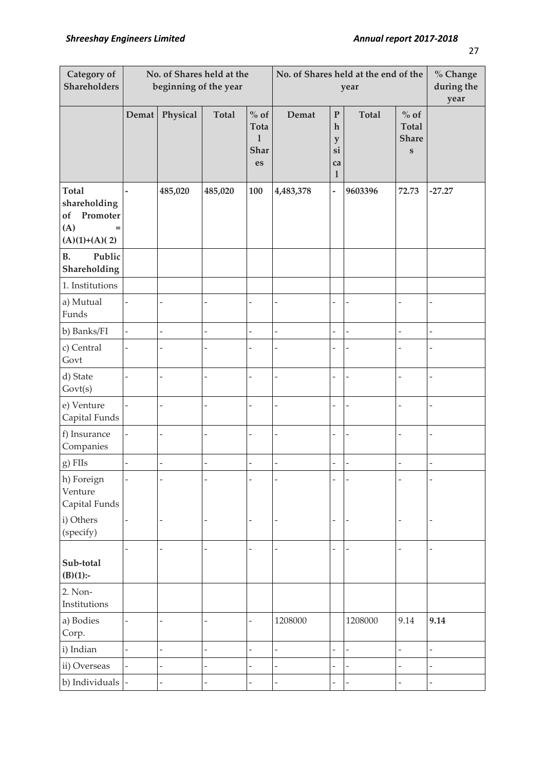| ٠<br>. . |  |
|----------|--|
|          |  |

| Category of<br><b>Shareholders</b>                                              |                          | beginning of the year    |                          | No. of Shares held at the<br>No. of Shares held at the end of the<br>year |                          |                                                                                     |                          |                                                        | % Change<br>during the<br>year |
|---------------------------------------------------------------------------------|--------------------------|--------------------------|--------------------------|---------------------------------------------------------------------------|--------------------------|-------------------------------------------------------------------------------------|--------------------------|--------------------------------------------------------|--------------------------------|
|                                                                                 | Demat                    | Physical                 | <b>Total</b>             | $%$ of<br>Tota<br>$\mathbf{1}$<br><b>Shar</b><br>es                       | Demat                    | $\mathbf P$<br>$\mathbf h$<br>$\mathbf{y}$<br>$\boldsymbol{\mathrm{s}i}$<br>ca<br>1 | <b>Total</b>             | $%$ of<br><b>Total</b><br><b>Share</b><br>$\mathbf{s}$ |                                |
| <b>Total</b><br>shareholding<br>Promoter<br>of<br>(A)<br>$=$<br>$(A)(1)+(A)(2)$ |                          | 485,020                  | 485,020                  | 100                                                                       | 4,483,378                | $\frac{1}{2}$                                                                       | 9603396                  | 72.73                                                  | $-27.27$                       |
| <b>B.</b><br>Public<br>Shareholding                                             |                          |                          |                          |                                                                           |                          |                                                                                     |                          |                                                        |                                |
| 1. Institutions                                                                 |                          |                          |                          |                                                                           |                          |                                                                                     |                          |                                                        |                                |
| a) Mutual<br>Funds                                                              | $\frac{1}{2}$            |                          | $\overline{a}$           | -                                                                         |                          | $\bar{\phantom{a}}$                                                                 | $\overline{\phantom{m}}$ | -                                                      | -                              |
| b) Banks/FI                                                                     | $\overline{\phantom{a}}$ | $\overline{\phantom{a}}$ | $\frac{1}{2}$            | $\overline{a}$                                                            | $\overline{\phantom{a}}$ | $\overline{\phantom{0}}$                                                            | $\overline{\phantom{a}}$ | $\overline{\phantom{0}}$                               | $\overline{\phantom{0}}$       |
| c) Central<br>Govt                                                              | $\frac{1}{2}$            |                          | $\overline{a}$           |                                                                           | L,                       | $\overline{\phantom{0}}$                                                            | $\overline{\phantom{0}}$ | -                                                      | -                              |
| d) State<br>Govt(s)                                                             | $\frac{1}{2}$            |                          | $\overline{a}$           |                                                                           |                          | $\overline{\phantom{0}}$                                                            |                          | -                                                      | -                              |
| e) Venture<br>Capital Funds                                                     | $\overline{\phantom{a}}$ |                          | $\overline{\phantom{0}}$ |                                                                           | L,                       | $\overline{\phantom{0}}$                                                            | $\frac{1}{2}$            | -                                                      | -                              |
| f) Insurance<br>Companies                                                       | $\frac{1}{2}$            | -                        | $\overline{a}$           | $\overline{a}$                                                            | Ξ                        | $\overline{\phantom{0}}$                                                            | $\frac{1}{2}$            | -                                                      | -                              |
| g) FIIs                                                                         | $\overline{a}$           |                          | $\overline{a}$           |                                                                           | $\overline{a}$           | $\overline{\phantom{0}}$                                                            | $\overline{a}$           | -                                                      | -                              |
| h) Foreign<br>Venture<br>Capital Funds                                          |                          |                          |                          |                                                                           |                          |                                                                                     |                          |                                                        |                                |
| i) Others<br>(specify)                                                          |                          |                          |                          |                                                                           |                          | $\overline{\phantom{0}}$                                                            |                          |                                                        |                                |
| Sub-total<br>$(B)(1)$ :-                                                        |                          |                          |                          |                                                                           |                          | $\overline{a}$                                                                      |                          |                                                        |                                |
| 2. Non-<br>Institutions                                                         |                          |                          |                          |                                                                           |                          |                                                                                     |                          |                                                        |                                |
| a) Bodies<br>Corp.                                                              | $\overline{\phantom{0}}$ |                          | $\overline{a}$           | L                                                                         | 1208000                  |                                                                                     | 1208000                  | 9.14                                                   | 9.14                           |
| i) Indian                                                                       | $\overline{a}$           |                          | L,                       |                                                                           |                          | $\overline{\phantom{0}}$                                                            | $\overline{a}$           | -                                                      | -                              |
| ii) Overseas                                                                    | $\overline{\phantom{m}}$ |                          | $\overline{a}$           |                                                                           | $\overline{a}$           | $\overline{\phantom{0}}$                                                            | $\overline{a}$           | $\overline{\phantom{0}}$                               | $\overline{a}$                 |
| b) Individuals                                                                  |                          |                          |                          |                                                                           |                          |                                                                                     |                          |                                                        |                                |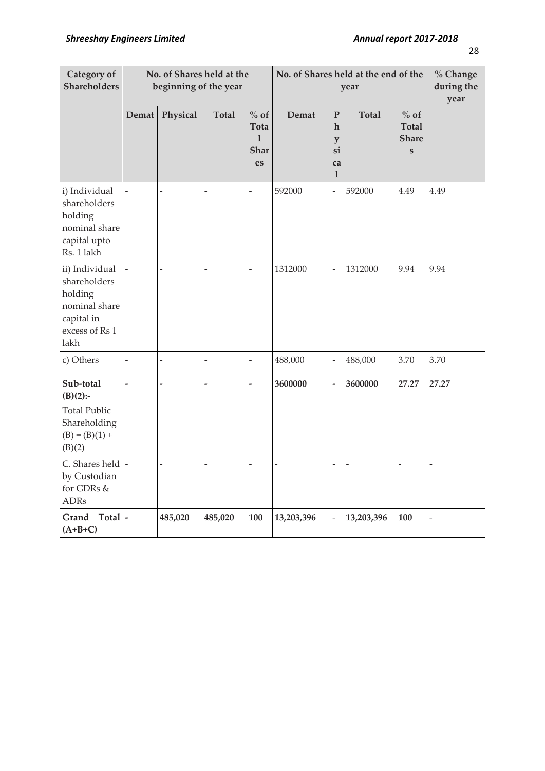| ٠ | ۰.<br>٦<br>×<br>×<br>۰, |
|---|-------------------------|
|   |                         |

| Category of<br><b>Shareholders</b>                                                                 |                | beginning of the year | No. of Shares held at the |                                          | No. of Shares held at the end of the |                                                                                   | year         |                                                        | % Change<br>during the<br>year |
|----------------------------------------------------------------------------------------------------|----------------|-----------------------|---------------------------|------------------------------------------|--------------------------------------|-----------------------------------------------------------------------------------|--------------|--------------------------------------------------------|--------------------------------|
|                                                                                                    | Demat          | Physical              | <b>Total</b>              | $%$ of<br>Tota<br>1<br><b>Shar</b><br>es | Demat                                | ${\bf P}$<br>h<br>$\mathbf y$<br>$\boldsymbol{\mathrm{s}i}$<br>ca<br>$\mathbf{1}$ | <b>Total</b> | $%$ of<br><b>Total</b><br><b>Share</b><br>$\mathbf{s}$ |                                |
| i) Individual<br>shareholders<br>holding<br>nominal share<br>capital upto<br>Rs. 1 lakh            |                |                       |                           | L                                        | 592000                               | $\overline{a}$                                                                    | 592000       | 4.49                                                   | 4.49                           |
| ii) Individual<br>shareholders<br>holding<br>nominal share<br>capital in<br>excess of Rs 1<br>lakh | $\overline{a}$ |                       | $\overline{a}$            |                                          | 1312000                              | $\overline{a}$                                                                    | 1312000      | 9.94                                                   | 9.94                           |
| c) Others                                                                                          | $\overline{a}$ | -                     | $\overline{a}$            | $\overline{a}$                           | 488,000                              | $\overline{a}$                                                                    | 488,000      | 3.70                                                   | 3.70                           |
| Sub-total<br>$(B)(2)$ :-<br><b>Total Public</b><br>Shareholding<br>$(B) = (B)(1) +$<br>(B)(2)      | L,             | Ĭ.                    | L,                        | L                                        | 3600000                              | $\overline{a}$                                                                    | 3600000      | 27.27                                                  | 27.27                          |
| C. Shares held -<br>by Custodian<br>for GDRs &<br><b>ADRs</b>                                      |                |                       |                           |                                          |                                      |                                                                                   |              |                                                        |                                |
| Total -<br>Grand<br>$(A+B+C)$                                                                      |                | 485,020               | 485,020                   | 100                                      | 13,203,396                           | $\overline{a}$                                                                    | 13,203,396   | 100                                                    | $\overline{a}$                 |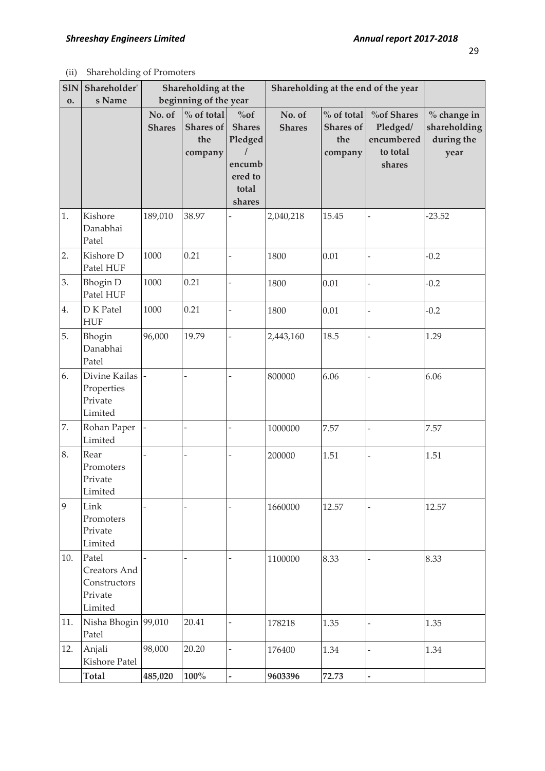## (ii) Shareholding of Promoters

| <b>SIN</b> | Shareholder'                                                |                          | Shareholding at the                         |                                                                             | Shareholding at the end of the year |                                             |                                                                   |                                                   |
|------------|-------------------------------------------------------------|--------------------------|---------------------------------------------|-----------------------------------------------------------------------------|-------------------------------------|---------------------------------------------|-------------------------------------------------------------------|---------------------------------------------------|
| 0.         | s Name                                                      |                          | beginning of the year                       |                                                                             |                                     |                                             |                                                                   |                                                   |
|            |                                                             | No. of<br><b>Shares</b>  | $%$ of total<br>Shares of<br>the<br>company | $\%$ of<br><b>Shares</b><br>Pledged<br>encumb<br>ered to<br>total<br>shares | No. of<br><b>Shares</b>             | $%$ of total<br>Shares of<br>the<br>company | <b>%of Shares</b><br>Pledged/<br>encumbered<br>to total<br>shares | % change in<br>shareholding<br>during the<br>year |
| 1.         | Kishore<br>Danabhai<br>Patel                                | 189,010                  | 38.97                                       |                                                                             | 2,040,218                           | 15.45                                       |                                                                   | $-23.52$                                          |
| 2.         | Kishore D<br>Patel HUF                                      | 1000                     | 0.21                                        |                                                                             | 1800                                | 0.01                                        |                                                                   | $-0.2$                                            |
| 3.         | <b>Bhogin D</b><br>Patel HUF                                | 1000                     | 0.21                                        |                                                                             | 1800                                | 0.01                                        |                                                                   | $-0.2$                                            |
| 4.         | D K Patel<br><b>HUF</b>                                     | 1000                     | 0.21                                        | $\overline{a}$                                                              | 1800                                | 0.01                                        |                                                                   | $-0.2$                                            |
| 5.         | Bhogin<br>Danabhai<br>Patel                                 | 96,000                   | 19.79                                       | $\overline{a}$                                                              | 2,443,160                           | 18.5                                        |                                                                   | 1.29                                              |
| 6.         | Divine Kailas -<br>Properties<br>Private<br>Limited         |                          |                                             |                                                                             | 800000                              | 6.06                                        |                                                                   | 6.06                                              |
| 7.         | Rohan Paper<br>Limited                                      | $\overline{\phantom{0}}$ |                                             |                                                                             | 1000000                             | 7.57                                        |                                                                   | 7.57                                              |
| 8.         | Rear<br>Promoters<br>Private<br>Limited                     |                          |                                             |                                                                             | 200000                              | 1.51                                        |                                                                   | 1.51                                              |
| 9          | Link<br>Promoters<br>Private<br>Limited                     |                          |                                             |                                                                             | 1660000                             | 12.57                                       |                                                                   | 12.57                                             |
| 10.        | Patel<br>Creators And<br>Constructors<br>Private<br>Limited |                          |                                             |                                                                             | 1100000                             | 8.33                                        |                                                                   | 8.33                                              |
| 11.        | Nisha Bhogin 99,010<br>Patel                                |                          | 20.41                                       | $\overline{a}$                                                              | 178218                              | 1.35                                        |                                                                   | 1.35                                              |
| 12.        | Anjali<br>Kishore Patel                                     | 98,000                   | 20.20                                       | $\overline{\phantom{0}}$                                                    | 176400                              | 1.34                                        |                                                                   | 1.34                                              |
|            | Total                                                       | 485,020                  | 100%                                        |                                                                             | 9603396                             | 72.73                                       |                                                                   |                                                   |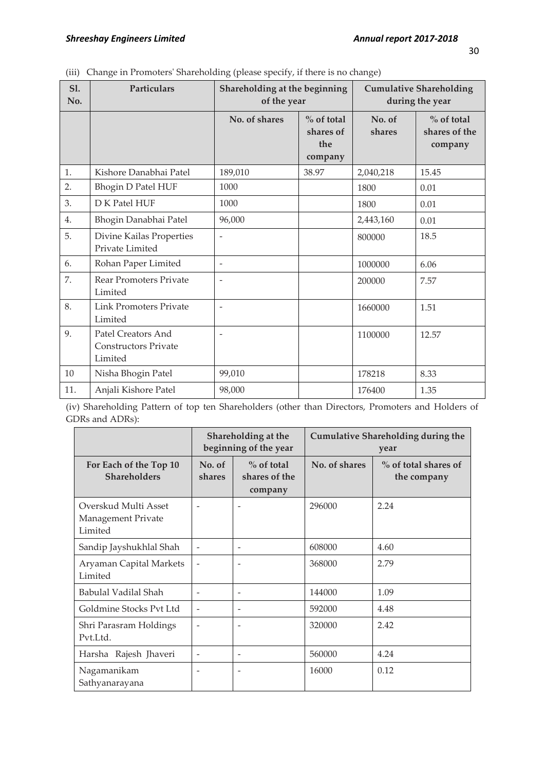| <b>S1.</b><br>No. | Particulars                                                         | Shareholding at the beginning<br>of the year |                                              | <b>Cumulative Shareholding</b><br>during the year |                                          |  |
|-------------------|---------------------------------------------------------------------|----------------------------------------------|----------------------------------------------|---------------------------------------------------|------------------------------------------|--|
|                   |                                                                     | No. of shares                                | $\%$ of total<br>shares of<br>the<br>company | No. of<br>shares                                  | $%$ of total<br>shares of the<br>company |  |
| 1.                | Kishore Danabhai Patel                                              | 189,010                                      | 38.97                                        | 2,040,218                                         | 15.45                                    |  |
| 2.                | <b>Bhogin D Patel HUF</b>                                           | 1000                                         |                                              | 1800                                              | 0.01                                     |  |
| 3.                | D K Patel HUF                                                       | 1000                                         |                                              | 1800                                              | 0.01                                     |  |
| 4.                | Bhogin Danabhai Patel                                               | 96,000                                       |                                              | 2,443,160                                         | 0.01                                     |  |
| 5.                | Divine Kailas Properties<br>Private Limited                         | $\overline{a}$                               |                                              | 800000                                            | 18.5                                     |  |
| 6.                | Rohan Paper Limited                                                 | $\overline{\phantom{0}}$                     |                                              | 1000000                                           | 6.06                                     |  |
| 7.                | <b>Rear Promoters Private</b><br>Limited                            | $\overline{a}$                               |                                              | 200000                                            | 7.57                                     |  |
| 8.                | <b>Link Promoters Private</b><br>Limited                            |                                              |                                              | 1660000                                           | 1.51                                     |  |
| 9.                | <b>Patel Creators And</b><br><b>Constructors Private</b><br>Limited | $\overline{\phantom{0}}$                     |                                              | 1100000                                           | 12.57                                    |  |
| 10                | Nisha Bhogin Patel                                                  | 99,010                                       |                                              | 178218                                            | 8.33                                     |  |
| 11.               | Anjali Kishore Patel                                                | 98,000                                       |                                              | 176400                                            | 1.35                                     |  |

(iii) Change in Promoters' Shareholding (please specify, if there is no change)

(iv) Shareholding Pattern of top ten Shareholders (other than Directors, Promoters and Holders of GDRs and ADRs):

|                                                       |                                                               | Shareholding at the<br>beginning of the year | <b>Cumulative Shareholding during the</b><br>year |                                       |  |  |
|-------------------------------------------------------|---------------------------------------------------------------|----------------------------------------------|---------------------------------------------------|---------------------------------------|--|--|
| For Each of the Top 10<br><b>Shareholders</b>         | $\%$ of total<br>No. of<br>shares of the<br>shares<br>company |                                              | No. of shares                                     | $%$ of total shares of<br>the company |  |  |
| Overskud Multi Asset<br>Management Private<br>Limited | $\overline{\phantom{0}}$                                      |                                              | 296000                                            | 2.24                                  |  |  |
| Sandip Jayshukhlal Shah                               | $\overline{\phantom{a}}$                                      |                                              | 608000                                            | 4.60                                  |  |  |
| Aryaman Capital Markets<br>Limited                    | $\overline{a}$                                                |                                              | 368000                                            | 2.79                                  |  |  |
| Babulal Vadilal Shah                                  |                                                               |                                              | 144000                                            | 1.09                                  |  |  |
| Goldmine Stocks Pvt Ltd                               | $\overline{\phantom{0}}$                                      |                                              | 592000                                            | 4.48                                  |  |  |
| Shri Parasram Holdings<br>Pvt.Ltd.                    |                                                               |                                              | 320000                                            | 2.42                                  |  |  |
| Harsha Rajesh Jhaveri                                 | $\qquad \qquad -$                                             |                                              | 560000                                            | 4.24                                  |  |  |
| Nagamanikam<br>Sathyanarayana                         |                                                               |                                              | 16000                                             | 0.12                                  |  |  |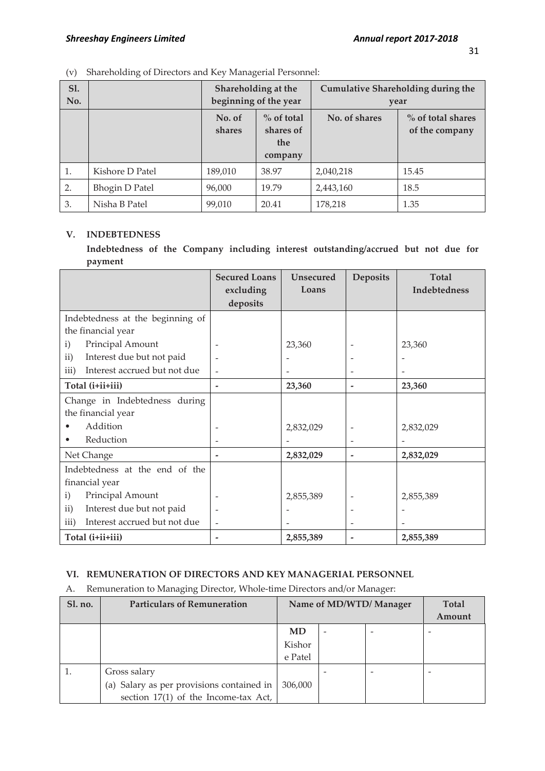| <b>S1.</b><br>No. |                       | Shareholding at the<br>beginning of the year |                                             | <b>Cumulative Shareholding during the</b><br>year |                                     |  |
|-------------------|-----------------------|----------------------------------------------|---------------------------------------------|---------------------------------------------------|-------------------------------------|--|
|                   |                       | No. of<br>shares                             | $%$ of total<br>shares of<br>the<br>company | No. of shares                                     | % of total shares<br>of the company |  |
| 1.                | Kishore D Patel       | 189,010                                      | 38.97                                       | 2,040,218                                         | 15.45                               |  |
| 2.                | <b>Bhogin D Patel</b> | 96,000                                       | 19.79                                       | 2,443,160                                         | 18.5                                |  |
| 3.                | Nisha B Patel         | 99,010                                       | 20.41                                       | 178,218                                           | 1.35                                |  |

(v) Shareholding of Directors and Key Managerial Personnel:

#### **V. INDEBTEDNESS**

**Indebtedness of the Company including interest outstanding/accrued but not due for payment**

|                                            | <b>Secured Loans</b> | Unsecured | <b>Deposits</b>       | <b>Total</b>             |
|--------------------------------------------|----------------------|-----------|-----------------------|--------------------------|
|                                            | excluding            | Loans     |                       | Indebtedness             |
|                                            | deposits             |           |                       |                          |
| Indebtedness at the beginning of           |                      |           |                       |                          |
| the financial year                         |                      |           |                       |                          |
| Principal Amount<br>$\mathbf{i}$           |                      | 23,360    |                       | 23,360                   |
| Interest due but not paid<br>$\mathbf{ii}$ |                      |           |                       |                          |
| Interest accrued but not due<br>iii)       |                      |           |                       |                          |
| Total (i+ii+iii)                           |                      | 23,360    | ۰                     | 23,360                   |
| Change in Indebtedness during              |                      |           |                       |                          |
| the financial year                         |                      |           |                       |                          |
| Addition                                   |                      | 2,832,029 |                       | 2,832,029                |
| Reduction                                  |                      |           |                       |                          |
| Net Change                                 |                      | 2,832,029 | $\tilde{\phantom{a}}$ | 2,832,029                |
| Indebtedness at the end of the             |                      |           |                       |                          |
| financial year                             |                      |           |                       |                          |
| Principal Amount<br>$\mathbf{i}$           |                      | 2,855,389 |                       | 2,855,389                |
| Interest due but not paid<br>$\mathbf{ii}$ |                      |           |                       | $\overline{\phantom{a}}$ |
| Interest accrued but not due<br>iii)       |                      |           |                       |                          |
| Total (i+ii+iii)                           |                      | 2,855,389 |                       | 2,855,389                |

#### **VI. REMUNERATION OF DIRECTORS AND KEY MANAGERIAL PERSONNEL**

|  |  |  | A. Remuneration to Managing Director, Whole-time Directors and/or Manager: |  |
|--|--|--|----------------------------------------------------------------------------|--|
|--|--|--|----------------------------------------------------------------------------|--|

| Sl. no. | <b>Particulars of Remuneration</b>        | Name of MD/WTD/ Manager |   | <b>Total</b><br>Amount |  |
|---------|-------------------------------------------|-------------------------|---|------------------------|--|
|         |                                           | <b>MD</b>               | - |                        |  |
|         |                                           | Kishor                  |   |                        |  |
|         |                                           | e Patel                 |   |                        |  |
| 1.      | Gross salary                              |                         |   |                        |  |
|         | (a) Salary as per provisions contained in | 306,000                 |   |                        |  |
|         | section $17(1)$ of the Income-tax Act,    |                         |   |                        |  |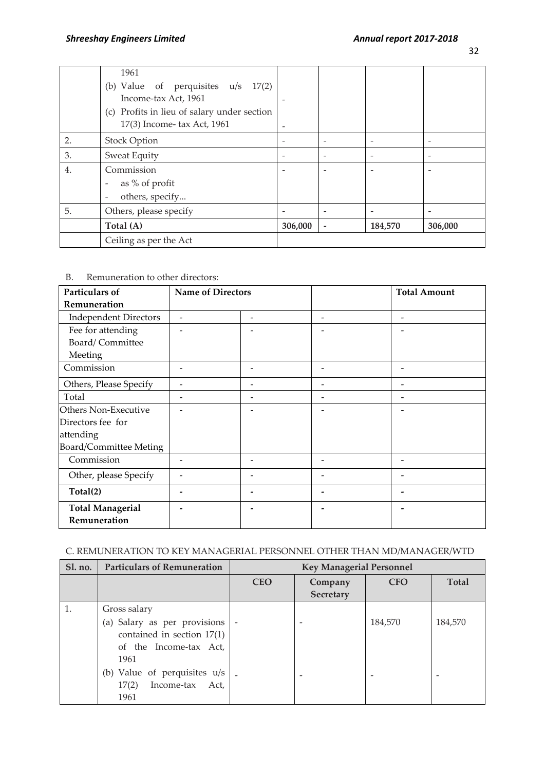|    | 1961<br>(b) Value of perquisites u/s<br>17(2)<br>Income-tax Act, 1961<br>(c) Profits in lieu of salary under section |         |                          |                 |                          |
|----|----------------------------------------------------------------------------------------------------------------------|---------|--------------------------|-----------------|--------------------------|
|    | 17(3) Income- tax Act, 1961                                                                                          |         |                          |                 |                          |
| 2. | <b>Stock Option</b>                                                                                                  |         |                          | -               | $\overline{\phantom{m}}$ |
| 3. | <b>Sweat Equity</b>                                                                                                  | ۰       | $\overline{\phantom{a}}$ | $\qquad \qquad$ | $\overline{\phantom{0}}$ |
| 4. | Commission                                                                                                           |         |                          |                 |                          |
|    | as % of profit<br>$\qquad \qquad -$                                                                                  |         |                          |                 |                          |
|    | others, specify<br>-                                                                                                 |         |                          |                 |                          |
| 5. | Others, please specify                                                                                               |         |                          |                 |                          |
|    | Total (A)                                                                                                            | 306,000 | ۰                        | 184,570         | 306,000                  |
|    | Ceiling as per the Act                                                                                               |         |                          |                 |                          |

#### B. Remuneration to other directors:

| Particulars of               | <b>Name of Directors</b> |  | <b>Total Amount</b> |
|------------------------------|--------------------------|--|---------------------|
| Remuneration                 |                          |  |                     |
| <b>Independent Directors</b> | -                        |  |                     |
| Fee for attending            |                          |  |                     |
| Board/Committee              |                          |  |                     |
| Meeting                      |                          |  |                     |
| Commission                   |                          |  |                     |
| Others, Please Specify       |                          |  |                     |
| Total                        |                          |  |                     |
| Others Non-Executive         |                          |  |                     |
| Directors fee for            |                          |  |                     |
| attending                    |                          |  |                     |
| Board/Committee Meting       |                          |  |                     |
| Commission                   |                          |  |                     |
| Other, please Specify        |                          |  |                     |
| Total(2)                     |                          |  |                     |
| <b>Total Managerial</b>      |                          |  |                     |
| Remuneration                 |                          |  |                     |

#### C. REMUNERATION TO KEY MANAGERIAL PERSONNEL OTHER THAN MD/MANAGER/WTD

| Sl. no. | <b>Particulars of Remuneration</b>                                                                                                                                                 |            | <b>Key Managerial Personnel</b> |            |              |
|---------|------------------------------------------------------------------------------------------------------------------------------------------------------------------------------------|------------|---------------------------------|------------|--------------|
|         |                                                                                                                                                                                    | <b>CEO</b> | Company                         | <b>CFO</b> | <b>Total</b> |
|         |                                                                                                                                                                                    |            | Secretary                       |            |              |
|         | Gross salary                                                                                                                                                                       |            |                                 |            |              |
|         | (a) Salary as per provisions   -<br>contained in section $17(1)$<br>of the Income-tax Act,<br>1961<br>(b) Value of perquisites $u/s$ $\vert$ .<br>Income-tax Act,<br>17(2)<br>1961 |            |                                 | 184,570    | 184,570      |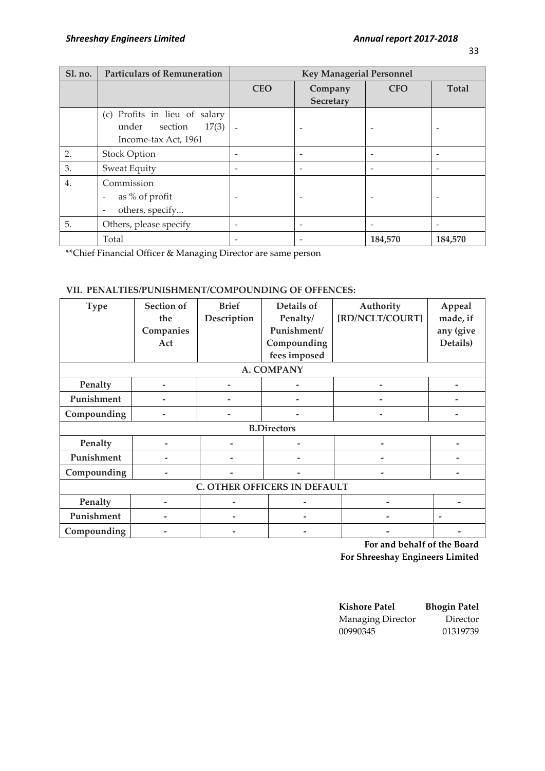| Sl. no. | <b>Particulars of Remuneration</b>         | <b>Key Managerial Personnel</b> |                          |            |                          |
|---------|--------------------------------------------|---------------------------------|--------------------------|------------|--------------------------|
|         |                                            | <b>CEO</b>                      | Company                  | <b>CFO</b> | <b>Total</b>             |
|         |                                            |                                 | Secretary                |            |                          |
|         | (c) Profits in lieu of salary              |                                 |                          |            |                          |
|         | 17(3)<br>under section                     |                                 |                          |            |                          |
|         | Income-tax Act, 1961                       |                                 |                          |            |                          |
| 2.      | <b>Stock Option</b>                        |                                 | $\overline{\phantom{0}}$ |            |                          |
| 3.      | <b>Sweat Equity</b>                        |                                 | $\overline{\phantom{0}}$ |            |                          |
| 4.      | Commission                                 |                                 |                          |            |                          |
|         | as % of profit<br>$\overline{\phantom{a}}$ |                                 |                          |            |                          |
|         | others, specify                            |                                 |                          |            |                          |
| 5.      | Others, please specify                     | $\qquad \qquad$                 | $\overline{\phantom{m}}$ | -          | $\overline{\phantom{0}}$ |
|         | Total                                      |                                 | $\overline{\phantom{m}}$ | 184,570    | 184,570                  |

\*\*Chief Financial Officer & Managing Director are same person

#### **VII. PENALTIES/PUNISHMENT/COMPOUNDING OF OFFENCES:**

| <b>Type</b>                  | Section of<br>the<br>Companies<br>Act | <b>Brief</b><br>Description | Details of<br>Penalty/<br>Punishment/<br>Compounding<br>fees imposed | Authority<br>[RD/NCLT/COURT] | Appeal<br>made, if<br>any (give<br>Details) |  |
|------------------------------|---------------------------------------|-----------------------------|----------------------------------------------------------------------|------------------------------|---------------------------------------------|--|
|                              |                                       |                             | A. COMPANY                                                           |                              |                                             |  |
| Penalty                      |                                       |                             |                                                                      |                              |                                             |  |
| Punishment                   |                                       |                             |                                                                      |                              |                                             |  |
| Compounding                  |                                       |                             |                                                                      |                              |                                             |  |
|                              |                                       |                             | <b>B.Directors</b>                                                   |                              |                                             |  |
| Penalty                      |                                       |                             |                                                                      |                              |                                             |  |
| Punishment                   |                                       |                             |                                                                      |                              |                                             |  |
| Compounding                  |                                       |                             |                                                                      |                              |                                             |  |
| C. OTHER OFFICERS IN DEFAULT |                                       |                             |                                                                      |                              |                                             |  |
| Penalty                      |                                       |                             |                                                                      |                              |                                             |  |
| Punishment                   |                                       |                             |                                                                      |                              |                                             |  |
| Compounding                  |                                       |                             |                                                                      |                              |                                             |  |

**For and behalf of the Board For Shreeshay Engineers Limited**

| <b>Kishore Patel</b> | <b>Bhogin Patel</b> |
|----------------------|---------------------|
| Managing Director    | Director            |
| 00990345             | 01319739            |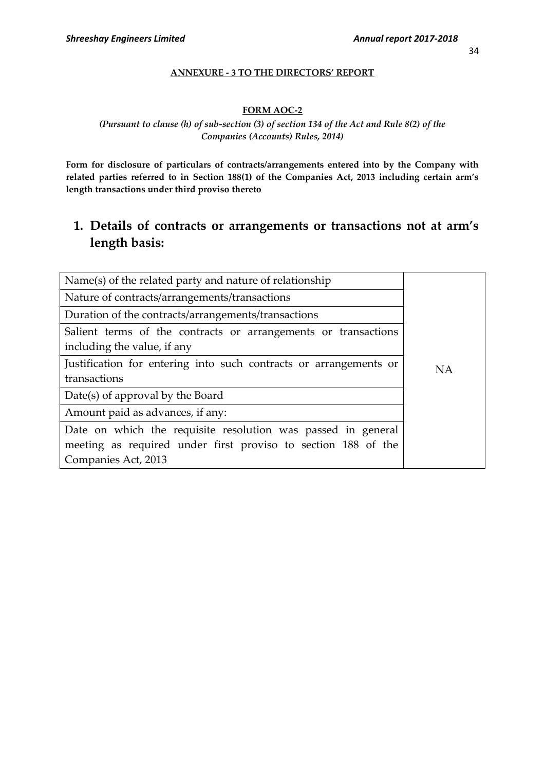#### **FORM AOC-2**

#### *(Pursuant to clause (h) of sub-section (3) of section 134 of the Act and Rule 8(2) of the Companies (Accounts) Rules, 2014)*

**Form for disclosure of particulars of contracts/arrangements entered into by the Company with related parties referred to in Section 188(1) of the Companies Act, 2013 including certain arm's length transactions under third proviso thereto**

## **1. Details of contracts or arrangements or transactions not at arm's length basis:**

| Name(s) of the related party and nature of relationship           |    |
|-------------------------------------------------------------------|----|
| Nature of contracts/arrangements/transactions                     |    |
| Duration of the contracts/arrangements/transactions               |    |
| Salient terms of the contracts or arrangements or transactions    |    |
| including the value, if any                                       |    |
| Justification for entering into such contracts or arrangements or | NA |
| transactions                                                      |    |
| Date(s) of approval by the Board                                  |    |
| Amount paid as advances, if any:                                  |    |
| Date on which the requisite resolution was passed in general      |    |
| meeting as required under first proviso to section 188 of the     |    |
| Companies Act, 2013                                               |    |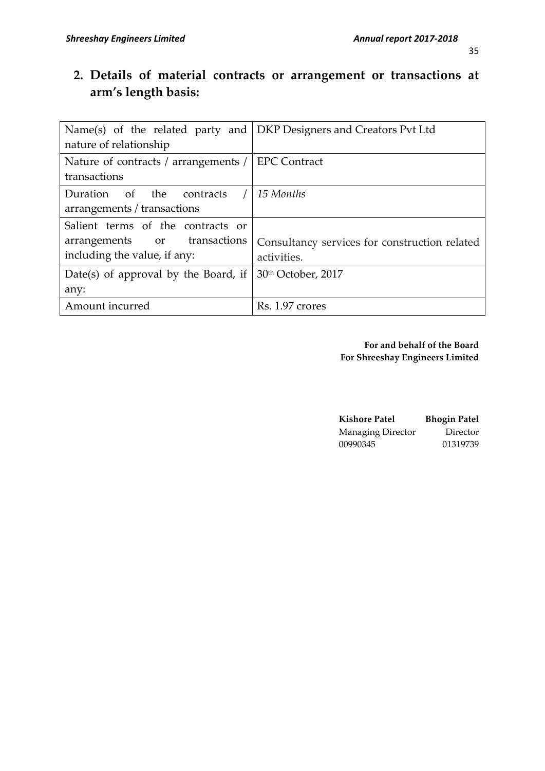**2. Details of material contracts or arrangement or transactions at arm's length basis:**

| Name(s) of the related party and   DKP Designers and Creators Pvt Ltd |                                               |
|-----------------------------------------------------------------------|-----------------------------------------------|
| nature of relationship                                                |                                               |
| Nature of contracts / arrangements /                                  | <b>EPC Contract</b>                           |
| transactions                                                          |                                               |
| Duration of the contracts /                                           | 15 Months                                     |
| arrangements / transactions                                           |                                               |
| Salient terms of the contracts or                                     |                                               |
| arrangements or transactions                                          | Consultancy services for construction related |
| including the value, if any:                                          | activities.                                   |
| Date(s) of approval by the Board, if                                  | 30 <sup>th</sup> October, 2017                |
| any:                                                                  |                                               |
| Amount incurred                                                       | Rs. 1.97 crores                               |

**For and behalf of the Board For Shreeshay Engineers Limited**

| <b>Kishore Patel</b>     | <b>Bhogin Patel</b> |
|--------------------------|---------------------|
| <b>Managing Director</b> | Director            |
| 00990345                 | 01319739            |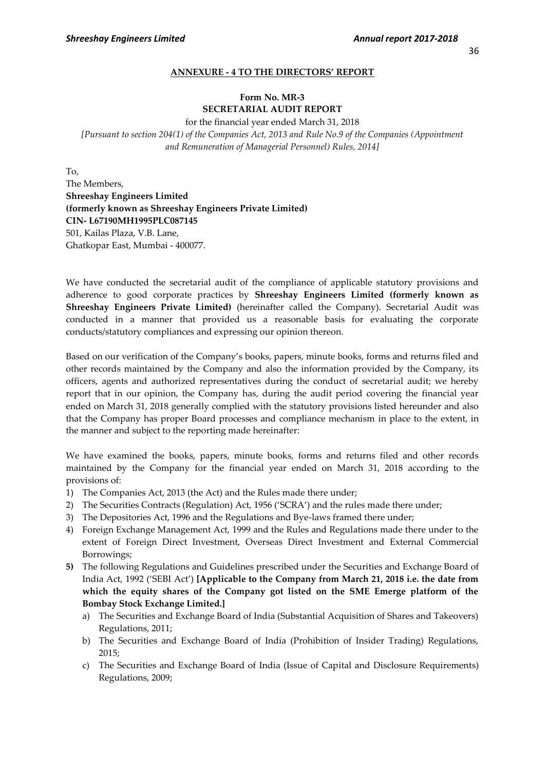#### **ANNEXURE - 4 TO THE DIRECTORS' REPORT**

#### **Form No. MR-3 SECRETARIAL AUDIT REPORT**

for the financial year ended March 31, 2018 *[Pursuant to section 204(1) of the Companies Act, 2013 and Rule No.9 of the Companies (Appointment and Remuneration of Managerial Personnel) Rules, 2014]*

To,

The Members, **Shreeshay Engineers Limited (formerly known as Shreeshay Engineers Private Limited) CIN- L67190MH1995PLC087145** 501, Kailas Plaza, V.B. Lane, Ghatkopar East, Mumbai - 400077.

We have conducted the secretarial audit of the compliance of applicable statutory provisions and adherence to good corporate practices by **Shreeshay Engineers Limited (formerly known as Shreeshay Engineers Private Limited)** (hereinafter called the Company). Secretarial Audit was conducted in a manner that provided us a reasonable basis for evaluating the corporate conducts/statutory compliances and expressing our opinion thereon.

Based on our verification of the Company's books, papers, minute books, forms and returns filed and other records maintained by the Company and also the information provided by the Company, its officers, agents and authorized representatives during the conduct of secretarial audit; we hereby report that in our opinion, the Company has, during the audit period covering the financial year ended on March 31, 2018 generally complied with the statutory provisions listed hereunder and also that the Company has proper Board processes and compliance mechanism in place to the extent, in the manner and subject to the reporting made hereinafter:

We have examined the books, papers, minute books, forms and returns filed and other records maintained by the Company for the financial year ended on March 31, 2018 according to the provisions of:

- 1) The Companies Act, 2013 (the Act) and the Rules made there under;
- 2) The Securities Contracts (Regulation) Act, 1956 ('SCRA') and the rules made there under;
- 3) The Depositories Act, 1996 and the Regulations and Bye-laws framed there under;
- 4) Foreign Exchange Management Act, 1999 and the Rules and Regulations made there under to the extent of Foreign Direct Investment, Overseas Direct Investment and External Commercial Borrowings;
- **5)** The following Regulations and Guidelines prescribed under the Securities and Exchange Board of India Act, 1992 ('SEBI Act') **[Applicable to the Company from March 21, 2018 i.e. the date from which the equity shares of the Company got listed on the SME Emerge platform of the Bombay Stock Exchange Limited.]**
	- a) The Securities and Exchange Board of India (Substantial Acquisition of Shares and Takeovers) Regulations, 2011;
	- b) The Securities and Exchange Board of India (Prohibition of Insider Trading) Regulations, 2015;
	- c) The Securities and Exchange Board of India (Issue of Capital and Disclosure Requirements) Regulations, 2009;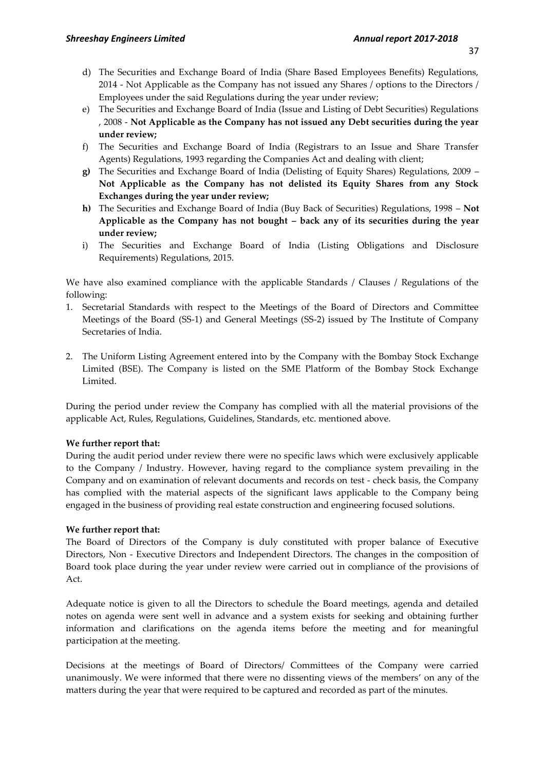- d) The Securities and Exchange Board of India (Share Based Employees Benefits) Regulations, 2014 - Not Applicable as the Company has not issued any Shares / options to the Directors / Employees under the said Regulations during the year under review;
- e) The Securities and Exchange Board of India (Issue and Listing of Debt Securities) Regulations , 2008 - **Not Applicable as the Company has not issued any Debt securities during the year under review;**
- f) The Securities and Exchange Board of India (Registrars to an Issue and Share Transfer Agents) Regulations, 1993 regarding the Companies Act and dealing with client;
- **g)** The Securities and Exchange Board of India (Delisting of Equity Shares) Regulations, 2009 **Not Applicable as the Company has not delisted its Equity Shares from any Stock Exchanges during the year under review;**
- **h)** The Securities and Exchange Board of India (Buy Back of Securities) Regulations, 1998 **Not Applicable as the Company has not bought – back any of its securities during the year under review;**
- i) The Securities and Exchange Board of India (Listing Obligations and Disclosure Requirements) Regulations, 2015.

We have also examined compliance with the applicable Standards / Clauses / Regulations of the following:

- 1. Secretarial Standards with respect to the Meetings of the Board of Directors and Committee Meetings of the Board (SS-1) and General Meetings (SS-2) issued by The Institute of Company Secretaries of India.
- 2. The Uniform Listing Agreement entered into by the Company with the Bombay Stock Exchange Limited (BSE). The Company is listed on the SME Platform of the Bombay Stock Exchange Limited.

During the period under review the Company has complied with all the material provisions of the applicable Act, Rules, Regulations, Guidelines, Standards, etc. mentioned above.

#### **We further report that:**

During the audit period under review there were no specific laws which were exclusively applicable to the Company / Industry. However, having regard to the compliance system prevailing in the Company and on examination of relevant documents and records on test - check basis, the Company has complied with the material aspects of the significant laws applicable to the Company being engaged in the business of providing real estate construction and engineering focused solutions.

#### **We further report that:**

The Board of Directors of the Company is duly constituted with proper balance of Executive Directors, Non - Executive Directors and Independent Directors. The changes in the composition of Board took place during the year under review were carried out in compliance of the provisions of Act.

Adequate notice is given to all the Directors to schedule the Board meetings, agenda and detailed notes on agenda were sent well in advance and a system exists for seeking and obtaining further information and clarifications on the agenda items before the meeting and for meaningful participation at the meeting.

Decisions at the meetings of Board of Directors/ Committees of the Company were carried unanimously. We were informed that there were no dissenting views of the members' on any of the matters during the year that were required to be captured and recorded as part of the minutes.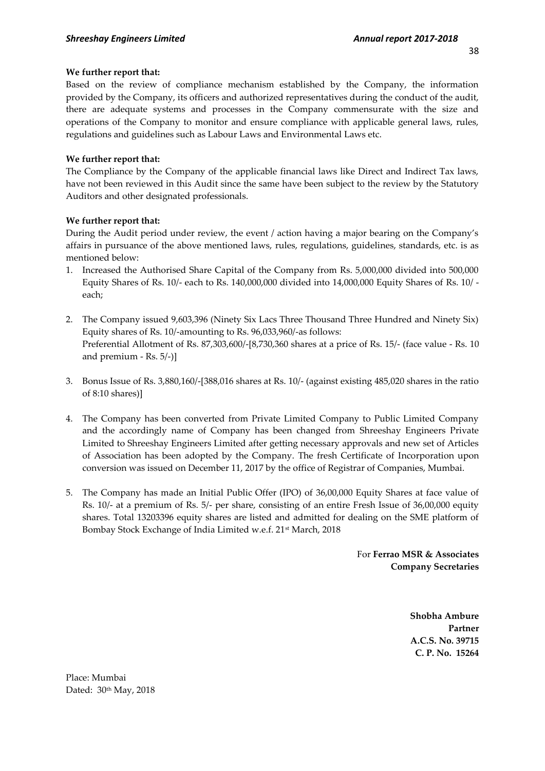38

#### **We further report that:**

Based on the review of compliance mechanism established by the Company, the information provided by the Company, its officers and authorized representatives during the conduct of the audit, there are adequate systems and processes in the Company commensurate with the size and operations of the Company to monitor and ensure compliance with applicable general laws, rules, regulations and guidelines such as Labour Laws and Environmental Laws etc.

#### **We further report that:**

The Compliance by the Company of the applicable financial laws like Direct and Indirect Tax laws, have not been reviewed in this Audit since the same have been subject to the review by the Statutory Auditors and other designated professionals.

#### **We further report that:**

During the Audit period under review, the event / action having a major bearing on the Company's affairs in pursuance of the above mentioned laws, rules, regulations, guidelines, standards, etc. is as mentioned below:

- 1. Increased the Authorised Share Capital of the Company from Rs. 5,000,000 divided into 500,000 Equity Shares of Rs. 10/- each to Rs. 140,000,000 divided into 14,000,000 Equity Shares of Rs. 10/ each;
- 2. The Company issued 9,603,396 (Ninety Six Lacs Three Thousand Three Hundred and Ninety Six) Equity shares of Rs. 10/-amounting to Rs. 96,033,960/-as follows: Preferential Allotment of Rs. 87,303,600/-[8,730,360 shares at a price of Rs. 15/- (face value - Rs. 10 and premium - Rs. 5/-)]
- 3. Bonus Issue of Rs. 3,880,160/-[388,016 shares at Rs. 10/- (against existing 485,020 shares in the ratio of 8:10 shares)]
- 4. The Company has been converted from Private Limited Company to Public Limited Company and the accordingly name of Company has been changed from Shreeshay Engineers Private Limited to Shreeshay Engineers Limited after getting necessary approvals and new set of Articles of Association has been adopted by the Company. The fresh Certificate of Incorporation upon conversion was issued on December 11, 2017 by the office of Registrar of Companies, Mumbai.
- 5. The Company has made an Initial Public Offer (IPO) of 36,00,000 Equity Shares at face value of Rs. 10/- at a premium of Rs. 5/- per share, consisting of an entire Fresh Issue of 36,00,000 equity shares. Total 13203396 equity shares are listed and admitted for dealing on the SME platform of Bombay Stock Exchange of India Limited w.e.f. 21st March, 2018

For **Ferrao MSR & Associates Company Secretaries**

> **Shobha Ambure Partner A.C.S. No. 39715 C. P. No. 15264**

Place: Mumbai Dated: 30th May, 2018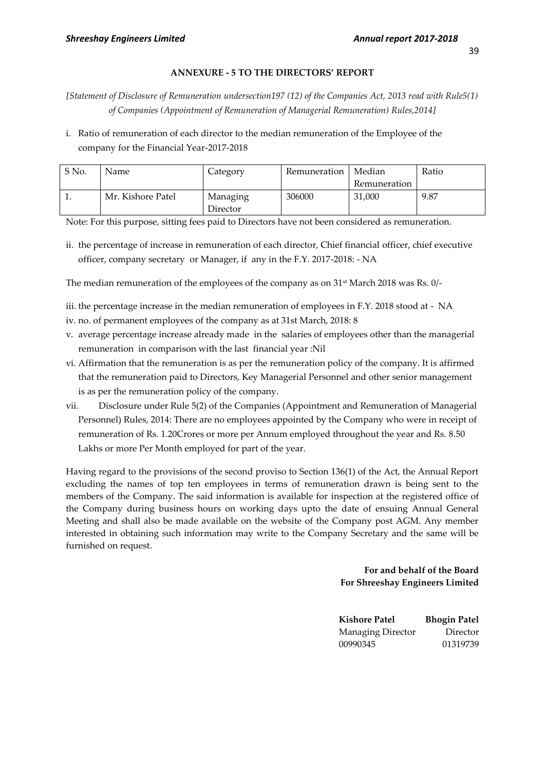#### 39

#### **ANNEXURE - 5 TO THE DIRECTORS' REPORT**

*[Statement of Disclosure of Remuneration undersection197 (12) of the Companies Act, 2013 read with Rule5(1) of Companies (Appointment of Remuneration of Managerial Remuneration) Rules,2014]*

i. Ratio of remuneration of each director to the median remuneration of the Employee of the company for the Financial Year-2017-2018

| S No. | Name              | Category | Remuneration | Median       | Ratio |
|-------|-------------------|----------|--------------|--------------|-------|
|       |                   |          |              | Remuneration |       |
|       | Mr. Kishore Patel | Managing | 306000       | 31,000       | 9.87  |
|       |                   | Director |              |              |       |

Note: For this purpose, sitting fees paid to Directors have not been considered as remuneration.

ii. the percentage of increase in remuneration of each director, Chief financial officer, chief executive officer, company secretary or Manager, if any in the F.Y. 2017-2018: - NA

The median remuneration of the employees of the company as on  $31<sup>st</sup>$  March 2018 was Rs.  $0/-$ 

- iii. the percentage increase in the median remuneration of employees in F.Y. 2018 stood at NA
- iv. no. of permanent employees of the company as at 31st March, 2018: 8
- v. average percentage increase already made in the salaries of employees other than the managerial remuneration in comparison with the last financial year :Nil
- vi. Affirmation that the remuneration is as per the remuneration policy of the company. It is affirmed that the remuneration paid to Directors, Key Managerial Personnel and other senior management is as per the remuneration policy of the company.
- vii. Disclosure under Rule 5(2) of the Companies (Appointment and Remuneration of Managerial Personnel) Rules, 2014: There are no employees appointed by the Company who were in receipt of remuneration of Rs. 1.20Crores or more per Annum employed throughout the year and Rs. 8.50 Lakhs or more Per Month employed for part of the year.

Having regard to the provisions of the second proviso to Section 136(1) of the Act, the Annual Report excluding the names of top ten employees in terms of remuneration drawn is being sent to the members of the Company. The said information is available for inspection at the registered office of the Company during business hours on working days upto the date of ensuing Annual General Meeting and shall also be made available on the website of the Company post AGM. Any member interested in obtaining such information may write to the Company Secretary and the same will be furnished on request.

> **For and behalf of the Board For Shreeshay Engineers Limited**

| <b>Kishore Patel</b> | <b>Bhogin Patel</b> |
|----------------------|---------------------|
| Managing Director    | Director            |
| 00990345             | 01319739            |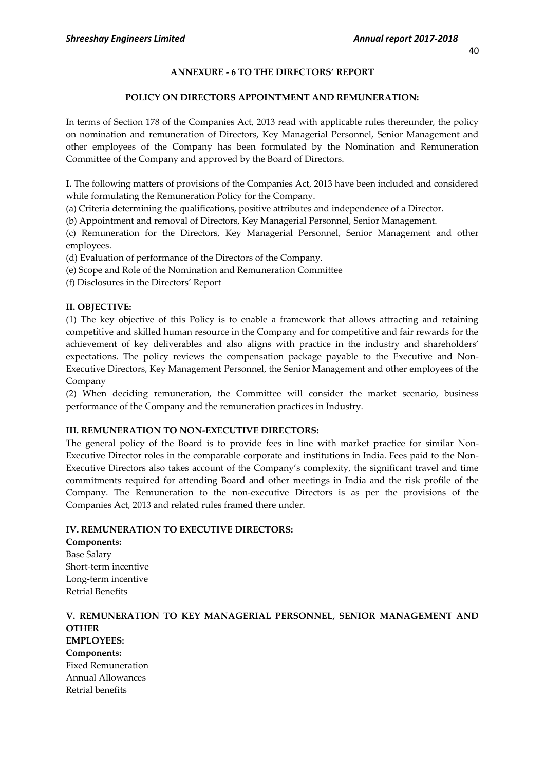#### **ANNEXURE - 6 TO THE DIRECTORS' REPORT**

#### **POLICY ON DIRECTORS APPOINTMENT AND REMUNERATION:**

In terms of Section 178 of the Companies Act, 2013 read with applicable rules thereunder, the policy on nomination and remuneration of Directors, Key Managerial Personnel, Senior Management and other employees of the Company has been formulated by the Nomination and Remuneration Committee of the Company and approved by the Board of Directors.

**I.** The following matters of provisions of the Companies Act, 2013 have been included and considered while formulating the Remuneration Policy for the Company.

(a) Criteria determining the qualifications, positive attributes and independence of a Director.

(b) Appointment and removal of Directors, Key Managerial Personnel, Senior Management.

(c) Remuneration for the Directors, Key Managerial Personnel, Senior Management and other employees.

(d) Evaluation of performance of the Directors of the Company.

(e) Scope and Role of the Nomination and Remuneration Committee

(f) Disclosures in the Directors' Report

#### **II. OBJECTIVE:**

(1) The key objective of this Policy is to enable a framework that allows attracting and retaining competitive and skilled human resource in the Company and for competitive and fair rewards for the achievement of key deliverables and also aligns with practice in the industry and shareholders' expectations. The policy reviews the compensation package payable to the Executive and Non-Executive Directors, Key Management Personnel, the Senior Management and other employees of the Company

(2) When deciding remuneration, the Committee will consider the market scenario, business performance of the Company and the remuneration practices in Industry.

#### **III. REMUNERATION TO NON-EXECUTIVE DIRECTORS:**

The general policy of the Board is to provide fees in line with market practice for similar Non-Executive Director roles in the comparable corporate and institutions in India. Fees paid to the Non-Executive Directors also takes account of the Company's complexity, the significant travel and time commitments required for attending Board and other meetings in India and the risk profile of the Company. The Remuneration to the non-executive Directors is as per the provisions of the Companies Act, 2013 and related rules framed there under.

#### **IV. REMUNERATION TO EXECUTIVE DIRECTORS:**

**Components:** Base Salary Short-term incentive Long-term incentive Retrial Benefits

**V. REMUNERATION TO KEY MANAGERIAL PERSONNEL, SENIOR MANAGEMENT AND OTHER EMPLOYEES: Components:** Fixed Remuneration Annual Allowances Retrial benefits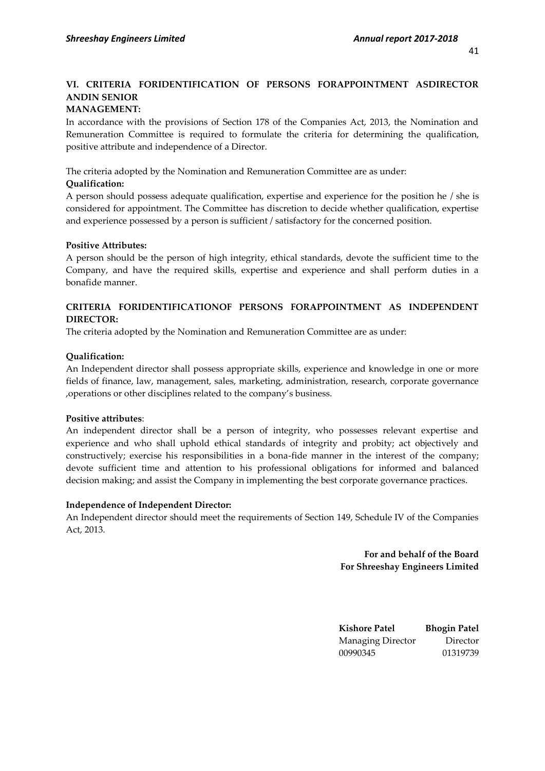## **VI. CRITERIA FORIDENTIFICATION OF PERSONS FORAPPOINTMENT ASDIRECTOR ANDIN SENIOR**

#### **MANAGEMENT:**

In accordance with the provisions of Section 178 of the Companies Act, 2013, the Nomination and Remuneration Committee is required to formulate the criteria for determining the qualification, positive attribute and independence of a Director.

The criteria adopted by the Nomination and Remuneration Committee are as under:

#### **Qualification:**

A person should possess adequate qualification, expertise and experience for the position he / she is considered for appointment. The Committee has discretion to decide whether qualification, expertise and experience possessed by a person is sufficient / satisfactory for the concerned position.

#### **Positive Attributes:**

A person should be the person of high integrity, ethical standards, devote the sufficient time to the Company, and have the required skills, expertise and experience and shall perform duties in a bonafide manner.

#### **CRITERIA FORIDENTIFICATIONOF PERSONS FORAPPOINTMENT AS INDEPENDENT DIRECTOR:**

The criteria adopted by the Nomination and Remuneration Committee are as under:

#### **Qualification:**

An Independent director shall possess appropriate skills, experience and knowledge in one or more fields of finance, law, management, sales, marketing, administration, research, corporate governance ,operations or other disciplines related to the company's business.

#### **Positive attributes**:

An independent director shall be a person of integrity, who possesses relevant expertise and experience and who shall uphold ethical standards of integrity and probity; act objectively and constructively; exercise his responsibilities in a bona-fide manner in the interest of the company; devote sufficient time and attention to his professional obligations for informed and balanced decision making; and assist the Company in implementing the best corporate governance practices.

#### **Independence of Independent Director:**

An Independent director should meet the requirements of Section 149, Schedule IV of the Companies Act, 2013.

> **For and behalf of the Board For Shreeshay Engineers Limited**

**Kishore Patel Bhogin Patel** Managing Director Director 00990345 01319739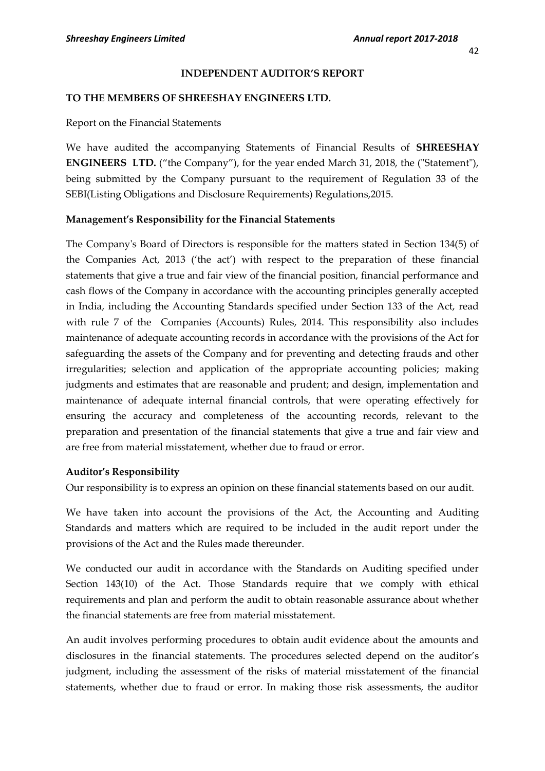#### **INDEPENDENT AUDITOR'S REPORT**

#### **TO THE MEMBERS OF SHREESHAY ENGINEERS LTD.**

#### Report on the Financial Statements

We have audited the accompanying Statements of Financial Results of **SHREESHAY ENGINEERS LTD.** ("the Company"), for the year ended March 31, 2018, the ("Statement"), being submitted by the Company pursuant to the requirement of Regulation 33 of the SEBI(Listing Obligations and Disclosure Requirements) Regulations,2015.

#### **Management's Responsibility for the Financial Statements**

The Company's Board of Directors is responsible for the matters stated in Section 134(5) of the Companies Act, 2013 ('the act') with respect to the preparation of these financial statements that give a true and fair view of the financial position, financial performance and cash flows of the Company in accordance with the accounting principles generally accepted in India, including the Accounting Standards specified under Section 133 of the Act, read with rule 7 of the Companies (Accounts) Rules, 2014. This responsibility also includes maintenance of adequate accounting records in accordance with the provisions of the Act for safeguarding the assets of the Company and for preventing and detecting frauds and other irregularities; selection and application of the appropriate accounting policies; making judgments and estimates that are reasonable and prudent; and design, implementation and maintenance of adequate internal financial controls, that were operating effectively for ensuring the accuracy and completeness of the accounting records, relevant to the preparation and presentation of the financial statements that give a true and fair view and are free from material misstatement, whether due to fraud or error.

#### **Auditor's Responsibility**

Our responsibility is to express an opinion on these financial statements based on our audit.

We have taken into account the provisions of the Act, the Accounting and Auditing Standards and matters which are required to be included in the audit report under the provisions of the Act and the Rules made thereunder.

We conducted our audit in accordance with the Standards on Auditing specified under Section 143(10) of the Act. Those Standards require that we comply with ethical requirements and plan and perform the audit to obtain reasonable assurance about whether the financial statements are free from material misstatement.

An audit involves performing procedures to obtain audit evidence about the amounts and disclosures in the financial statements. The procedures selected depend on the auditor's judgment, including the assessment of the risks of material misstatement of the financial statements, whether due to fraud or error. In making those risk assessments, the auditor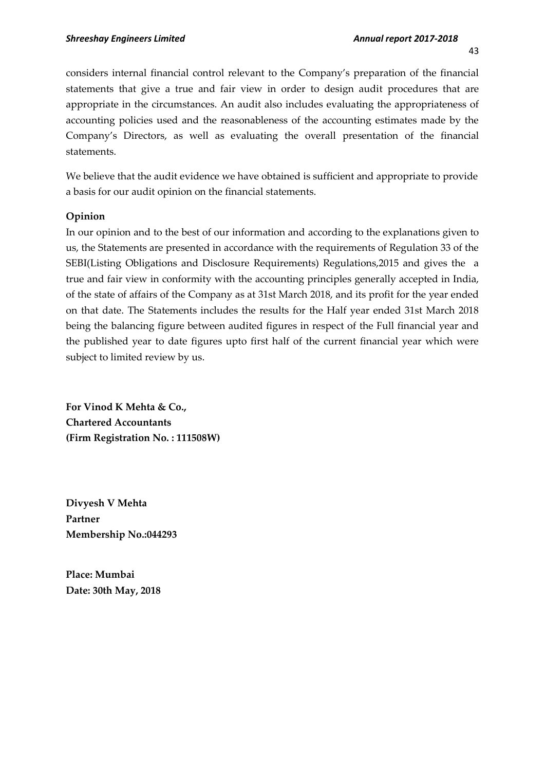considers internal financial control relevant to the Company's preparation of the financial statements that give a true and fair view in order to design audit procedures that are appropriate in the circumstances. An audit also includes evaluating the appropriateness of accounting policies used and the reasonableness of the accounting estimates made by the Company's Directors, as well as evaluating the overall presentation of the financial statements.

We believe that the audit evidence we have obtained is sufficient and appropriate to provide a basis for our audit opinion on the financial statements.

#### **Opinion**

In our opinion and to the best of our information and according to the explanations given to us, the Statements are presented in accordance with the requirements of Regulation 33 of the SEBI(Listing Obligations and Disclosure Requirements) Regulations,2015 and gives the a true and fair view in conformity with the accounting principles generally accepted in India, of the state of affairs of the Company as at 31st March 2018, and its profit for the year ended on that date. The Statements includes the results for the Half year ended 31st March 2018 being the balancing figure between audited figures in respect of the Full financial year and the published year to date figures upto first half of the current financial year which were subject to limited review by us.

**For Vinod K Mehta & Co., Chartered Accountants (Firm Registration No. : 111508W)**

**Divyesh V Mehta Partner Membership No.:044293**

**Place: Mumbai Date: 30th May, 2018**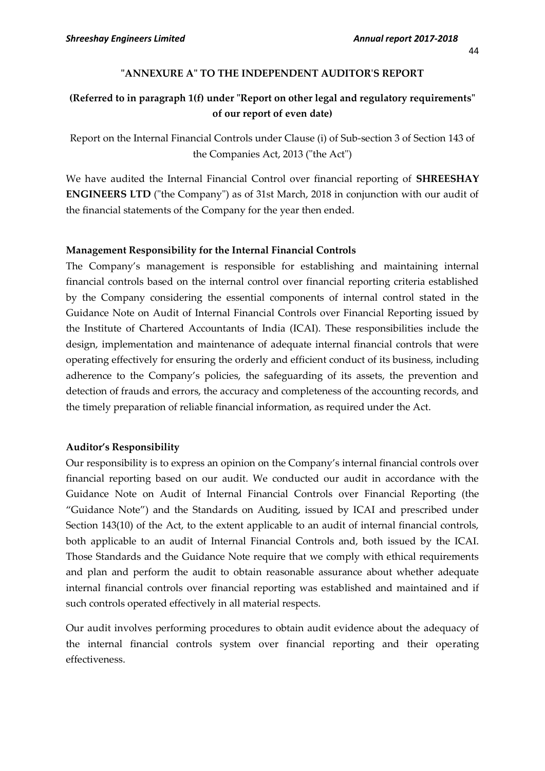#### **"ANNEXURE A" TO THE INDEPENDENT AUDITOR'S REPORT**

## **(Referred to in paragraph 1(f) under "Report on other legal and regulatory requirements" of our report of even date)**

Report on the Internal Financial Controls under Clause (i) of Sub-section 3 of Section 143 of the Companies Act, 2013 ("the Act")

We have audited the Internal Financial Control over financial reporting of **SHREESHAY ENGINEERS LTD** ("the Company") as of 31st March, 2018 in conjunction with our audit of the financial statements of the Company for the year then ended.

#### **Management Responsibility for the Internal Financial Controls**

The Company's management is responsible for establishing and maintaining internal financial controls based on the internal control over financial reporting criteria established by the Company considering the essential components of internal control stated in the Guidance Note on Audit of Internal Financial Controls over Financial Reporting issued by the Institute of Chartered Accountants of India (ICAI). These responsibilities include the design, implementation and maintenance of adequate internal financial controls that were operating effectively for ensuring the orderly and efficient conduct of its business, including adherence to the Company's policies, the safeguarding of its assets, the prevention and detection of frauds and errors, the accuracy and completeness of the accounting records, and the timely preparation of reliable financial information, as required under the Act.

#### **Auditor's Responsibility**

Our responsibility is to express an opinion on the Company's internal financial controls over financial reporting based on our audit. We conducted our audit in accordance with the Guidance Note on Audit of Internal Financial Controls over Financial Reporting (the "Guidance Note") and the Standards on Auditing, issued by ICAI and prescribed under Section 143(10) of the Act, to the extent applicable to an audit of internal financial controls, both applicable to an audit of Internal Financial Controls and, both issued by the ICAI. Those Standards and the Guidance Note require that we comply with ethical requirements and plan and perform the audit to obtain reasonable assurance about whether adequate internal financial controls over financial reporting was established and maintained and if such controls operated effectively in all material respects.

Our audit involves performing procedures to obtain audit evidence about the adequacy of the internal financial controls system over financial reporting and their operating effectiveness.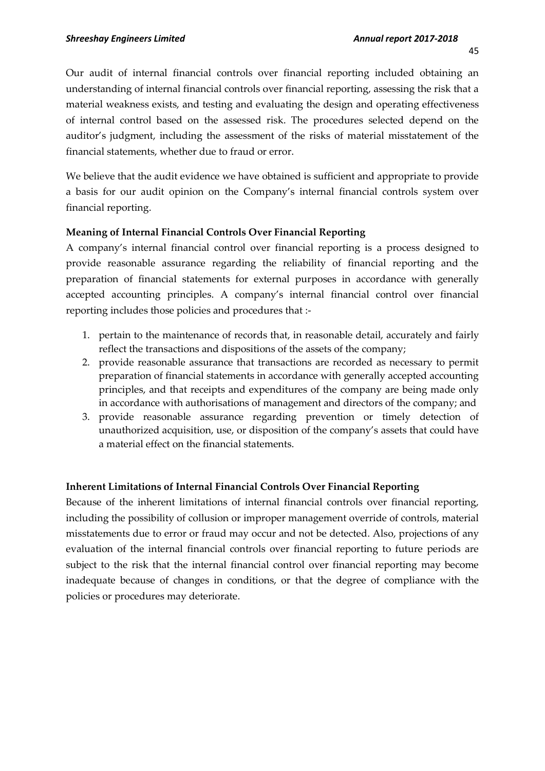Our audit of internal financial controls over financial reporting included obtaining an understanding of internal financial controls over financial reporting, assessing the risk that a material weakness exists, and testing and evaluating the design and operating effectiveness of internal control based on the assessed risk. The procedures selected depend on the auditor's judgment, including the assessment of the risks of material misstatement of the financial statements, whether due to fraud or error.

We believe that the audit evidence we have obtained is sufficient and appropriate to provide a basis for our audit opinion on the Company's internal financial controls system over financial reporting.

#### **Meaning of Internal Financial Controls Over Financial Reporting**

A company's internal financial control over financial reporting is a process designed to provide reasonable assurance regarding the reliability of financial reporting and the preparation of financial statements for external purposes in accordance with generally accepted accounting principles. A company's internal financial control over financial reporting includes those policies and procedures that :-

- 1. pertain to the maintenance of records that, in reasonable detail, accurately and fairly reflect the transactions and dispositions of the assets of the company;
- 2. provide reasonable assurance that transactions are recorded as necessary to permit preparation of financial statements in accordance with generally accepted accounting principles, and that receipts and expenditures of the company are being made only in accordance with authorisations of management and directors of the company; and
- 3. provide reasonable assurance regarding prevention or timely detection of unauthorized acquisition, use, or disposition of the company's assets that could have a material effect on the financial statements.

## **Inherent Limitations of Internal Financial Controls Over Financial Reporting**

Because of the inherent limitations of internal financial controls over financial reporting, including the possibility of collusion or improper management override of controls, material misstatements due to error or fraud may occur and not be detected. Also, projections of any evaluation of the internal financial controls over financial reporting to future periods are subject to the risk that the internal financial control over financial reporting may become inadequate because of changes in conditions, or that the degree of compliance with the policies or procedures may deteriorate.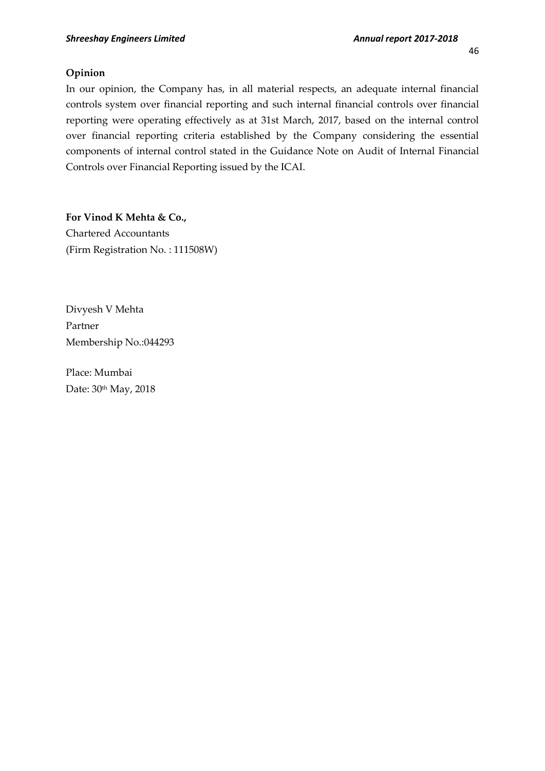#### **Opinion**

In our opinion, the Company has, in all material respects, an adequate internal financial controls system over financial reporting and such internal financial controls over financial reporting were operating effectively as at 31st March, 2017, based on the internal control over financial reporting criteria established by the Company considering the essential components of internal control stated in the Guidance Note on Audit of Internal Financial Controls over Financial Reporting issued by the ICAI.

**For Vinod K Mehta & Co.,** Chartered Accountants (Firm Registration No. : 111508W)

Divyesh V Mehta Partner Membership No.:044293

Place: Mumbai Date: 30th May, 2018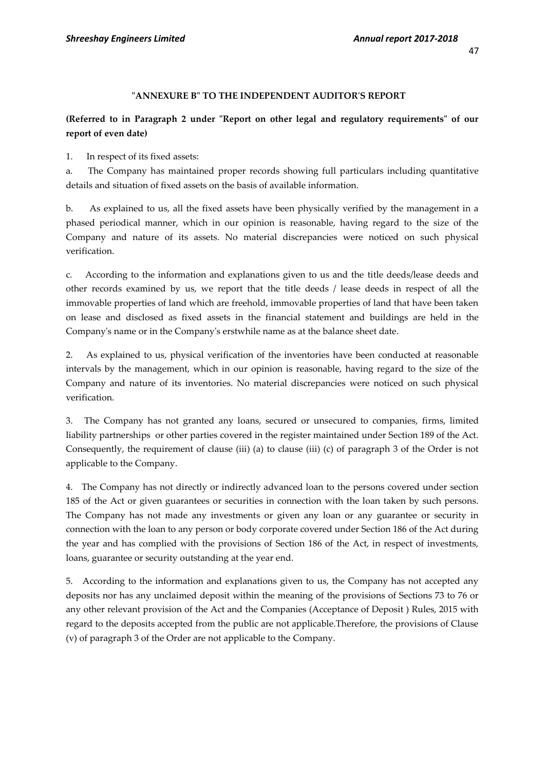#### **"ANNEXURE B" TO THE INDEPENDENT AUDITOR'S REPORT**

#### **(Referred to in Paragraph 2 under "Report on other legal and regulatory requirements" of our report of even date)**

1. In respect of its fixed assets:

a. The Company has maintained proper records showing full particulars including quantitative details and situation of fixed assets on the basis of available information.

b. As explained to us, all the fixed assets have been physically verified by the management in a phased periodical manner, which in our opinion is reasonable, having regard to the size of the Company and nature of its assets. No material discrepancies were noticed on such physical verification.

c. According to the information and explanations given to us and the title deeds/lease deeds and other records examined by us, we report that the title deeds / lease deeds in respect of all the immovable properties of land which are freehold, immovable properties of land that have been taken on lease and disclosed as fixed assets in the financial statement and buildings are held in the Company's name or in the Company's erstwhile name as at the balance sheet date.

2. As explained to us, physical verification of the inventories have been conducted at reasonable intervals by the management, which in our opinion is reasonable, having regard to the size of the Company and nature of its inventories. No material discrepancies were noticed on such physical verification.

3. The Company has not granted any loans, secured or unsecured to companies, firms, limited liability partnerships or other parties covered in the register maintained under Section 189 of the Act. Consequently, the requirement of clause (iii) (a) to clause (iii) (c) of paragraph 3 of the Order is not applicable to the Company.

4. The Company has not directly or indirectly advanced loan to the persons covered under section 185 of the Act or given guarantees or securities in connection with the loan taken by such persons. The Company has not made any investments or given any loan or any guarantee or security in connection with the loan to any person or body corporate covered under Section 186 of the Act during the year and has complied with the provisions of Section 186 of the Act, in respect of investments, loans, guarantee or security outstanding at the year end.

5. According to the information and explanations given to us, the Company has not accepted any deposits nor has any unclaimed deposit within the meaning of the provisions of Sections 73 to 76 or any other relevant provision of the Act and the Companies (Acceptance of Deposit ) Rules, 2015 with regard to the deposits accepted from the public are not applicable.Therefore, the provisions of Clause (v) of paragraph 3 of the Order are not applicable to the Company.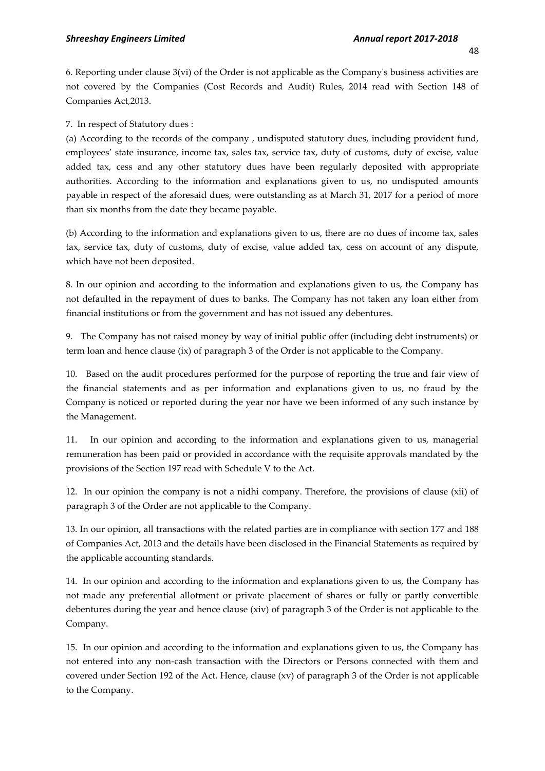6. Reporting under clause 3(vi) of the Order is not applicable as the Company's business activities are not covered by the Companies (Cost Records and Audit) Rules, 2014 read with Section 148 of Companies Act,2013.

7. In respect of Statutory dues :

(a) According to the records of the company , undisputed statutory dues, including provident fund, employees' state insurance, income tax, sales tax, service tax, duty of customs, duty of excise, value added tax, cess and any other statutory dues have been regularly deposited with appropriate authorities. According to the information and explanations given to us, no undisputed amounts payable in respect of the aforesaid dues, were outstanding as at March 31, 2017 for a period of more than six months from the date they became payable.

(b) According to the information and explanations given to us, there are no dues of income tax, sales tax, service tax, duty of customs, duty of excise, value added tax, cess on account of any dispute, which have not been deposited.

8. In our opinion and according to the information and explanations given to us, the Company has not defaulted in the repayment of dues to banks. The Company has not taken any loan either from financial institutions or from the government and has not issued any debentures.

9. The Company has not raised money by way of initial public offer (including debt instruments) or term loan and hence clause (ix) of paragraph 3 of the Order is not applicable to the Company.

10. Based on the audit procedures performed for the purpose of reporting the true and fair view of the financial statements and as per information and explanations given to us, no fraud by the Company is noticed or reported during the year nor have we been informed of any such instance by the Management.

11. In our opinion and according to the information and explanations given to us, managerial remuneration has been paid or provided in accordance with the requisite approvals mandated by the provisions of the Section 197 read with Schedule V to the Act.

12. In our opinion the company is not a nidhi company. Therefore, the provisions of clause (xii) of paragraph 3 of the Order are not applicable to the Company.

13. In our opinion, all transactions with the related parties are in compliance with section 177 and 188 of Companies Act, 2013 and the details have been disclosed in the Financial Statements as required by the applicable accounting standards.

14. In our opinion and according to the information and explanations given to us, the Company has not made any preferential allotment or private placement of shares or fully or partly convertible debentures during the year and hence clause (xiv) of paragraph 3 of the Order is not applicable to the Company.

15. In our opinion and according to the information and explanations given to us, the Company has not entered into any non-cash transaction with the Directors or Persons connected with them and covered under Section 192 of the Act. Hence, clause (xv) of paragraph 3 of the Order is not applicable to the Company.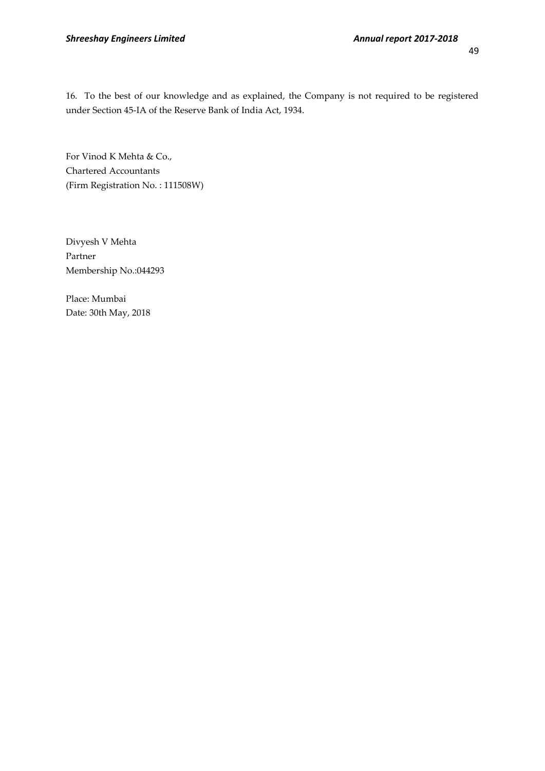16. To the best of our knowledge and as explained, the Company is not required to be registered under Section 45-IA of the Reserve Bank of India Act, 1934.

For Vinod K Mehta & Co., Chartered Accountants (Firm Registration No. : 111508W)

Divyesh V Mehta Partner Membership No.:044293

Place: Mumbai Date: 30th May, 2018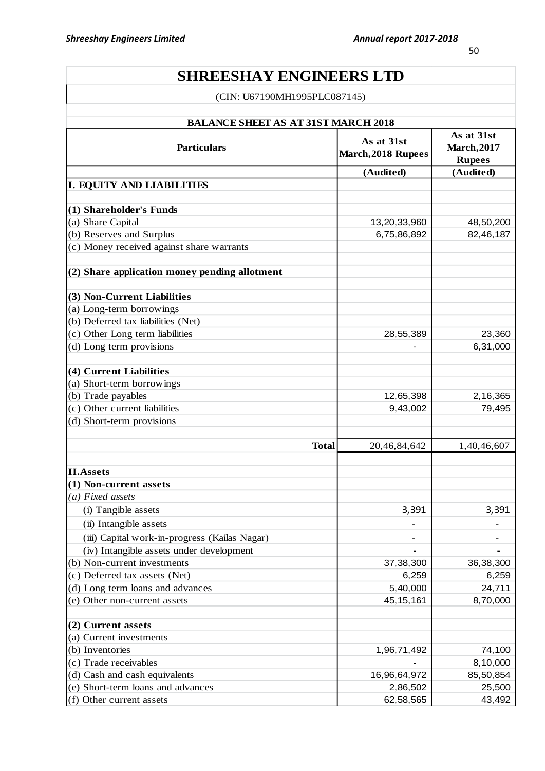## **Particulars As at 31st March,2018 Rupees As at 31st March,2017 Rupees (Audited) (Audited) I. EQUITY AND LIABILITIES (1) Shareholder's Funds** (a) Share Capital 13,20,33,960 48,50,200 (b) Reserves and Surplus 6,75,86,892 82,46,187 (c) Money received against share warrants **(2) Share application money pending allotment (3) Non-Current Liabilities** (a) Long-term borrowings (b) Deferred tax liabilities (Net) (c) Other Long term liabilities 28,55,389 23,360 (d) Long term provisions  $\sim$  6,31,000 **(4) Current Liabilities** (a) Short-term borrowings (b) Trade payables 2,16,365 (c) Other current liabilities  $9,43,002$   $79,495$ (d) Short-term provisions **Total** 20,46,84,642 1,40,46,607 **II.Assets (1) Non-current assets** *(a) Fixed assets* (i) Tangible assets  $\overline{3,391}$  3,391  $\overline{3,391}$  3,391  $(i)$  Intangible assets  $(i)$  (iii) Capital work-in-progress (Kailas Nagar) - - (iv) Intangible assets under development (b) Non-current investments 37,38,300 36,38,300 (c) Deferred tax assets (Net) 6,259 6,259 (d) Long term loans and advances 5,40,000 24,711 (e) Other non-current assets  $\begin{array}{ccc} 45,15,161 & 8,70,000 \\ 45,15,161 & 8,70,000 \end{array}$ **(2) Current assets** (a) Current investments (b) Inventories 24,100  $\epsilon$  (c) Trade receivables  $\epsilon$  8,10,000 (d) Cash and cash equivalents 16,96,64,972 85,50,854 (e) Short-term loans and advances  $(0.2, 2.86, 502)$  25,500 **SHREESHAY ENGINEERS LTD BALANCE SHEET AS AT 31ST MARCH 2018** (CIN: U67190MH1995PLC087145)

(f) Other current assets 62,58,565  $\vert$  43,492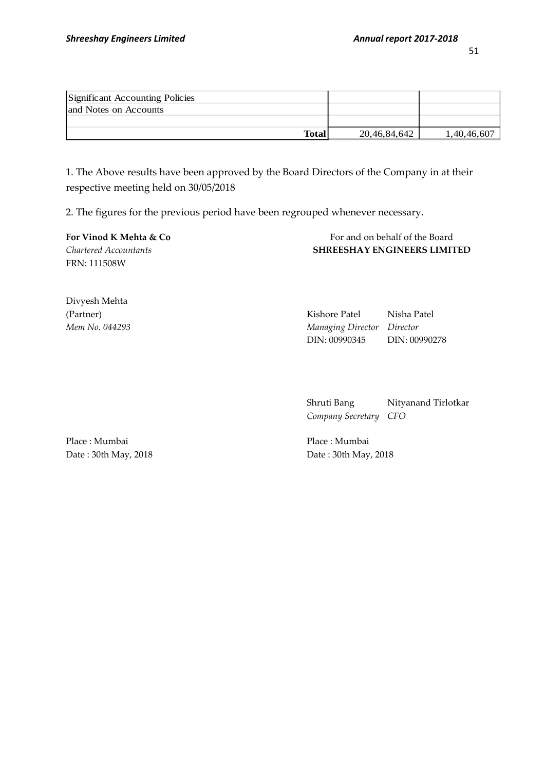| Significant Accounting Policies |              |             |
|---------------------------------|--------------|-------------|
| and Notes on Accounts           |              |             |
|                                 |              |             |
| <b>Total</b>                    | 20,46,84,642 | 1,40,46,607 |

1. The Above results have been approved by the Board Directors of the Company in at their respective meeting held on 30/05/2018

2. The figures for the previous period have been regrouped whenever necessary.

| For Vinod K Mehta & Co | For and on behalf of the Board     |
|------------------------|------------------------------------|
| Chartered Accountants  | <b>SHREESHAY ENGINEERS LIMITED</b> |
| FRN: 111508W           |                                    |

Divyesh Mehta

(Partner) Kishore Patel Nisha Patel *Mem No. 044293 Managing Director Director* DIN: 00990345 DIN: 00990278

> Shruti Bang Nityanand Tirlotkar *Company Secretary CFO*

Place : Mumbai Place : Mumbai

Date : 30th May, 2018 Date : 30th May, 2018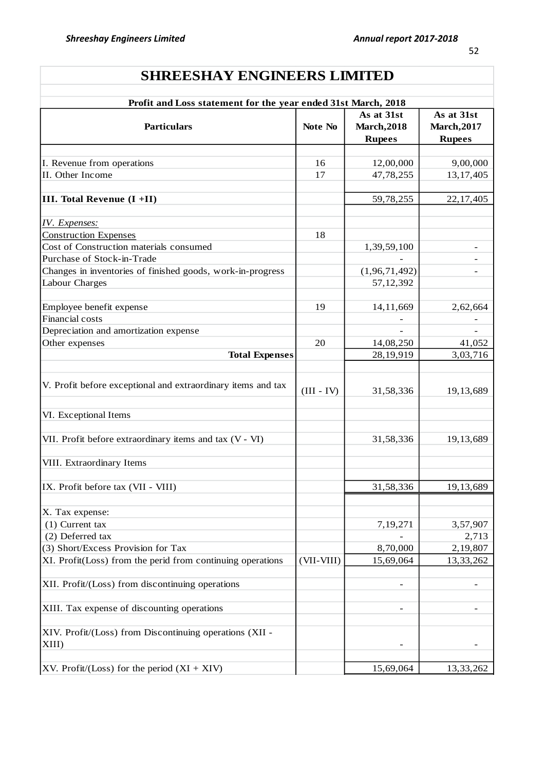## **SHREESHAY ENGINEERS LIMITED**

| Profit and Loss statement for the year ended 31st March, 2018    |              |                                                   |                                                   |  |  |
|------------------------------------------------------------------|--------------|---------------------------------------------------|---------------------------------------------------|--|--|
| <b>Particulars</b>                                               | Note No      | As at 31st<br><b>March, 2018</b><br><b>Rupees</b> | As at 31st<br><b>March, 2017</b><br><b>Rupees</b> |  |  |
|                                                                  |              |                                                   |                                                   |  |  |
| I. Revenue from operations                                       | 16           | 12,00,000                                         | 9,00,000                                          |  |  |
| II. Other Income                                                 | 17           | 47,78,255                                         | 13, 17, 405                                       |  |  |
| III. Total Revenue $(I + II)$                                    |              | 59,78,255                                         | 22, 17, 405                                       |  |  |
|                                                                  |              |                                                   |                                                   |  |  |
| IV. Expenses:                                                    |              |                                                   |                                                   |  |  |
| <b>Construction Expenses</b>                                     | 18           |                                                   |                                                   |  |  |
| Cost of Construction materials consumed                          |              | 1,39,59,100                                       |                                                   |  |  |
| Purchase of Stock-in-Trade                                       |              |                                                   |                                                   |  |  |
| Changes in inventories of finished goods, work-in-progress       |              | (1,96,71,492)                                     |                                                   |  |  |
| Labour Charges                                                   |              | 57, 12, 392                                       |                                                   |  |  |
| Employee benefit expense                                         | 19           | 14,11,669                                         | 2,62,664                                          |  |  |
| Financial costs                                                  |              |                                                   |                                                   |  |  |
| Depreciation and amortization expense                            |              |                                                   |                                                   |  |  |
| Other expenses                                                   | 20           | 14,08,250                                         | 41,052                                            |  |  |
| <b>Total Expenses</b>                                            |              | 28,19,919                                         | 3,03,716                                          |  |  |
|                                                                  |              |                                                   |                                                   |  |  |
| V. Profit before exceptional and extraordinary items and tax     | $(III - IV)$ | 31,58,336                                         | 19,13,689                                         |  |  |
| VI. Exceptional Items                                            |              |                                                   |                                                   |  |  |
| VII. Profit before extraordinary items and tax (V - VI)          |              | 31,58,336                                         | 19,13,689                                         |  |  |
| VIII. Extraordinary Items                                        |              |                                                   |                                                   |  |  |
| IX. Profit before tax (VII - VIII)                               |              | 31,58,336                                         | 19,13,689                                         |  |  |
| X. Tax expense:                                                  |              |                                                   |                                                   |  |  |
| $(1)$ Current tax                                                |              | 7,19,271                                          | 3,57,907                                          |  |  |
| (2) Deferred tax                                                 |              |                                                   | 2,713                                             |  |  |
| (3) Short/Excess Provision for Tax                               |              | 8,70,000                                          | 2,19,807                                          |  |  |
| XI. Profit(Loss) from the perid from continuing operations       | $(VII-VIII)$ | 15,69,064                                         | 13, 33, 262                                       |  |  |
|                                                                  |              |                                                   |                                                   |  |  |
| XII. Profit/(Loss) from discontinuing operations                 |              |                                                   |                                                   |  |  |
| XIII. Tax expense of discounting operations                      |              |                                                   |                                                   |  |  |
|                                                                  |              |                                                   |                                                   |  |  |
| XIV. Profit/(Loss) from Discontinuing operations (XII -<br>XIII) |              |                                                   |                                                   |  |  |
| XV. Profit/(Loss) for the period $(XI + XIV)$                    |              | 15,69,064                                         | 13,33,262                                         |  |  |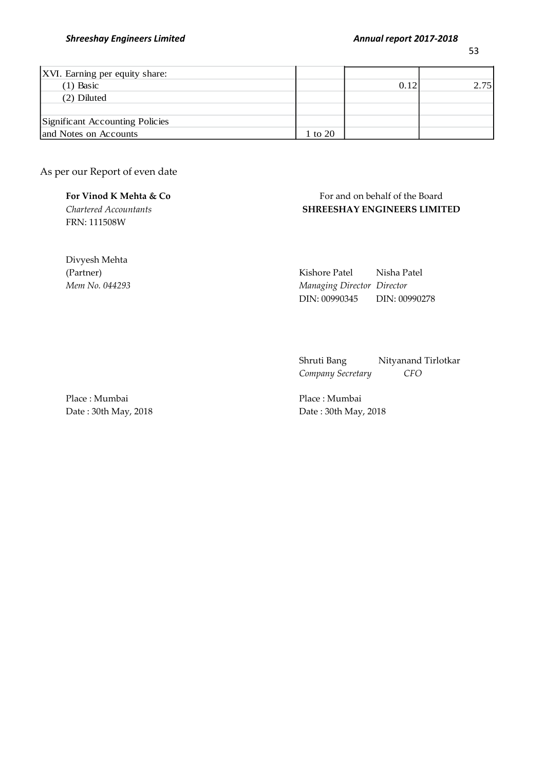#### **Shreeshay Engineers Limited Community Community Community Community Community Community Community Community Community Community Community Community Community Community Community Community Community Community Community Com**

| XVI. Earning per equity share:  |         |      |      |
|---------------------------------|---------|------|------|
| $(1)$ Basic                     |         | 0.12 | 2.75 |
| (2) Diluted                     |         |      |      |
|                                 |         |      |      |
| Significant Accounting Policies |         |      |      |
| and Notes on Accounts           | 1 to 20 |      |      |

As per our Report of even date

# FRN: 111508W

## For Vinod K Mehta & Co<br>For and on behalf of the Board *Chartered Accountants* **SHREESHAY ENGINEERS LIMITED**

Divyesh Mehta

(Partner) Kishore Patel Nisha Patel *Mem No. 044293 Managing Director Director* DIN: 00990345 DIN: 00990278

> Shruti Bang Nityanand Tirlotkar *Company Secretary CFO*

Place : Mumbai Place : Mumbai Date : 30th May, 2018 Date : 30th May, 2018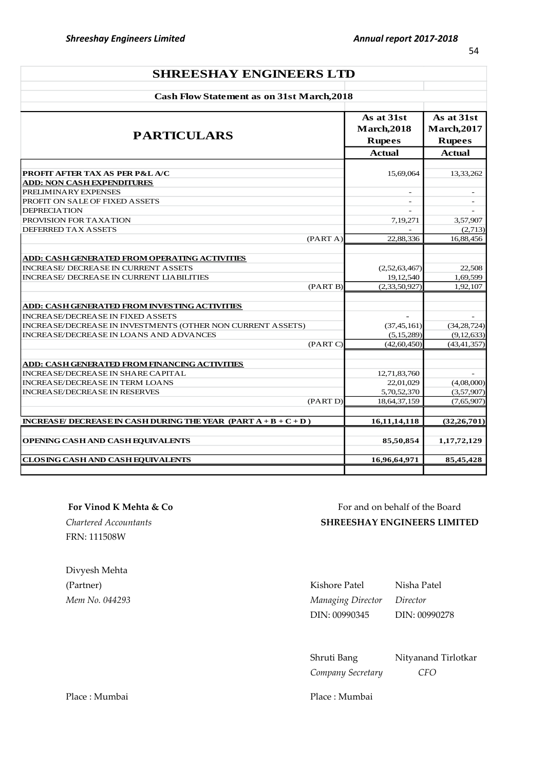## **SHREESHAY ENGINEERS LTD**

#### **Cash Flow Statement as on 31st March,2018**

|                                                                    | As at 31st                          | As at 31st                          |
|--------------------------------------------------------------------|-------------------------------------|-------------------------------------|
| <b>PARTICULARS</b>                                                 | <b>March, 2018</b><br><b>Rupees</b> | <b>March, 2017</b><br><b>Rupees</b> |
|                                                                    |                                     |                                     |
|                                                                    | <b>Actual</b>                       | <b>Actual</b>                       |
| PROFIT AFTER TAX AS PER P&L A/C                                    | 15,69,064                           | 13,33,262                           |
| <b>ADD: NON CASH EXPENDITURES</b>                                  |                                     |                                     |
| PRELIMINARY EXPENSES                                               |                                     |                                     |
| PROFIT ON SALE OF FIXED ASSETS                                     |                                     |                                     |
| <b>DEPRECIATION</b>                                                |                                     |                                     |
| PROVISION FOR TAXATION                                             | 7,19,271                            | 3,57,907                            |
| DEFERRED TAX ASSETS                                                |                                     | (2,713)                             |
| (PART A)                                                           | 22,88,336                           | 16.88.456                           |
| ADD: CASH GENERATED FROM OPERATING ACTIVITIES                      |                                     |                                     |
| <b>INCREASE/ DECREASE IN CURRENT ASSETS</b>                        | (2,52,63,467)                       | 22,508                              |
| <b>INCREASE/ DECREASE IN CURRENT LIABILITIES</b>                   | 19,12,540                           | 1,69,599                            |
| (PART B)                                                           | (2,33,50,927)                       | 1,92,107                            |
|                                                                    |                                     |                                     |
| ADD: CASH GENERATED FROM INVESTING ACTIVITIES                      |                                     |                                     |
| <b>INCREASE/DECREASE IN FIXED ASSETS</b>                           | $\overline{\phantom{a}}$            |                                     |
| INCREASE/DECREASE IN INVESTMENTS (OTHER NON CURRENT ASSETS)        | (37, 45, 161)                       | (34, 28, 724)                       |
| <b>INCREASE/DECREASE IN LOANS AND ADVANCES</b>                     | (5,15,289)                          | (9,12,633)                          |
| (PART C)                                                           | (42, 60, 450)                       | (43, 41, 357)                       |
| ADD: CASH GENERATED FROM FINANCING ACTIVITIES                      |                                     |                                     |
| <b>INCREASE/DECREASE IN SHARE CAPITAL</b>                          | 12,71,83,760                        |                                     |
| <b>INCREASE/DECREASE IN TERM LOANS</b>                             | 22,01,029                           | (4,08,000)                          |
| INCREASE/DECREASE IN RESERVES                                      | 5,70,52,370                         | (3,57,907)                          |
| (PART D)                                                           | 18,64,37,159                        | (7,65,907)                          |
|                                                                    |                                     |                                     |
| INCREASE/ DECREASE IN CASH DURING THE YEAR (PART $A + B + C + D$ ) | 16.11.14.118                        | (32, 26, 701)                       |
|                                                                    |                                     |                                     |
| OPENING CASH AND CASH EQUIVALENTS                                  | 85,50,854                           | 1,17,72,129                         |
| <b>CLOSING CASH AND CASH EQUIVALENTS</b>                           | 16,96,64,971                        | 85,45,428                           |
|                                                                    |                                     |                                     |

FRN: 111508W

Divyesh Mehta (Partner) Kishore Patel Nisha Patel

## **For Vinod K Mehta & Co** For and on behalf of the Board *Chartered Accountants* **SHREESHAY ENGINEERS LIMITED**

*Mem No. 044293 Managing Director Director* DIN: 00990345 DIN: 00990278

*Company Secretary CFO*

Shruti Bang Nityanand Tirlotkar

Place : Mumbai Place : Mumbai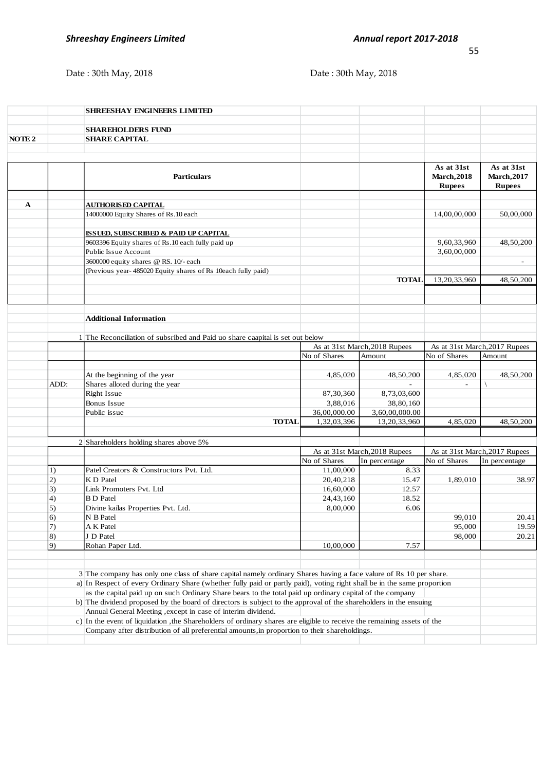Date : 30th May, 2018 Date : 30th May, 2018

|               |      | <b>SHREESHAY ENGINEERS LIMITED</b>                                                                                       |              |                               |                                                   |                                                   |
|---------------|------|--------------------------------------------------------------------------------------------------------------------------|--------------|-------------------------------|---------------------------------------------------|---------------------------------------------------|
|               |      | <b>SHAREHOLDERS FUND</b>                                                                                                 |              |                               |                                                   |                                                   |
| <b>NOTE 2</b> |      | <b>SHARE CAPITAL</b>                                                                                                     |              |                               |                                                   |                                                   |
|               |      |                                                                                                                          |              |                               |                                                   |                                                   |
|               |      |                                                                                                                          |              |                               |                                                   |                                                   |
|               |      | <b>Particulars</b>                                                                                                       |              |                               | As at 31st<br><b>March, 2018</b><br><b>Rupees</b> | As at 31st<br><b>March, 2017</b><br><b>Rupees</b> |
|               |      |                                                                                                                          |              |                               |                                                   |                                                   |
| A             |      | <u>AUTHORISED CAPITAL</u><br>14000000 Equity Shares of Rs.10 each                                                        |              |                               | 14,00,00,000                                      | 50,00,000                                         |
|               |      |                                                                                                                          |              |                               |                                                   |                                                   |
|               |      | <u>ISSUED, SUBSCRIBED &amp; PAID UP CAPITAL</u>                                                                          |              |                               |                                                   |                                                   |
|               |      | 9603396 Equity shares of Rs.10 each fully paid up                                                                        |              |                               | 9,60,33,960                                       | 48,50,200                                         |
|               |      | Public Issue Account                                                                                                     |              |                               | 3,60,00,000                                       |                                                   |
|               |      | 3600000 equity shares @ RS. 10/-each                                                                                     |              |                               |                                                   | $\overline{\phantom{a}}$                          |
|               |      | (Previous year-485020 Equity shares of Rs 10each fully paid)                                                             |              |                               |                                                   |                                                   |
|               |      |                                                                                                                          |              | <b>TOTAL</b>                  | 13,20,33,960                                      | 48,50,200                                         |
|               |      |                                                                                                                          |              |                               |                                                   |                                                   |
|               |      |                                                                                                                          |              |                               |                                                   |                                                   |
|               |      |                                                                                                                          |              |                               |                                                   |                                                   |
|               |      | <b>Additional Information</b>                                                                                            |              |                               |                                                   |                                                   |
|               |      |                                                                                                                          |              |                               |                                                   |                                                   |
|               |      | 1 The Reconciliation of subsribed and Paid uo share caapital is set out below                                            |              |                               |                                                   |                                                   |
|               |      |                                                                                                                          |              | As at 31st March, 2018 Rupees |                                                   | As at 31st March, 2017 Rupees                     |
|               |      |                                                                                                                          | No of Shares | Amount                        | No of Shares                                      | Amount                                            |
|               |      | At the beginning of the year                                                                                             | 4,85,020     | 48,50,200                     | 4,85,020                                          | 48,50,200                                         |
|               | ADD: | Shares alloted during the year                                                                                           |              |                               | $\overline{\phantom{a}}$                          |                                                   |
|               |      | <b>Right Issue</b>                                                                                                       | 87, 30, 360  | 8,73,03,600                   |                                                   |                                                   |
|               |      | Bonus Issue                                                                                                              | 3,88,016     | 38,80,160                     |                                                   |                                                   |
|               |      | Public issue                                                                                                             | 36,00,000.00 | 3,60,00,000.00                |                                                   |                                                   |
|               |      | <b>TOTAL</b>                                                                                                             | 1,32,03,396  | 13,20,33,960                  | 4,85,020                                          | 48,50,200                                         |
|               |      |                                                                                                                          |              |                               |                                                   |                                                   |
|               |      | 2 Shareholders holding shares above 5%                                                                                   |              | As at 31st March, 2018 Rupees |                                                   | As at 31st March, 2017 Rupees                     |
|               |      |                                                                                                                          | No of Shares | In percentage                 | No of Shares                                      | In percentage                                     |
|               | 1)   | Patel Creators & Constructors Pvt. Ltd.                                                                                  | 11,00,000    | 8.33                          |                                                   |                                                   |
|               | 2)   | K D Patel                                                                                                                | 20,40,218    | 15.47                         | 1,89,010                                          | 38.97                                             |
|               | 3)   | Link Promoters Pvt. Ltd                                                                                                  | 16,60,000    | 12.57                         |                                                   |                                                   |
|               | 4)   | <b>B</b> D Patel                                                                                                         | 24,43,160    | 18.52                         |                                                   |                                                   |
|               | 5)   | Divine kailas Properties Pvt. Ltd.                                                                                       | 8,00,000     | 6.06                          |                                                   |                                                   |
|               | 6)   | N B Patel                                                                                                                |              |                               | 99,010                                            | 20.41                                             |
|               | 7)   | A K Patel                                                                                                                |              |                               | 95,000                                            | 19.59                                             |
|               | 8)   | J D Patel                                                                                                                |              |                               | 98,000                                            | 20.21                                             |
|               | 9)   | Rohan Paper Ltd.                                                                                                         | 10,00,000    | 7.57                          |                                                   |                                                   |
|               |      |                                                                                                                          |              |                               |                                                   |                                                   |
|               |      | 3 The company has only one class of share capital namely ordinary Shares having a face valure of Rs 10 per share.        |              |                               |                                                   |                                                   |
|               |      | a) In Respect of every Ordinary Share (whether fully paid or partly paid), voting right shall be in the same proportion  |              |                               |                                                   |                                                   |
|               |      | as the capital paid up on such Ordinary Share bears to the total paid up ordinary capital of the company                 |              |                               |                                                   |                                                   |
|               |      | b) The dividend proposed by the board of directors is subject to the approval of the shareholders in the ensuing         |              |                               |                                                   |                                                   |
|               |      | Annual General Meeting , except in case of interim dividend.                                                             |              |                               |                                                   |                                                   |
|               |      | c) In the event of liquidation , the Shareholders of ordinary shares are eligible to receive the remaining assets of the |              |                               |                                                   |                                                   |
|               |      | Company after distribution of all preferential amounts, in proportion to their shareholdings.                            |              |                               |                                                   |                                                   |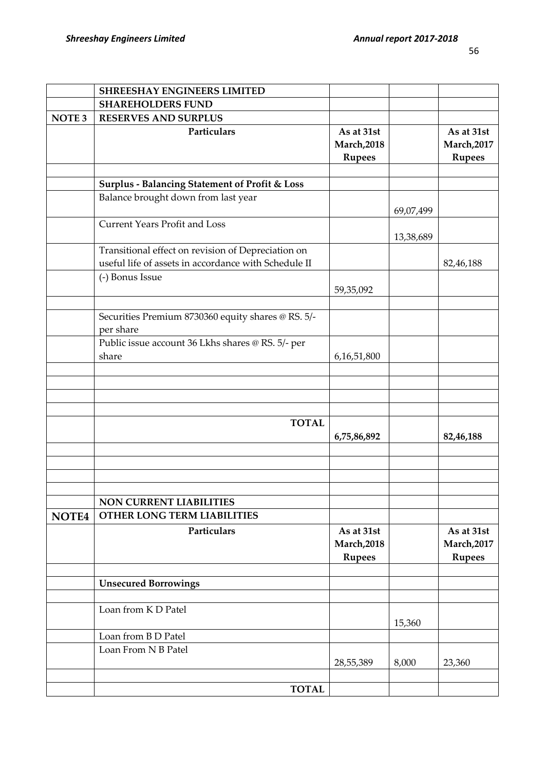56

|                   | SHREESHAY ENGINEERS LIMITED                                     |                                                   |           |                                                    |
|-------------------|-----------------------------------------------------------------|---------------------------------------------------|-----------|----------------------------------------------------|
|                   | <b>SHAREHOLDERS FUND</b>                                        |                                                   |           |                                                    |
| NOTE <sub>3</sub> | <b>RESERVES AND SURPLUS</b>                                     |                                                   |           |                                                    |
|                   | Particulars                                                     | As at 31st<br><b>March, 2018</b><br><b>Rupees</b> |           | As at 31st<br><b>March</b> , 2017<br><b>Rupees</b> |
|                   |                                                                 |                                                   |           |                                                    |
|                   | <b>Surplus - Balancing Statement of Profit &amp; Loss</b>       |                                                   |           |                                                    |
|                   | Balance brought down from last year                             |                                                   | 69,07,499 |                                                    |
|                   | <b>Current Years Profit and Loss</b>                            |                                                   | 13,38,689 |                                                    |
|                   | Transitional effect on revision of Depreciation on              |                                                   |           |                                                    |
|                   | useful life of assets in accordance with Schedule II            |                                                   |           | 82,46,188                                          |
|                   | (-) Bonus Issue                                                 | 59,35,092                                         |           |                                                    |
|                   | Securities Premium 8730360 equity shares @ RS. 5/-<br>per share |                                                   |           |                                                    |
|                   | Public issue account 36 Lkhs shares @ RS. 5/- per               |                                                   |           |                                                    |
|                   | share                                                           | 6, 16, 51, 800                                    |           |                                                    |
|                   | <b>TOTAL</b>                                                    | 6,75,86,892                                       |           | 82,46,188                                          |
|                   |                                                                 |                                                   |           |                                                    |
|                   |                                                                 |                                                   |           |                                                    |
|                   |                                                                 |                                                   |           |                                                    |
|                   | <b>NON CURRENT LIABILITIES</b>                                  |                                                   |           |                                                    |
| NOTE4             | <b>OTHER LONG TERM LIABILITIES</b>                              |                                                   |           |                                                    |
|                   | Particulars                                                     | As at 31st<br><b>March, 2018</b><br><b>Rupees</b> |           | As at 31st<br><b>March, 2017</b><br><b>Rupees</b>  |
|                   | <b>Unsecured Borrowings</b>                                     |                                                   |           |                                                    |
|                   |                                                                 |                                                   |           |                                                    |
|                   | Loan from K D Patel                                             |                                                   | 15,360    |                                                    |
|                   | Loan from B D Patel                                             |                                                   |           |                                                    |
|                   | Loan From N B Patel                                             | 28,55,389                                         | 8,000     | 23,360                                             |
|                   | <b>TOTAL</b>                                                    |                                                   |           |                                                    |
|                   |                                                                 |                                                   |           |                                                    |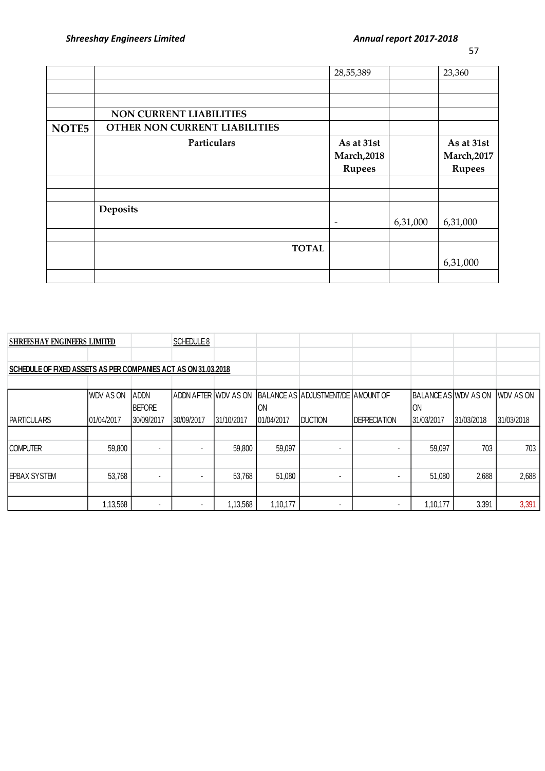| I<br>× |
|--------|
|--------|

|       |                                | 28,55,389          |          | 23,360              |
|-------|--------------------------------|--------------------|----------|---------------------|
|       |                                |                    |          |                     |
|       |                                |                    |          |                     |
|       | <b>NON CURRENT LIABILITIES</b> |                    |          |                     |
| NOTE5 | OTHER NON CURRENT LIABILITIES  |                    |          |                     |
|       | Particulars                    | As at 31st         |          | As at 31st          |
|       |                                | <b>March, 2018</b> |          | <b>March</b> , 2017 |
|       |                                | <b>Rupees</b>      |          | <b>Rupees</b>       |
|       |                                |                    |          |                     |
|       |                                |                    |          |                     |
|       | Deposits                       |                    |          |                     |
|       |                                | ۰                  | 6,31,000 | 6,31,000            |
|       |                                |                    |          |                     |
|       | <b>TOTAL</b>                   |                    |          |                     |
|       |                                |                    |          | 6,31,000            |
|       |                                |                    |          |                     |

| <b>SHREESHAY ENGINEERS LIMITED</b>                             |                  |                | <b>SCHEDULE 8</b> |            |            |                                                         |                     |                      |            |                  |
|----------------------------------------------------------------|------------------|----------------|-------------------|------------|------------|---------------------------------------------------------|---------------------|----------------------|------------|------------------|
|                                                                |                  |                |                   |            |            |                                                         |                     |                      |            |                  |
| SCHEDULE OF FIXED ASSETS AS PER COMPANIES ACT AS ON 31.03.2018 |                  |                |                   |            |            |                                                         |                     |                      |            |                  |
|                                                                |                  |                |                   |            |            |                                                         |                     |                      |            |                  |
|                                                                | <b>WDV AS ON</b> | ADDN           |                   |            |            | ADDN AFTER WDV AS ON BALANCE AS ADJUSTMENT/DE AMOUNT OF |                     | BALANCE AS WDV AS ON |            | <b>WDV AS ON</b> |
|                                                                |                  | <b>IBEFORE</b> |                   |            | ION        |                                                         |                     | I ON                 |            |                  |
| <b>PARTICULARS</b>                                             | 01/04/2017       | 30/09/2017     | 30/09/2017        | 31/10/2017 | 01/04/2017 | <b>DUCTION</b>                                          | <b>DEPRECIATION</b> | 31/03/2017           | 31/03/2018 | 31/03/2018       |
|                                                                |                  |                |                   |            |            |                                                         |                     |                      |            |                  |
| <b>COMPUTER</b>                                                | 59,800           |                |                   | 59,800     | 59,097     |                                                         |                     | 59,097               | 703        | 703              |
|                                                                |                  |                |                   |            |            |                                                         |                     |                      |            |                  |
| <b>EPBAX SYSTEM</b>                                            | 53,768           | $\blacksquare$ |                   | 53,768     | 51,080     | $\blacksquare$                                          |                     | 51,080               | 2,688      | 2,688            |
|                                                                |                  |                |                   |            |            |                                                         |                     |                      |            |                  |
|                                                                | 1,13,568         | ٠              |                   | 1,13,568   | 1,10,177   | ٠                                                       |                     | 1,10,177             | 3,391      | 3,391            |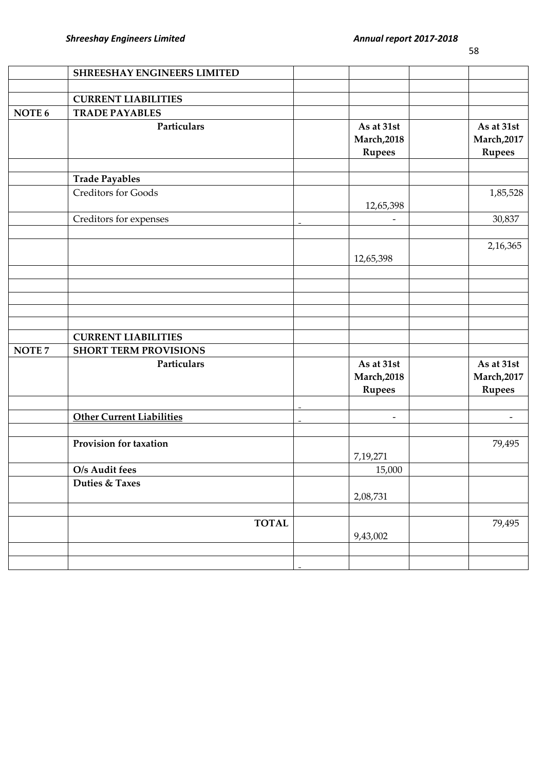|                   | SHREESHAY ENGINEERS LIMITED      |                          |                    |
|-------------------|----------------------------------|--------------------------|--------------------|
|                   |                                  |                          |                    |
|                   | <b>CURRENT LIABILITIES</b>       |                          |                    |
| NOTE 6            | <b>TRADE PAYABLES</b>            |                          |                    |
|                   | Particulars                      | As at 31st               | As at 31st         |
|                   |                                  | <b>March, 2018</b>       | <b>March, 2017</b> |
|                   |                                  | <b>Rupees</b>            | <b>Rupees</b>      |
|                   |                                  |                          |                    |
|                   | <b>Trade Payables</b>            |                          |                    |
|                   | <b>Creditors for Goods</b>       |                          | 1,85,528           |
|                   |                                  | 12,65,398                |                    |
|                   | Creditors for expenses           | -                        | 30,837             |
|                   |                                  |                          |                    |
|                   |                                  |                          | 2,16,365           |
|                   |                                  | 12,65,398                |                    |
|                   |                                  |                          |                    |
|                   |                                  |                          |                    |
|                   |                                  |                          |                    |
|                   |                                  |                          |                    |
|                   | <b>CURRENT LIABILITIES</b>       |                          |                    |
| NOTE <sub>7</sub> | <b>SHORT TERM PROVISIONS</b>     |                          |                    |
|                   | Particulars                      | As at 31st               | As at 31st         |
|                   |                                  | <b>March,2018</b>        | <b>March, 2017</b> |
|                   |                                  | <b>Rupees</b>            | <b>Rupees</b>      |
|                   |                                  |                          |                    |
|                   | <b>Other Current Liabilities</b> | $\overline{\phantom{a}}$ | -                  |
|                   |                                  |                          |                    |
|                   | Provision for taxation           |                          | 79,495             |
|                   |                                  | 7,19,271                 |                    |
|                   | O/s Audit fees                   | 15,000                   |                    |
|                   | Duties & Taxes                   |                          |                    |
|                   |                                  | 2,08,731                 |                    |
|                   |                                  |                          |                    |
|                   | <b>TOTAL</b>                     |                          | 79,495             |
|                   |                                  | 9,43,002                 |                    |
|                   |                                  |                          |                    |
|                   |                                  |                          |                    |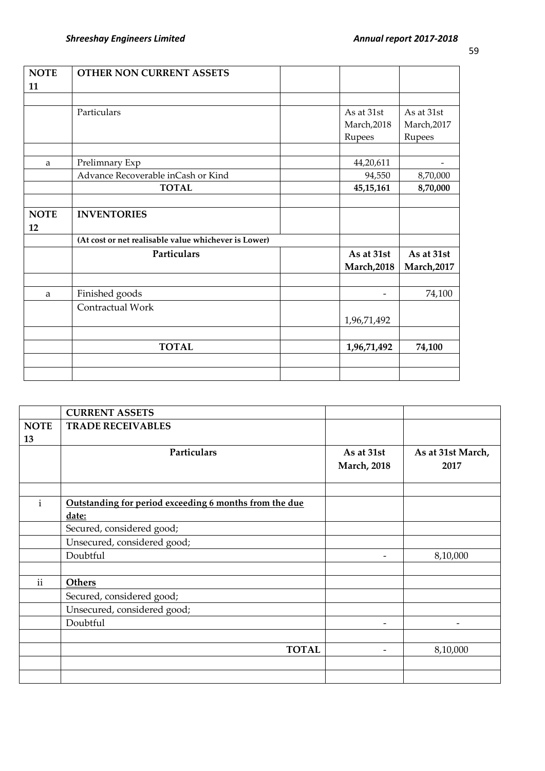| <b>NOTE</b> | <b>OTHER NON CURRENT ASSETS</b>                      |                    |                    |
|-------------|------------------------------------------------------|--------------------|--------------------|
| 11          |                                                      |                    |                    |
|             |                                                      |                    |                    |
|             | Particulars                                          | As at 31st         | As at 31st         |
|             |                                                      | March, 2018        | March, 2017        |
|             |                                                      | Rupees             | Rupees             |
|             |                                                      |                    |                    |
| a           | Prelimnary Exp                                       | 44,20,611          |                    |
|             | Advance Recoverable inCash or Kind                   | 94,550             | 8,70,000           |
|             | <b>TOTAL</b>                                         | 45, 15, 161        | 8,70,000           |
|             |                                                      |                    |                    |
| <b>NOTE</b> | <b>INVENTORIES</b>                                   |                    |                    |
| 12          |                                                      |                    |                    |
|             | (At cost or net realisable value whichever is Lower) |                    |                    |
|             | Particulars                                          | As at 31st         | As at 31st         |
|             |                                                      | <b>March, 2018</b> | <b>March, 2017</b> |
|             |                                                      |                    |                    |
| a           | Finished goods                                       | $\qquad \qquad -$  | 74,100             |
|             | Contractual Work                                     |                    |                    |
|             |                                                      | 1,96,71,492        |                    |
|             |                                                      |                    |                    |
|             | <b>TOTAL</b>                                         | 1,96,71,492        | 74,100             |
|             |                                                      |                    |                    |
|             |                                                      |                    |                    |

|              | <b>CURRENT ASSETS</b>                                  |                          |                   |
|--------------|--------------------------------------------------------|--------------------------|-------------------|
| <b>NOTE</b>  | <b>TRADE RECEIVABLES</b>                               |                          |                   |
| 13           |                                                        |                          |                   |
|              | Particulars                                            | As at 31st               | As at 31st March, |
|              |                                                        | <b>March</b> , 2018      | 2017              |
|              |                                                        |                          |                   |
|              |                                                        |                          |                   |
| $\mathbf{i}$ | Outstanding for period exceeding 6 months from the due |                          |                   |
|              | date:                                                  |                          |                   |
|              | Secured, considered good;                              |                          |                   |
|              | Unsecured, considered good;                            |                          |                   |
|              | Doubtful                                               |                          | 8,10,000          |
|              |                                                        |                          |                   |
| ii           | <b>Others</b>                                          |                          |                   |
|              | Secured, considered good;                              |                          |                   |
|              | Unsecured, considered good;                            |                          |                   |
|              | Doubtful                                               | $\overline{\phantom{m}}$ |                   |
|              |                                                        |                          |                   |
|              | <b>TOTAL</b>                                           | $\overline{\phantom{0}}$ | 8,10,000          |
|              |                                                        |                          |                   |
|              |                                                        |                          |                   |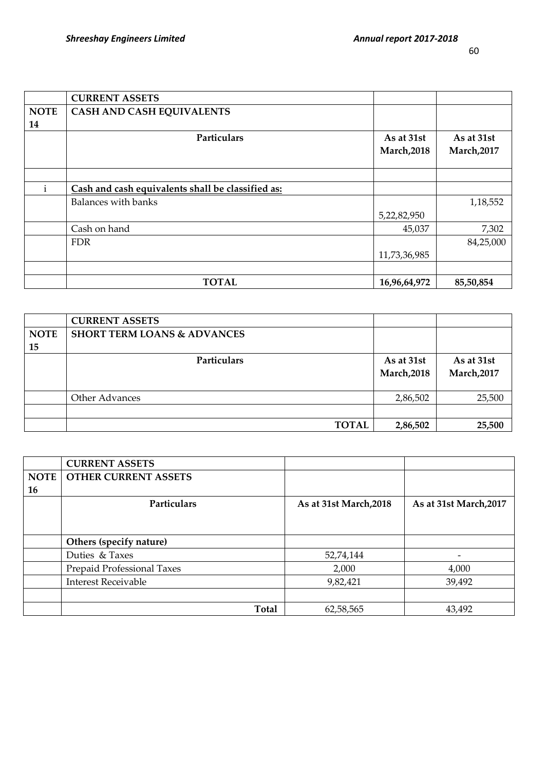|             | <b>CURRENT ASSETS</b>                             |                    |                    |
|-------------|---------------------------------------------------|--------------------|--------------------|
| <b>NOTE</b> | <b>CASH AND CASH EQUIVALENTS</b>                  |                    |                    |
| 14          |                                                   |                    |                    |
|             | Particulars                                       | As at 31st         | As at 31st         |
|             |                                                   | <b>March, 2018</b> | <b>March, 2017</b> |
|             |                                                   |                    |                    |
|             |                                                   |                    |                    |
|             | Cash and cash equivalents shall be classified as: |                    |                    |
|             | <b>Balances with banks</b>                        |                    | 1,18,552           |
|             |                                                   | 5,22,82,950        |                    |
|             | Cash on hand                                      | 45,037             | 7,302              |
|             | <b>FDR</b>                                        |                    | 84,25,000          |
|             |                                                   | 11,73,36,985       |                    |
|             |                                                   |                    |                    |
|             | <b>TOTAL</b>                                      | 16,96,64,972       | 85,50,854          |

|             | <b>CURRENT ASSETS</b>                  |                    |                    |
|-------------|----------------------------------------|--------------------|--------------------|
| <b>NOTE</b> | <b>SHORT TERM LOANS &amp; ADVANCES</b> |                    |                    |
| 15          |                                        |                    |                    |
|             | Particulars                            | As at 31st         | As at 31st         |
|             |                                        | <b>March, 2018</b> | <b>March, 2017</b> |
|             |                                        |                    |                    |
|             | Other Advances                         | 2,86,502           | 25,500             |
|             |                                        |                    |                    |
|             | <b>TOTAL</b>                           | 2,86,502           | 25,500             |

|             | <b>CURRENT ASSETS</b>       |                        |                        |
|-------------|-----------------------------|------------------------|------------------------|
| <b>NOTE</b> | <b>OTHER CURRENT ASSETS</b> |                        |                        |
| 16          |                             |                        |                        |
|             | Particulars                 | As at 31st March, 2018 | As at 31st March, 2017 |
|             |                             |                        |                        |
|             |                             |                        |                        |
|             | Others (specify nature)     |                        |                        |
|             | Duties & Taxes              | 52,74,144              |                        |
|             | Prepaid Professional Taxes  | 2,000                  | 4,000                  |
|             | <b>Interest Receivable</b>  | 9,82,421               | 39,492                 |
|             |                             |                        |                        |
|             | <b>Total</b>                | 62,58,565              | 43,492                 |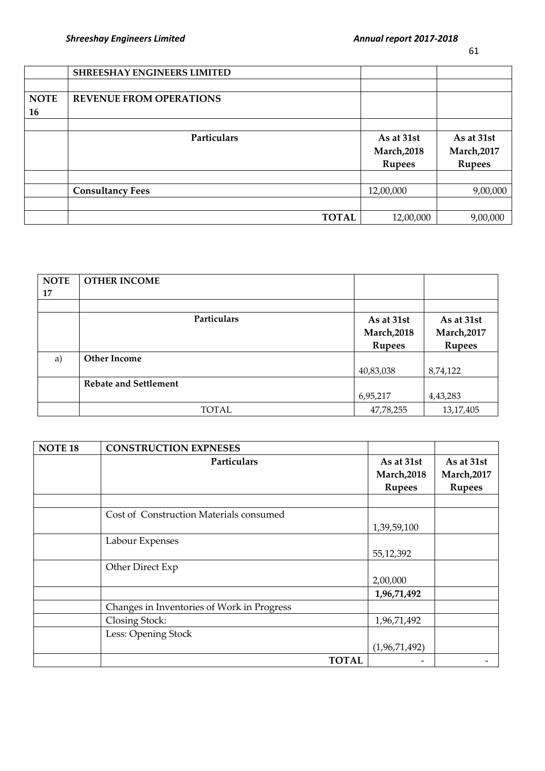|             | <b>SHREESHAY ENGINEERS LIMITED</b> |                    |                    |
|-------------|------------------------------------|--------------------|--------------------|
|             |                                    |                    |                    |
| <b>NOTE</b> | <b>REVENUE FROM OPERATIONS</b>     |                    |                    |
| 16          |                                    |                    |                    |
|             |                                    |                    |                    |
|             | Particulars                        | As at 31st         | As at 31st         |
|             |                                    | <b>March, 2018</b> | <b>March, 2017</b> |
|             |                                    | <b>Rupees</b>      | <b>Rupees</b>      |
|             |                                    |                    |                    |
|             | <b>Consultancy Fees</b>            | 12,00,000          | 9,00,000           |
|             |                                    |                    |                    |
|             | <b>TOTAL</b>                       | 12,00,000          | 9,00,000           |

| <b>NOTE</b> | <b>OTHER INCOME</b>          |                    |                    |
|-------------|------------------------------|--------------------|--------------------|
| 17          |                              |                    |                    |
|             |                              |                    |                    |
|             | Particulars                  | As at 31st         | As at 31st         |
|             |                              | <b>March, 2018</b> | <b>March, 2017</b> |
|             |                              | <b>Rupees</b>      | <b>Rupees</b>      |
| a)          | <b>Other Income</b>          |                    |                    |
|             |                              | 40,83,038          | 8,74,122           |
|             | <b>Rebate and Settlement</b> |                    |                    |
|             |                              | 6,95,217           | 4,43,283           |
|             | TOTAL                        | 47,78,255          | 13,17,405          |

| <b>NOTE 18</b> | <b>CONSTRUCTION EXPNESES</b>               |                    |                    |
|----------------|--------------------------------------------|--------------------|--------------------|
|                | Particulars                                | As at 31st         | As at 31st         |
|                |                                            | <b>March, 2018</b> | <b>March</b> ,2017 |
|                |                                            | <b>Rupees</b>      | <b>Rupees</b>      |
|                |                                            |                    |                    |
|                | Cost of Construction Materials consumed    |                    |                    |
|                |                                            | 1,39,59,100        |                    |
|                | Labour Expenses                            |                    |                    |
|                |                                            | 55,12,392          |                    |
|                | Other Direct Exp                           |                    |                    |
|                |                                            | 2,00,000           |                    |
|                |                                            | 1,96,71,492        |                    |
|                | Changes in Inventories of Work in Progress |                    |                    |
|                | Closing Stock:                             | 1,96,71,492        |                    |
|                | Less: Opening Stock                        |                    |                    |
|                |                                            | (1,96,71,492)      |                    |
|                | <b>TOTAL</b>                               |                    |                    |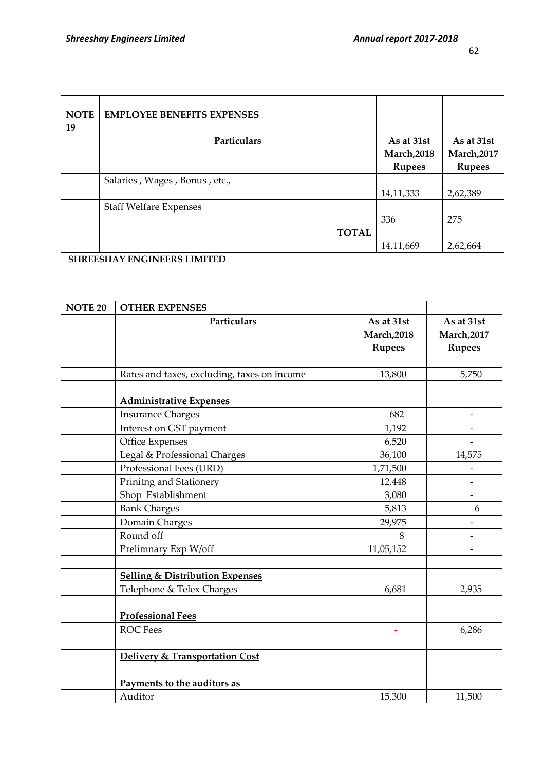| <b>NOTE</b> | <b>EMPLOYEE BENEFITS EXPENSES</b> |                    |                    |
|-------------|-----------------------------------|--------------------|--------------------|
| 19          |                                   |                    |                    |
|             | Particulars                       | As at 31st         | As at 31st         |
|             |                                   | <b>March, 2018</b> | <b>March, 2017</b> |
|             |                                   | <b>Rupees</b>      | <b>Rupees</b>      |
|             | Salaries, Wages, Bonus, etc.,     |                    |                    |
|             |                                   | 14, 11, 333        | 2,62,389           |
|             | <b>Staff Welfare Expenses</b>     |                    |                    |
|             |                                   | 336                | 275                |
|             | <b>TOTAL</b>                      |                    |                    |
|             |                                   | 14,11,669          | 2,62,664           |

## **SHREESHAY ENGINEERS LIMITED**

| <b>NOTE 20</b> | <b>OTHER EXPENSES</b>                       |                                                   |                                                   |
|----------------|---------------------------------------------|---------------------------------------------------|---------------------------------------------------|
|                | Particulars                                 | As at 31st<br><b>March, 2018</b><br><b>Rupees</b> | As at 31st<br><b>March, 2017</b><br><b>Rupees</b> |
|                | Rates and taxes, excluding, taxes on income | 13,800                                            | 5,750                                             |
|                | <b>Administrative Expenses</b>              |                                                   |                                                   |
|                | <b>Insurance Charges</b>                    | 682                                               |                                                   |
|                | Interest on GST payment                     | 1,192                                             |                                                   |
|                | <b>Office Expenses</b>                      | 6,520                                             |                                                   |
|                | Legal & Professional Charges                | 36,100                                            | 14,575                                            |
|                | Professional Fees (URD)                     | 1,71,500                                          |                                                   |
|                | Prinitng and Stationery                     | 12,448                                            |                                                   |
|                | Shop Establishment                          | 3,080                                             | $\overline{\phantom{a}}$                          |
|                | <b>Bank Charges</b>                         | 5,813                                             | 6                                                 |
|                | Domain Charges                              | 29,975                                            |                                                   |
|                | Round off                                   | 8                                                 |                                                   |
|                | Prelimnary Exp W/off                        | 11,05,152                                         |                                                   |
|                | <b>Selling &amp; Distribution Expenses</b>  |                                                   |                                                   |
|                | Telephone & Telex Charges                   | 6,681                                             | 2,935                                             |
|                | <b>Professional Fees</b>                    |                                                   |                                                   |
|                | <b>ROC</b> Fees                             |                                                   | 6,286                                             |
|                | Delivery & Transportation Cost              |                                                   |                                                   |
|                | Payments to the auditors as                 |                                                   |                                                   |
|                | Auditor                                     | 15,300                                            | 11,500                                            |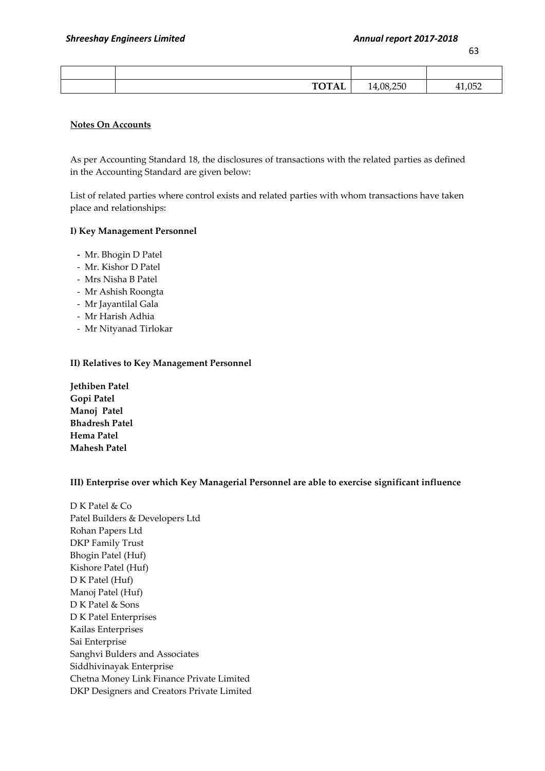| $T\Omega T + T$<br>IVIAL | 1,08,250<br>' 4<br>$+11$ | $\cap$ $\subset$<br>$\sim$ |
|--------------------------|--------------------------|----------------------------|

#### **Notes On Accounts**

As per Accounting Standard 18, the disclosures of transactions with the related parties as defined in the Accounting Standard are given below:

List of related parties where control exists and related parties with whom transactions have taken place and relationships:

#### **I) Key Management Personnel**

- Mr. Bhogin D Patel
- Mr. Kishor D Patel
- Mrs Nisha B Patel
- Mr Ashish Roongta
- Mr Jayantilal Gala
- Mr Harish Adhia
- Mr Nityanad Tirlokar

#### **II) Relatives to Key Management Personnel**

**Jethiben Patel Gopi Patel Manoj Patel Bhadresh Patel Hema Patel Mahesh Patel**

#### **III) Enterprise over which Key Managerial Personnel are able to exercise significant influence**

D K Patel & Co Patel Builders & Developers Ltd Rohan Papers Ltd DKP Family Trust Bhogin Patel (Huf) Kishore Patel (Huf) D K Patel (Huf) Manoj Patel (Huf) D K Patel & Sons D K Patel Enterprises Kailas Enterprises Sai Enterprise Sanghvi Bulders and Associates Siddhivinayak Enterprise Chetna Money Link Finance Private Limited DKP Designers and Creators Private Limited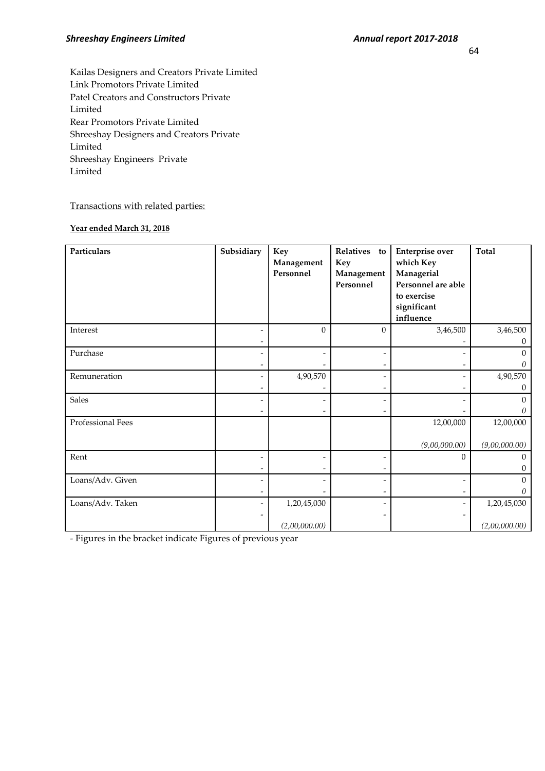Kailas Designers and Creators Private Limited Link Promotors Private Limited Patel Creators and Constructors Private Limited Rear Promotors Private Limited Shreeshay Designers and Creators Private Limited Shreeshay Engineers Private Limited

Transactions with related parties:

#### **Year ended March 31, 2018**

| Particulars       | Subsidiary | Key<br>Management<br>Personnel | Relatives to<br>Key<br>Management<br>Personnel | <b>Enterprise over</b><br>which Key<br>Managerial<br>Personnel are able<br>to exercise<br>significant<br>influence | <b>Total</b>               |
|-------------------|------------|--------------------------------|------------------------------------------------|--------------------------------------------------------------------------------------------------------------------|----------------------------|
| Interest          |            | $\theta$                       | $\Omega$                                       | 3,46,500                                                                                                           | 3,46,500                   |
| Purchase          |            |                                |                                                |                                                                                                                    | $\Omega$<br>0              |
| Remuneration      |            | 4,90,570                       |                                                |                                                                                                                    | 4,90,570<br>0              |
| <b>Sales</b>      |            |                                |                                                |                                                                                                                    | $\Omega$<br>0              |
| Professional Fees |            |                                |                                                | 12,00,000<br>(9,00,000.00)                                                                                         | 12,00,000<br>(9,00,000.00) |
| Rent              |            |                                |                                                | $\theta$                                                                                                           | 0<br>0                     |
| Loans/Adv. Given  |            |                                |                                                | $\overline{\phantom{0}}$                                                                                           | $\boldsymbol{0}$<br>0      |
| Loans/Adv. Taken  |            | 1,20,45,030                    |                                                |                                                                                                                    | 1,20,45,030                |
|                   |            | (2,00,000.00)                  |                                                |                                                                                                                    | (2,00,000.00)              |

- Figures in the bracket indicate Figures of previous year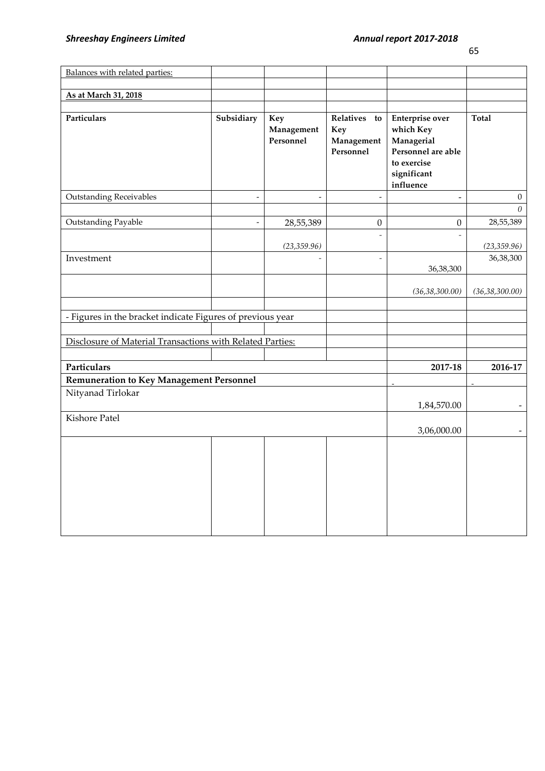| Balances with related parties:                             |                          |                         |                                       |                                                                                          |                  |
|------------------------------------------------------------|--------------------------|-------------------------|---------------------------------------|------------------------------------------------------------------------------------------|------------------|
|                                                            |                          |                         |                                       |                                                                                          |                  |
| As at March 31, 2018                                       |                          |                         |                                       |                                                                                          |                  |
| Particulars                                                | Subsidiary               | Key                     | Relatives to                          | <b>Enterprise</b> over                                                                   | <b>Total</b>     |
|                                                            |                          | Management<br>Personnel | <b>Key</b><br>Management<br>Personnel | which Key<br>Managerial<br>Personnel are able<br>to exercise<br>significant<br>influence |                  |
| <b>Outstanding Receivables</b>                             |                          |                         |                                       | $\overline{\phantom{m}}$                                                                 | $\boldsymbol{0}$ |
|                                                            |                          |                         |                                       |                                                                                          | $\theta$         |
| <b>Outstanding Payable</b>                                 | $\overline{\phantom{a}}$ | 28,55,389               | $\boldsymbol{0}$                      | $\boldsymbol{0}$                                                                         | 28,55,389        |
|                                                            |                          | (23, 359.96)            |                                       |                                                                                          | (23, 359.96)     |
| Investment                                                 |                          |                         | L.                                    |                                                                                          | 36,38,300        |
|                                                            |                          |                         |                                       | 36,38,300                                                                                |                  |
|                                                            |                          |                         |                                       | (36, 38, 300.00)                                                                         | (36, 38, 300.00) |
|                                                            |                          |                         |                                       |                                                                                          |                  |
| - Figures in the bracket indicate Figures of previous year |                          |                         |                                       |                                                                                          |                  |
| Disclosure of Material Transactions with Related Parties:  |                          |                         |                                       |                                                                                          |                  |
|                                                            |                          |                         |                                       |                                                                                          |                  |
| Particulars                                                |                          |                         |                                       | 2017-18                                                                                  | 2016-17          |
| <b>Remuneration to Key Management Personnel</b>            |                          |                         |                                       |                                                                                          |                  |
| Nityanad Tirlokar                                          |                          |                         |                                       |                                                                                          |                  |
|                                                            |                          |                         |                                       | 1,84,570.00                                                                              |                  |
| Kishore Patel                                              |                          |                         |                                       |                                                                                          |                  |
|                                                            |                          |                         |                                       | 3,06,000.00                                                                              |                  |
|                                                            |                          |                         |                                       |                                                                                          |                  |
|                                                            |                          |                         |                                       |                                                                                          |                  |
|                                                            |                          |                         |                                       |                                                                                          |                  |
|                                                            |                          |                         |                                       |                                                                                          |                  |
|                                                            |                          |                         |                                       |                                                                                          |                  |
|                                                            |                          |                         |                                       |                                                                                          |                  |
|                                                            |                          |                         |                                       |                                                                                          |                  |

65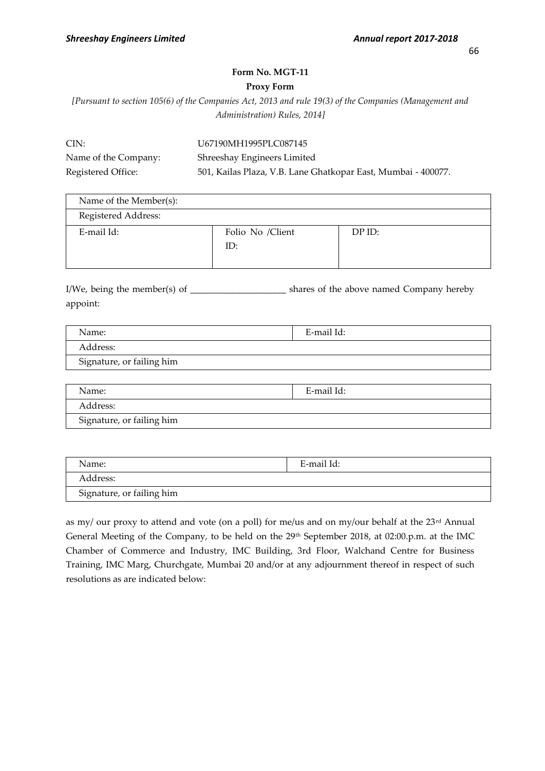## **Form No. MGT-11**

#### **Proxy Form**

*[Pursuant to section 105(6) of the Companies Act, 2013 and rule 19(3) of the Companies (Management and Administration) Rules, 2014]*

| CIN:                 | U67190MH1995PLC087145                                         |
|----------------------|---------------------------------------------------------------|
| Name of the Company: | Shreeshay Engineers Limited                                   |
| Registered Office:   | 501, Kailas Plaza, V.B. Lane Ghatkopar East, Mumbai - 400077. |

| Name of the Member(s): |                         |       |  |  |
|------------------------|-------------------------|-------|--|--|
| Registered Address:    |                         |       |  |  |
| E-mail Id:             | Folio No /Client<br>ID: | DPID: |  |  |

I/We, being the member(s) of \_\_\_\_\_\_\_\_\_\_\_\_\_\_\_\_\_\_\_\_\_ shares of the above named Company hereby appoint:

| Name:                     | E-mail Id: |
|---------------------------|------------|
| Address:                  |            |
| Signature, or failing him |            |

| Name:                     | E-mail Id: |
|---------------------------|------------|
| Address:                  |            |
| Signature, or failing him |            |

| Name:                     | E-mail Id: |
|---------------------------|------------|
| Address:                  |            |
| Signature, or failing him |            |

as my/ our proxy to attend and vote (on a poll) for me/us and on my/our behalf at the 23<sup>rd</sup> Annual General Meeting of the Company, to be held on the 29th September 2018, at 02:00.p.m. at the IMC Chamber of Commerce and Industry, IMC Building, 3rd Floor, Walchand Centre for Business Training, IMC Marg, Churchgate, Mumbai 20 and/or at any adjournment thereof in respect of such resolutions as are indicated below: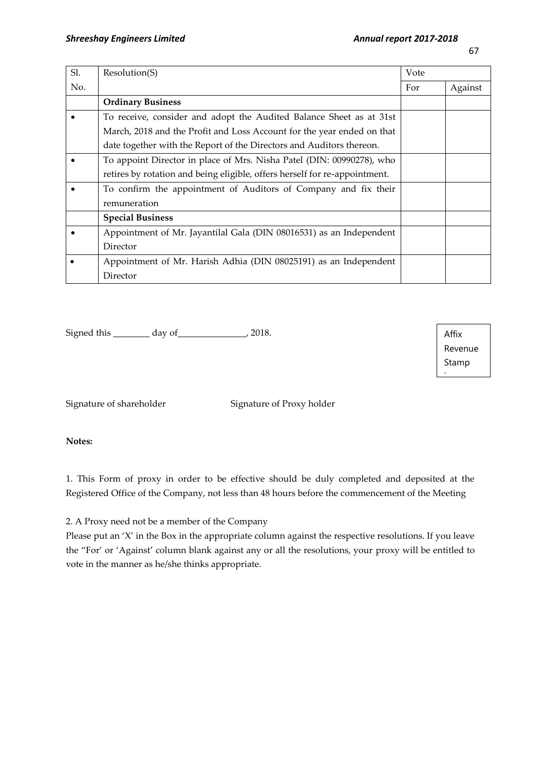| Sl. | Resolution(S)                                                              | Vote |         |
|-----|----------------------------------------------------------------------------|------|---------|
| No. |                                                                            | For  | Against |
|     | <b>Ordinary Business</b>                                                   |      |         |
|     | To receive, consider and adopt the Audited Balance Sheet as at 31st        |      |         |
|     | March, 2018 and the Profit and Loss Account for the year ended on that     |      |         |
|     | date together with the Report of the Directors and Auditors thereon.       |      |         |
|     | To appoint Director in place of Mrs. Nisha Patel (DIN: 00990278), who      |      |         |
|     | retires by rotation and being eligible, offers herself for re-appointment. |      |         |
|     | To confirm the appointment of Auditors of Company and fix their            |      |         |
|     | remuneration                                                               |      |         |
|     | <b>Special Business</b>                                                    |      |         |
|     | Appointment of Mr. Jayantilal Gala (DIN 08016531) as an Independent        |      |         |
|     | Director                                                                   |      |         |
|     | Appointment of Mr. Harish Adhia (DIN 08025191) as an Independent           |      |         |
|     | Director                                                                   |      |         |

Signed this \_\_\_\_\_\_\_\_ day of\_\_\_\_\_\_\_\_\_\_\_\_\_\_\_, 2018.

Affix Revenue Stamp

 $\frac{1}{\sqrt{1-\frac{1}{2}}}$ 

Signature of shareholder Signature of Proxy holder

**Notes:**

1. This Form of proxy in order to be effective should be duly completed and deposited at the Registered Office of the Company, not less than 48 hours before the commencement of the Meeting

2. A Proxy need not be a member of the Company

Please put an 'X' in the Box in the appropriate column against the respective resolutions. If you leave the "For' or 'Against' column blank against any or all the resolutions, your proxy will be entitled to vote in the manner as he/she thinks appropriate.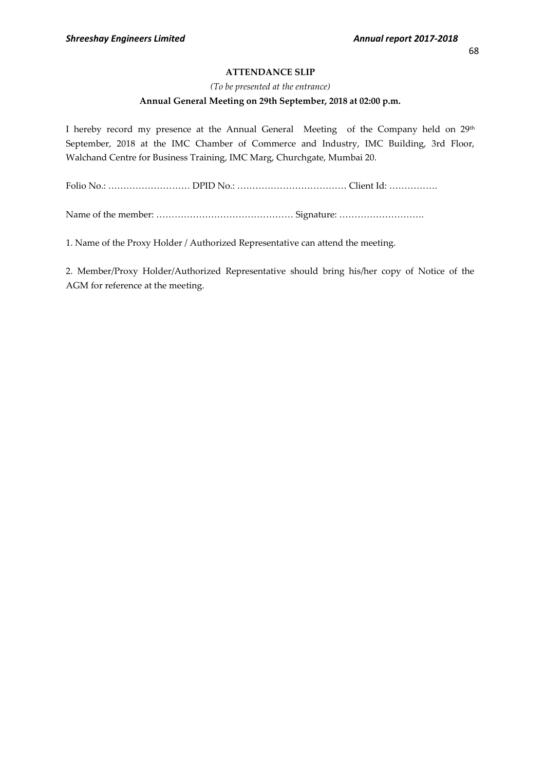#### **ATTENDANCE SLIP**

## *(To be presented at the entrance)* **Annual General Meeting on 29th September, 2018 at 02:00 p.m.**

I hereby record my presence at the Annual General Meeting of the Company held on 29<sup>th</sup> September, 2018 at the IMC Chamber of Commerce and Industry, IMC Building, 3rd Floor, Walchand Centre for Business Training, IMC Marg, Churchgate, Mumbai 20.

Folio No.: ……………………… DPID No.: ……………………………… Client Id: …………….

Name of the member: ……………………………………… Signature: ……………………….

1. Name of the Proxy Holder / Authorized Representative can attend the meeting.

2. Member/Proxy Holder/Authorized Representative should bring his/her copy of Notice of the AGM for reference at the meeting.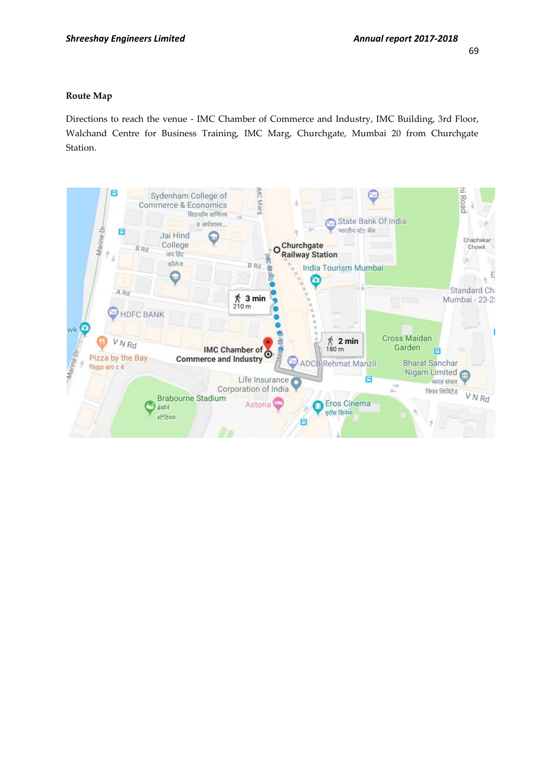#### 69

#### **Route Map**

Directions to reach the venue - IMC Chamber of Commerce and Industry, IMC Building, 3rd Floor, Walchand Centre for Business Training, IMC Marg, Churchgate, Mumbai 20 from Churchgate Station.